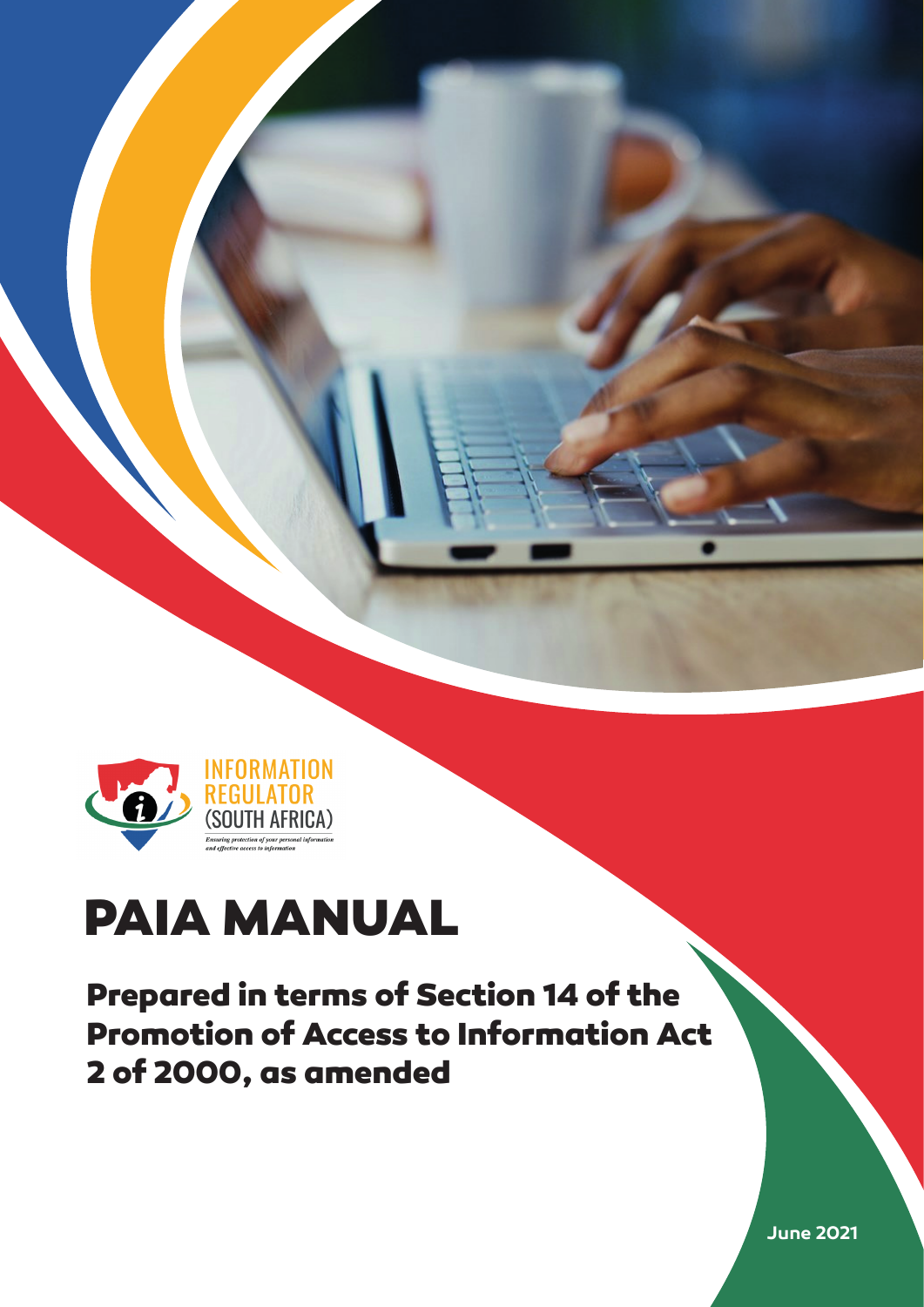



# **PAIA MANUAL**

**Prepared in terms of Section 14 of the Promotion of Access to Information Act 2 of 2000, as amended**

**June 2021**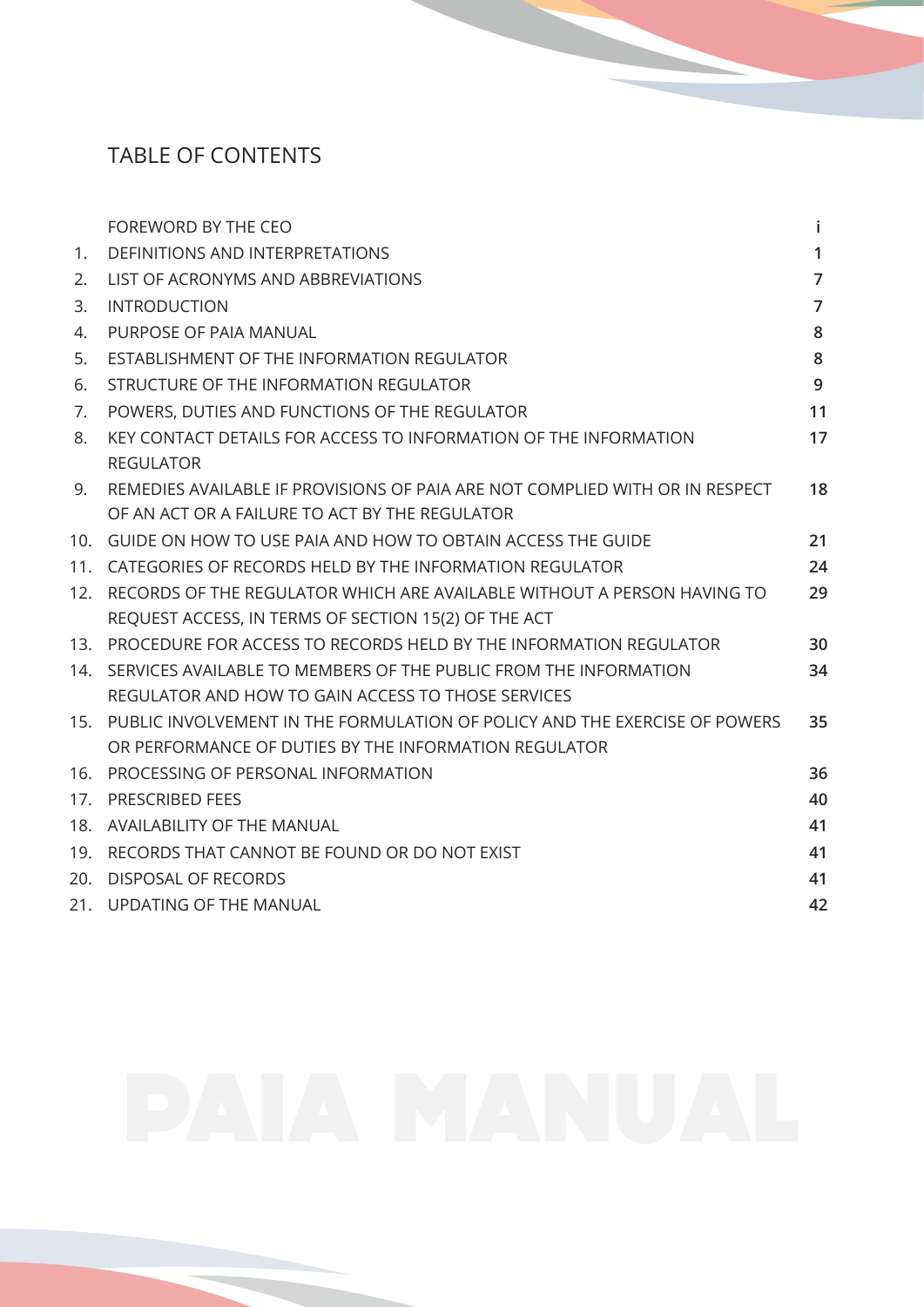# TABLE OF CONTENTS

|                 | FOREWORD BY THE CEO                                                          | j.             |
|-----------------|------------------------------------------------------------------------------|----------------|
| 1.              | <b>DEFINITIONS AND INTERPRETATIONS</b>                                       | $\mathbf{1}$   |
| 2.              | LIST OF ACRONYMS AND ABBREVIATIONS                                           | $\overline{7}$ |
| 3.              | <b>INTRODUCTION</b>                                                          | $\overline{7}$ |
| 4.              | PURPOSE OF PAIA MANUAL                                                       | 8              |
| 5.              | ESTABLISHMENT OF THE INFORMATION REGULATOR                                   | 8              |
| 6.              | STRUCTURE OF THE INFORMATION REGULATOR                                       | 9              |
| 7.              | POWERS, DUTIES AND FUNCTIONS OF THE REGULATOR                                | 11             |
| 8.              | KEY CONTACT DETAILS FOR ACCESS TO INFORMATION OF THE INFORMATION             | 17             |
|                 | <b>REGULATOR</b>                                                             |                |
| 9.              | REMEDIES AVAILABLE IF PROVISIONS OF PAIA ARE NOT COMPLIED WITH OR IN RESPECT | 18             |
|                 | OF AN ACT OR A FAILURE TO ACT BY THE REGULATOR                               |                |
| 10 <sub>1</sub> | GUIDE ON HOW TO USE PAIA AND HOW TO OBTAIN ACCESS THE GUIDE                  | 21             |
| 11.             | CATEGORIES OF RECORDS HELD BY THE INFORMATION REGULATOR                      | 24             |
| 12.             | RECORDS OF THE REGULATOR WHICH ARE AVAILABLE WITHOUT A PERSON HAVING TO      | 29             |
|                 | REQUEST ACCESS, IN TERMS OF SECTION 15(2) OF THE ACT                         |                |
| 13.             | PROCEDURE FOR ACCESS TO RECORDS HELD BY THE INFORMATION REGULATOR            | 30             |
| 14.             | SERVICES AVAILABLE TO MEMBERS OF THE PUBLIC FROM THE INFORMATION             | 34             |
|                 | REGULATOR AND HOW TO GAIN ACCESS TO THOSE SERVICES                           |                |
| 15 <sub>1</sub> | PUBLIC INVOLVEMENT IN THE FORMULATION OF POLICY AND THE EXERCISE OF POWERS   | 35             |
|                 | OR PERFORMANCE OF DUTIES BY THE INFORMATION REGULATOR                        |                |
| 16.             | PROCESSING OF PERSONAL INFORMATION                                           | 36             |
| 17.             | <b>PRESCRIBED FEES</b>                                                       | 40             |
|                 | 18. AVAILABILITY OF THE MANUAL                                               | 41             |
|                 | 19. RECORDS THAT CANNOT BE FOUND OR DO NOT EXIST                             | 41             |
| 20.             | <b>DISPOSAL OF RECORDS</b>                                                   | 41             |
|                 | 21. UPDATING OF THE MANUAL                                                   | 42             |
|                 |                                                                              |                |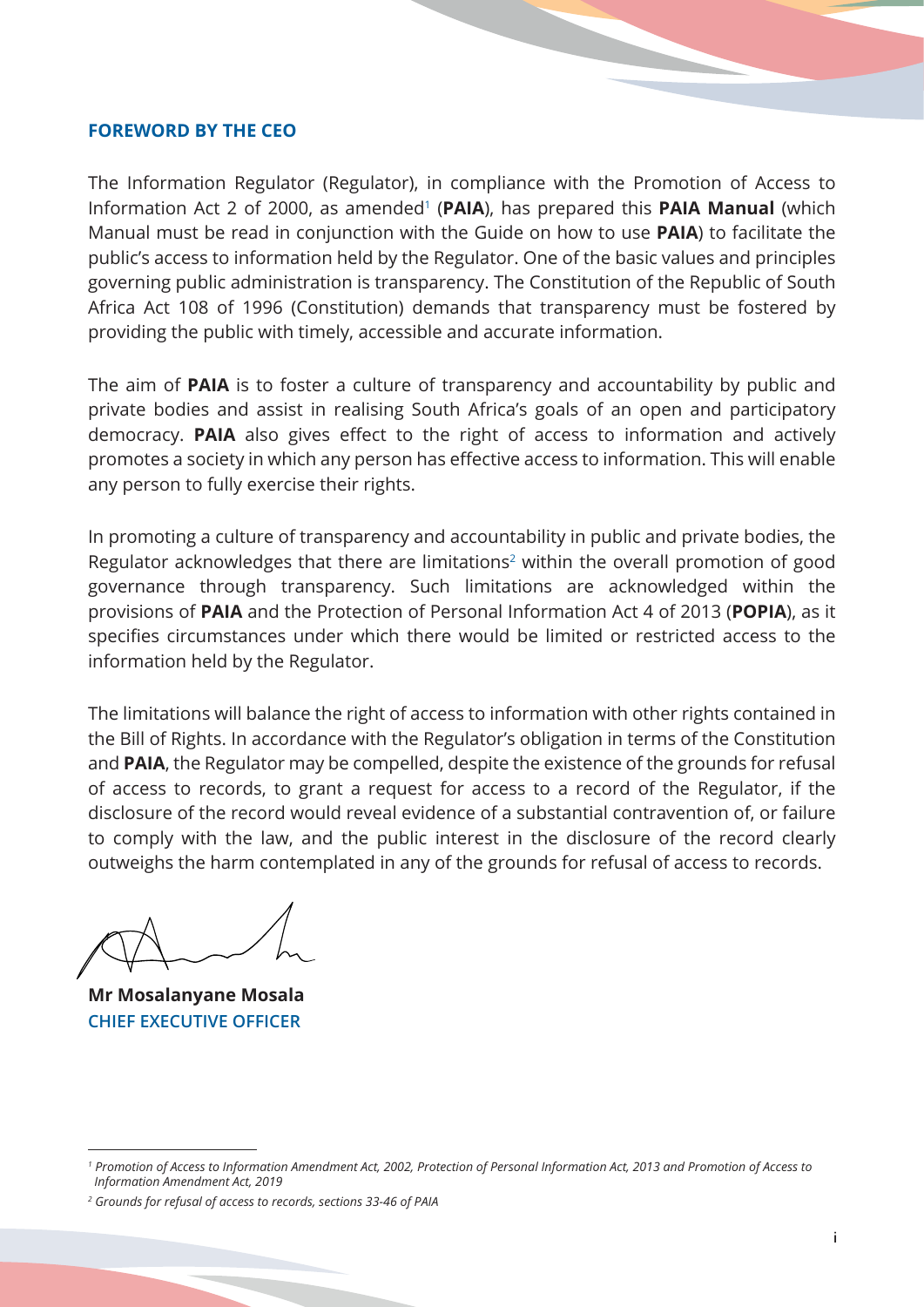#### <span id="page-2-0"></span>**FOREWORD BY THE CEO**

The Information Regulator (Regulator), in compliance with the Promotion of Access to Information Act 2 of 2000, as amended<sup>1</sup> (PAIA), has prepared this PAIA Manual (which Manual must be read in conjunction with the Guide on how to use **PAIA**) to facilitate the public's access to information held by the Regulator. One of the basic values and principles governing public administration is transparency. The Constitution of the Republic of South Africa Act 108 of 1996 (Constitution) demands that transparency must be fostered by providing the public with timely, accessible and accurate information.

The aim of **PAIA** is to foster a culture of transparency and accountability by public and private bodies and assist in realising South Africa's goals of an open and participatory democracy. **PAIA** also gives effect to the right of access to information and actively promotes a society in which any person has effective access to information. This will enable any person to fully exercise their rights.

In promoting a culture of transparency and accountability in public and private bodies, the Regulator acknowledges that there are limitations<sup>2</sup> within the overall promotion of good governance through transparency. Such limitations are acknowledged within the provisions of **PAIA** and the Protection of Personal Information Act 4 of 2013 (**POPIA**), as it specifies circumstances under which there would be limited or restricted access to the information held by the Regulator.

The limitations will balance the right of access to information with other rights contained in the Bill of Rights. In accordance with the Regulator's obligation in terms of the Constitution and **PAIA**, the Regulator may be compelled, despite the existence of the grounds for refusal of access to records, to grant a request for access to a record of the Regulator, if the disclosure of the record would reveal evidence of a substantial contravention of, or failure to comply with the law, and the public interest in the disclosure of the record clearly outweighs the harm contemplated in any of the grounds for refusal of access to records.

**Mr Mosalanyane Mosala CHIEF EXECUTIVE OFFICER**

*<sup>1</sup> Promotion of Access to Information Amendment Act, 2002, Protection of Personal Information Act, 2013 and Promotion of Access to Information Amendment Act, 2019*

*<sup>2</sup> Grounds for refusal of access to records, sections 33-46 of PAIA*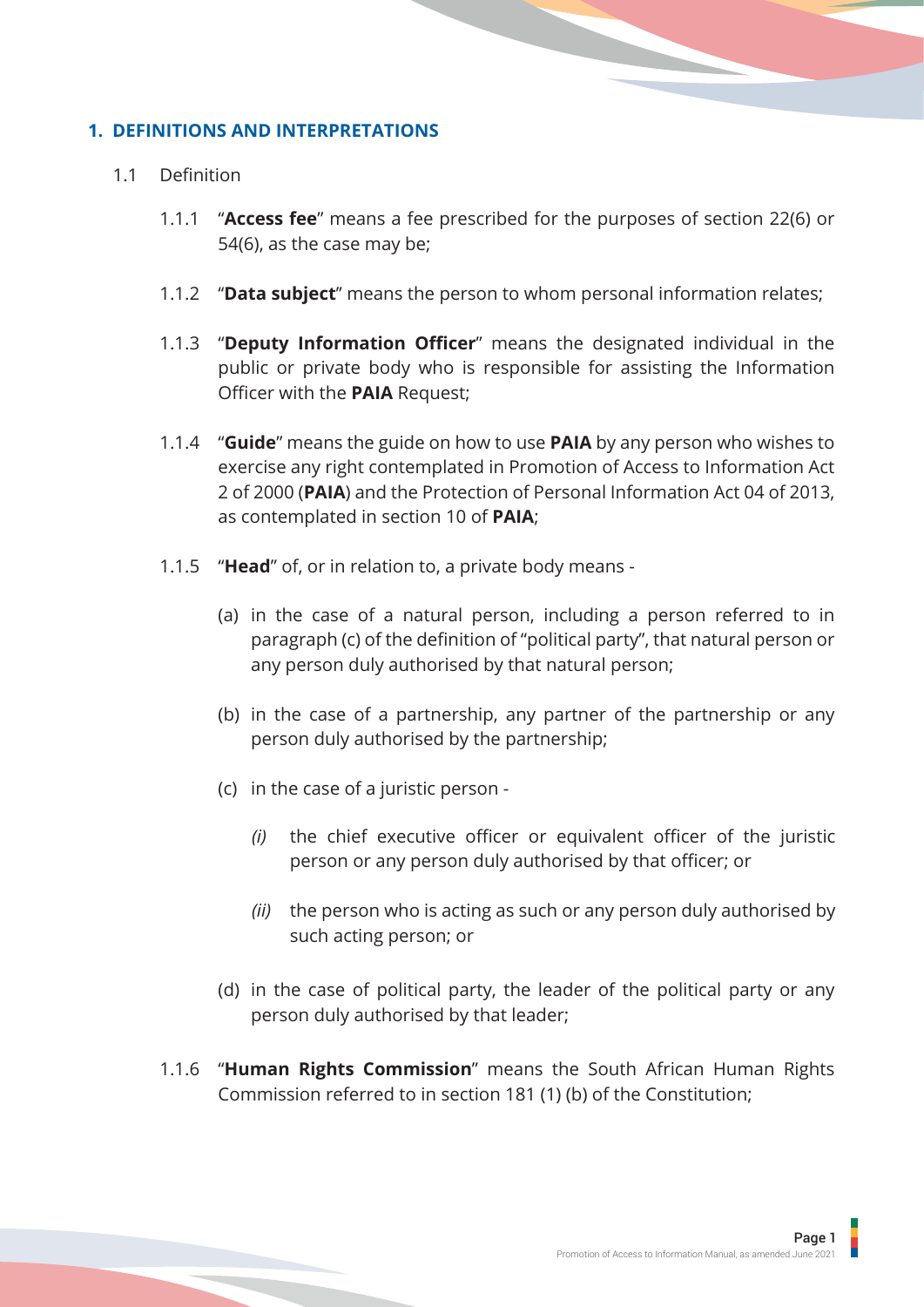## <span id="page-3-0"></span>**1. DEFINITIONS AND INTERPRETATIONS**

#### 1.1 Definition

- 1.1.1 "**Access fee**" means a fee prescribed for the purposes of section 22(6) or 54(6), as the case may be;
- 1.1.2 ''**Data subject**'' means the person to whom personal information relates;
- 1.1.3 "**Deputy Information Officer**" means the designated individual in the public or private body who is responsible for assisting the Information Officer with the **PAIA** Request;
- 1.1.4 "**Guide**" means the guide on how to use **PAIA** by any person who wishes to exercise any right contemplated in Promotion of Access to Information Act 2 of 2000 (**PAIA**) and the Protection of Personal Information Act 04 of 2013, as contemplated in section 10 of **PAIA**;
- 1.1.5 "**Head**" of, or in relation to, a private body means
	- (a) in the case of a natural person, including a person referred to in paragraph (c) of the definition of "political party", that natural person or any person duly authorised by that natural person;
	- (b) in the case of a partnership, any partner of the partnership or any person duly authorised by the partnership;
	- (c) in the case of a juristic person
		- *(i)* the chief executive officer or equivalent officer of the juristic person or any person duly authorised by that officer; or
		- *(ii)* the person who is acting as such or any person duly authorised by such acting person; or
	- (d) in the case of political party, the leader of the political party or any person duly authorised by that leader;
- 1.1.6 "**Human Rights Commission**" means the South African Human Rights Commission referred to in section 181 (1) (b) of the Constitution;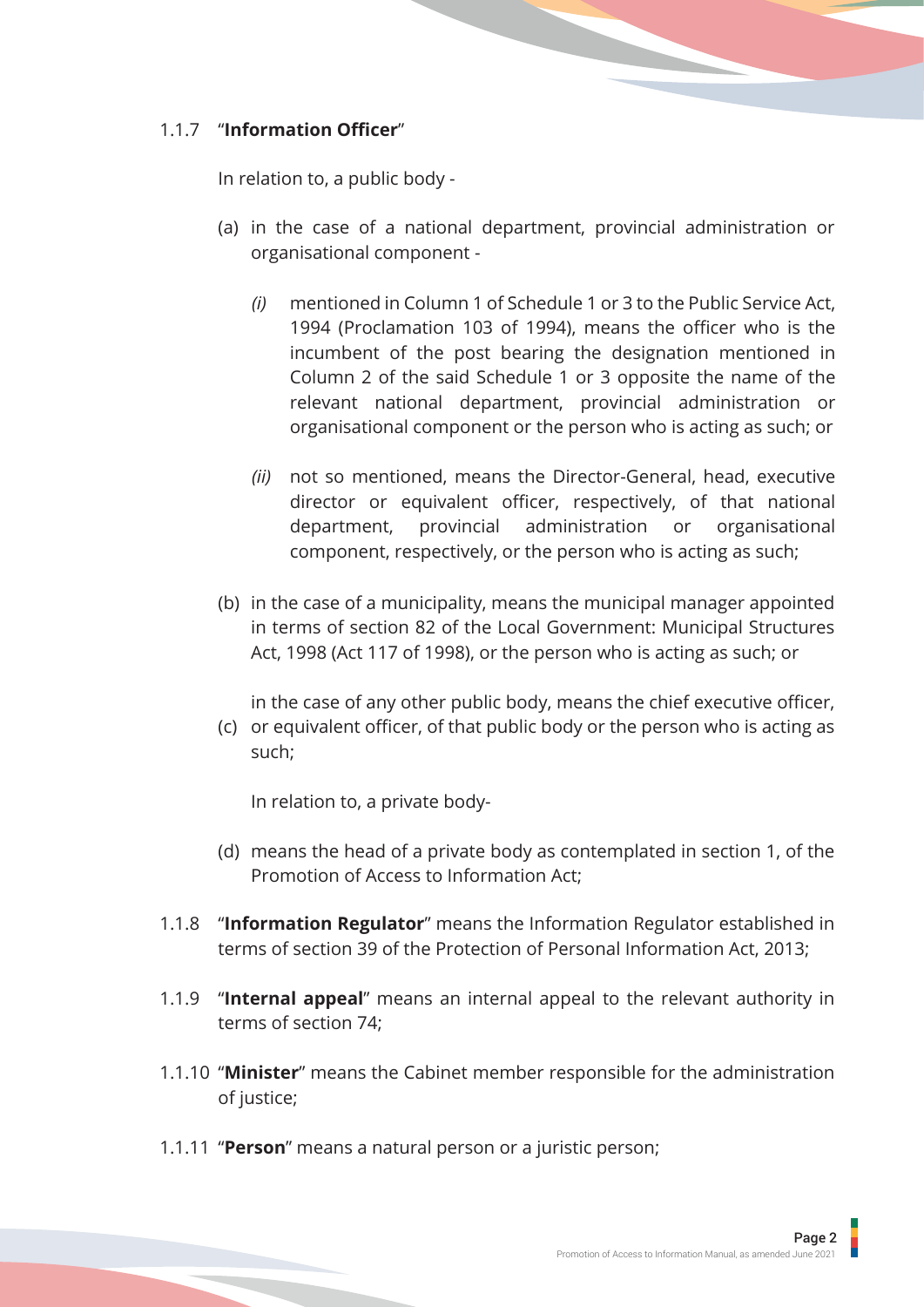# 1.1.7 "**Information Officer**"

In relation to, a public body -

- (a) in the case of a national department, provincial administration or organisational component -
	- *(i)* mentioned in Column 1 of Schedule 1 or 3 to the Public Service Act, 1994 (Proclamation 103 of 1994), means the officer who is the incumbent of the post bearing the designation mentioned in Column 2 of the said Schedule 1 or 3 opposite the name of the relevant national department, provincial administration or organisational component or the person who is acting as such; or
	- *(ii)* not so mentioned, means the Director-General, head, executive director or equivalent officer, respectively, of that national department, provincial administration or organisational component, respectively, or the person who is acting as such;
- (b) in the case of a municipality, means the municipal manager appointed in terms of section 82 of the Local Government: Municipal Structures Act, 1998 (Act 117 of 1998), or the person who is acting as such; or

in the case of any other public body, means the chief executive officer,

(c) or equivalent officer, of that public body or the person who is acting as such;

In relation to, a private body-

- (d) means the head of a private body as contemplated in section 1, of the Promotion of Access to Information Act;
- 1.1.8 "**Information Regulator**" means the Information Regulator established in terms of section 39 of the Protection of Personal Information Act, 2013;
- 1.1.9 "**Internal appeal**" means an internal appeal to the relevant authority in terms of section 74;
- 1.1.10 "**Minister**" means the Cabinet member responsible for the administration of justice;
- 1.1.11 "**Person**" means a natural person or a juristic person;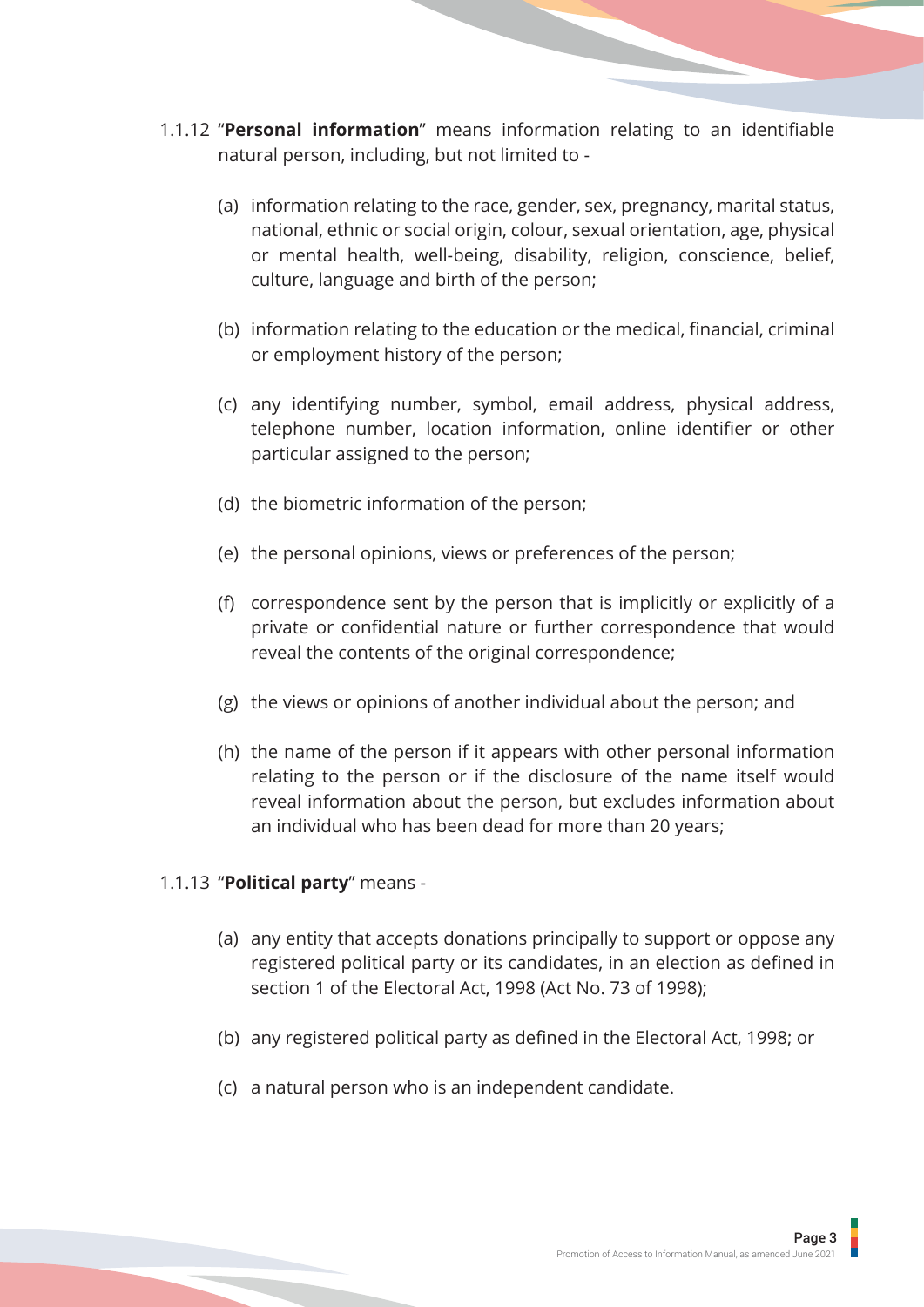- 1.1.12 "**Personal information**" means information relating to an identifiable natural person, including, but not limited to -
	- (a) information relating to the race, gender, sex, pregnancy, marital status, national, ethnic or social origin, colour, sexual orientation, age, physical or mental health, well-being, disability, religion, conscience, belief, culture, language and birth of the person;
	- (b) information relating to the education or the medical, financial, criminal or employment history of the person;
	- (c) any identifying number, symbol, email address, physical address, telephone number, location information, online identifier or other particular assigned to the person;
	- (d) the biometric information of the person;
	- (e) the personal opinions, views or preferences of the person;
	- (f) correspondence sent by the person that is implicitly or explicitly of a private or confidential nature or further correspondence that would reveal the contents of the original correspondence;
	- (g) the views or opinions of another individual about the person; and
	- (h) the name of the person if it appears with other personal information relating to the person or if the disclosure of the name itself would reveal information about the person, but excludes information about an individual who has been dead for more than 20 years;

#### 1.1.13 "**Political party**" means -

- (a) any entity that accepts donations principally to support or oppose any registered political party or its candidates, in an election as defined in section 1 of the Electoral Act, 1998 (Act No. 73 of 1998);
- (b) any registered political party as defined in the Electoral Act, 1998; or
- (c) a natural person who is an independent candidate.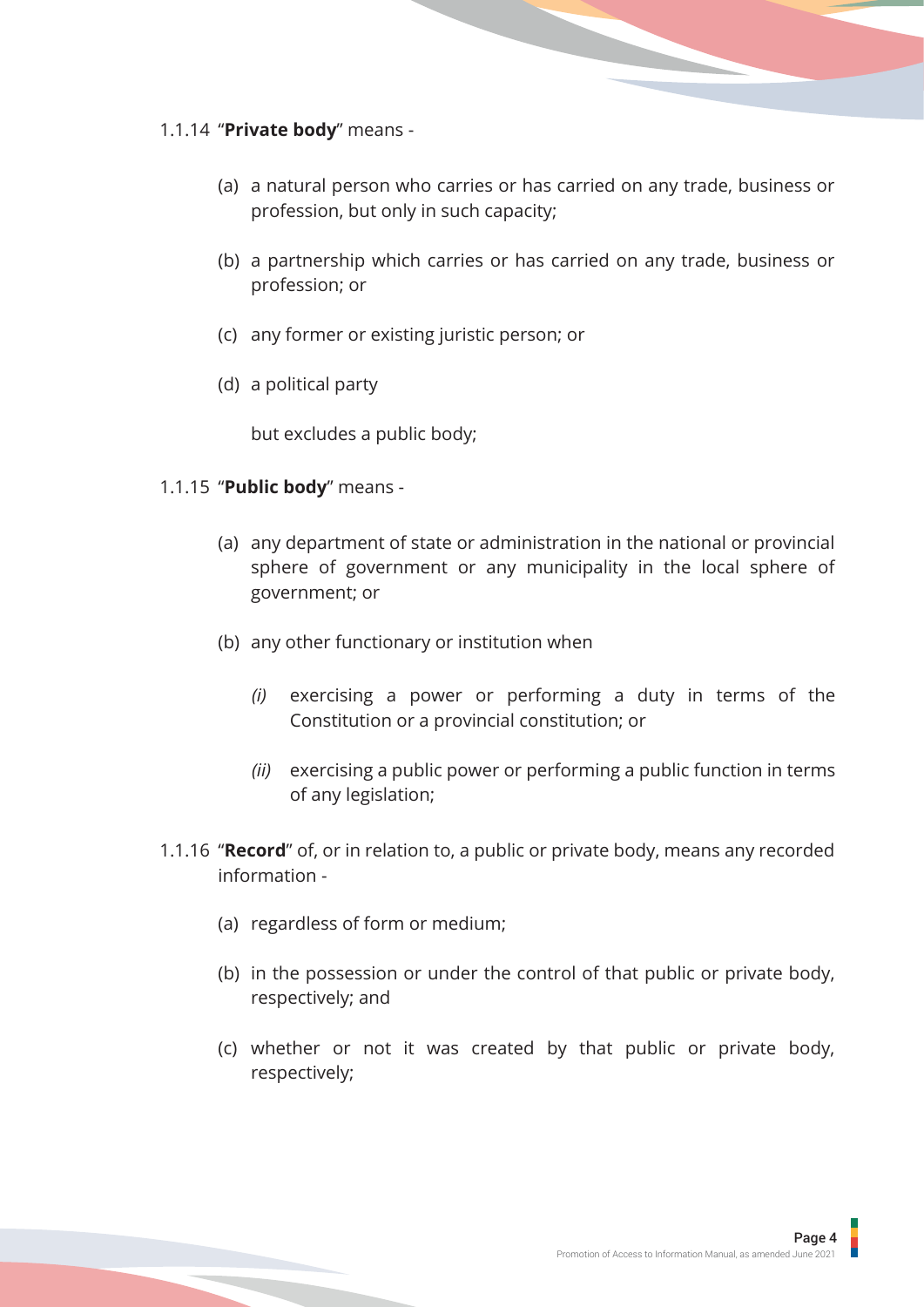#### 1.1.14 "**Private body**" means -

- (a) a natural person who carries or has carried on any trade, business or profession, but only in such capacity;
- (b) a partnership which carries or has carried on any trade, business or profession; or
- (c) any former or existing juristic person; or
- (d) a political party

but excludes a public body;

#### 1.1.15 "**Public body**" means -

- (a) any department of state or administration in the national or provincial sphere of government or any municipality in the local sphere of government; or
- (b) any other functionary or institution when
	- *(i)* exercising a power or performing a duty in terms of the Constitution or a provincial constitution; or
	- *(ii)* exercising a public power or performing a public function in terms of any legislation;
- 1.1.16 "**Record**" of, or in relation to, a public or private body, means any recorded information -
	- (a) regardless of form or medium;
	- (b) in the possession or under the control of that public or private body, respectively; and
	- (c) whether or not it was created by that public or private body, respectively;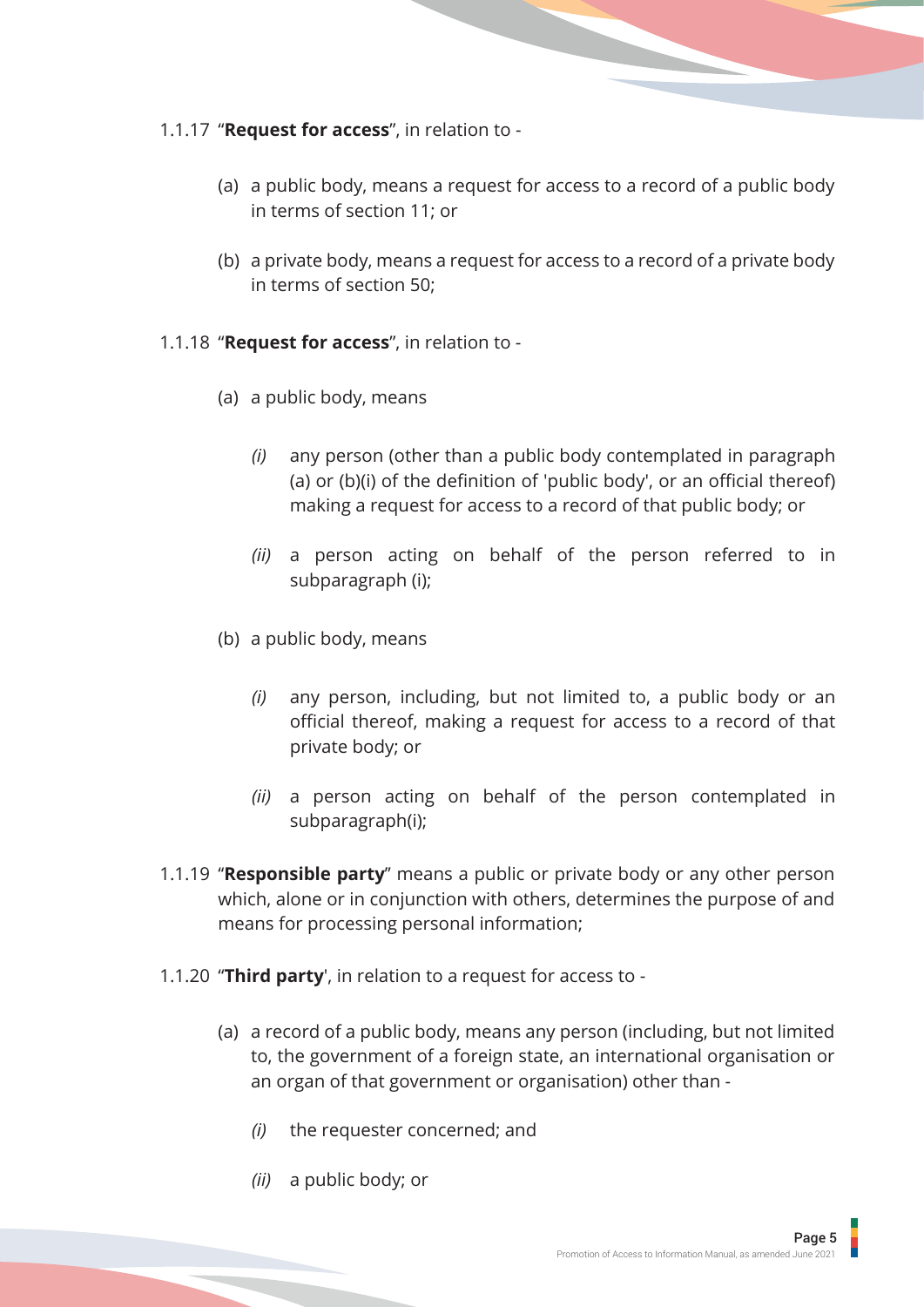#### 1.1.17 "**Request for access**", in relation to -

- (a) a public body, means a request for access to a record of a public body in terms of section 11; or
- (b) a private body, means a request for access to a record of a private body in terms of section 50;
- 1.1.18 "**Request for access**", in relation to
	- (a) a public body, means
		- *(i)* any person (other than a public body contemplated in paragraph (a) or (b)(i) of the definition of 'public body', or an official thereof) making a request for access to a record of that public body; or
		- *(ii)* a person acting on behalf of the person referred to in subparagraph (i);
	- (b) a public body, means
		- *(i)* any person, including, but not limited to, a public body or an official thereof, making a request for access to a record of that private body; or
		- *(ii)* a person acting on behalf of the person contemplated in subparagraph(i);
- 1.1.19 ''**Responsible party**'' means a public or private body or any other person which, alone or in conjunction with others, determines the purpose of and means for processing personal information;
- 1.1.20 "**Third party**', in relation to a request for access to
	- (a) a record of a public body, means any person (including, but not limited to, the government of a foreign state, an international organisation or an organ of that government or organisation) other than -
		- *(i)* the requester concerned; and
		- *(ii)* a public body; or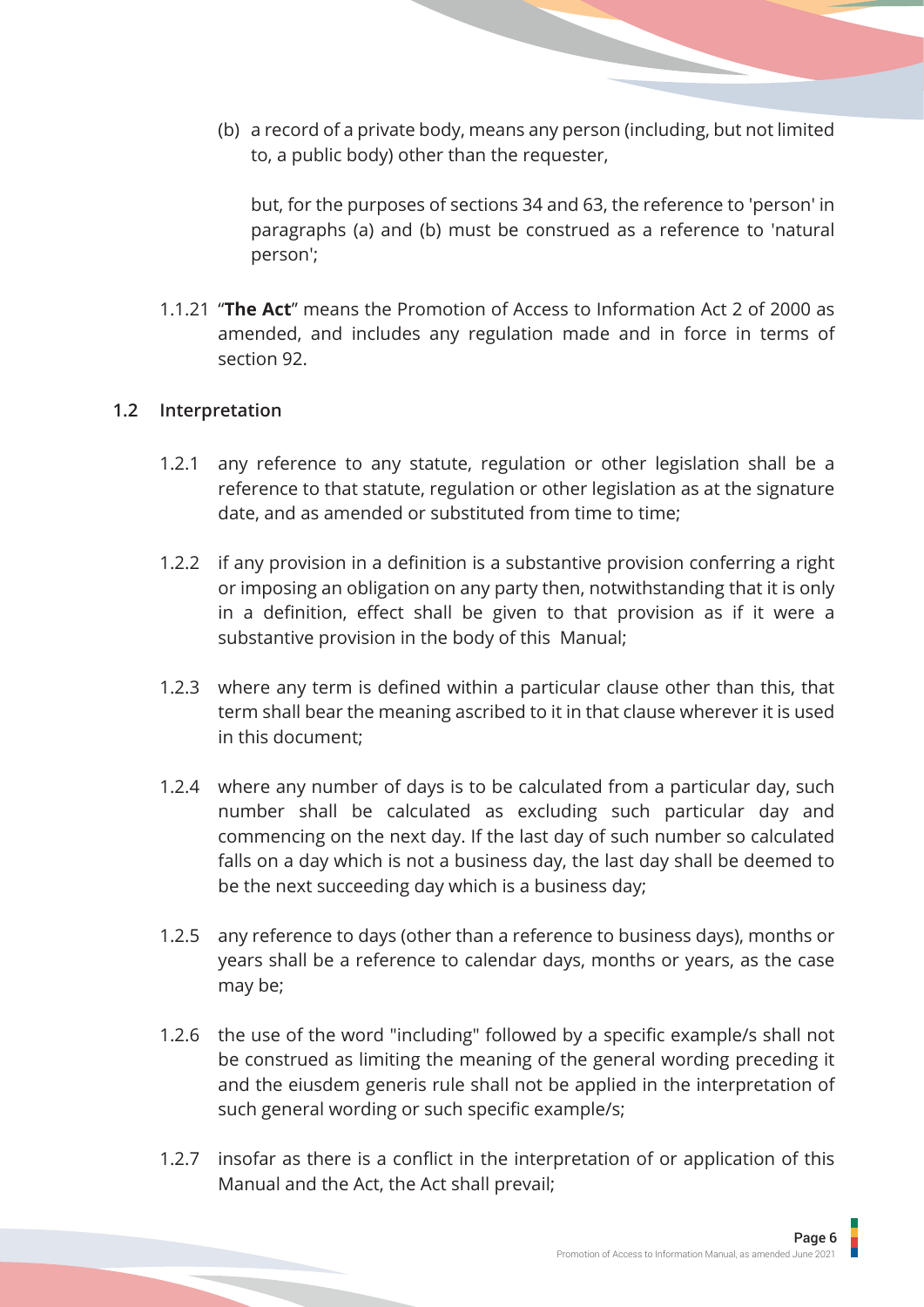(b) a record of a private body, means any person (including, but not limited to, a public body) other than the requester,

but, for the purposes of sections 34 and 63, the reference to 'person' in paragraphs (a) and (b) must be construed as a reference to 'natural person';

1.1.21 "**The Act**" means the Promotion of Access to Information Act 2 of 2000 as amended, and includes any regulation made and in force in terms of section 92.

#### **1.2 Interpretation**

- 1.2.1 any reference to any statute, regulation or other legislation shall be a reference to that statute, regulation or other legislation as at the signature date, and as amended or substituted from time to time;
- 1.2.2 if any provision in a definition is a substantive provision conferring a right or imposing an obligation on any party then, notwithstanding that it is only in a definition, effect shall be given to that provision as if it were a substantive provision in the body of this Manual;
- 1.2.3 where any term is defined within a particular clause other than this, that term shall bear the meaning ascribed to it in that clause wherever it is used in this document;
- 1.2.4 where any number of days is to be calculated from a particular day, such number shall be calculated as excluding such particular day and commencing on the next day. If the last day of such number so calculated falls on a day which is not a business day, the last day shall be deemed to be the next succeeding day which is a business day;
- 1.2.5 any reference to days (other than a reference to business days), months or years shall be a reference to calendar days, months or years, as the case may be;
- 1.2.6 the use of the word "including" followed by a specific example/s shall not be construed as limiting the meaning of the general wording preceding it and the eiusdem generis rule shall not be applied in the interpretation of such general wording or such specific example/s;
- 1.2.7 insofar as there is a conflict in the interpretation of or application of this Manual and the Act, the Act shall prevail;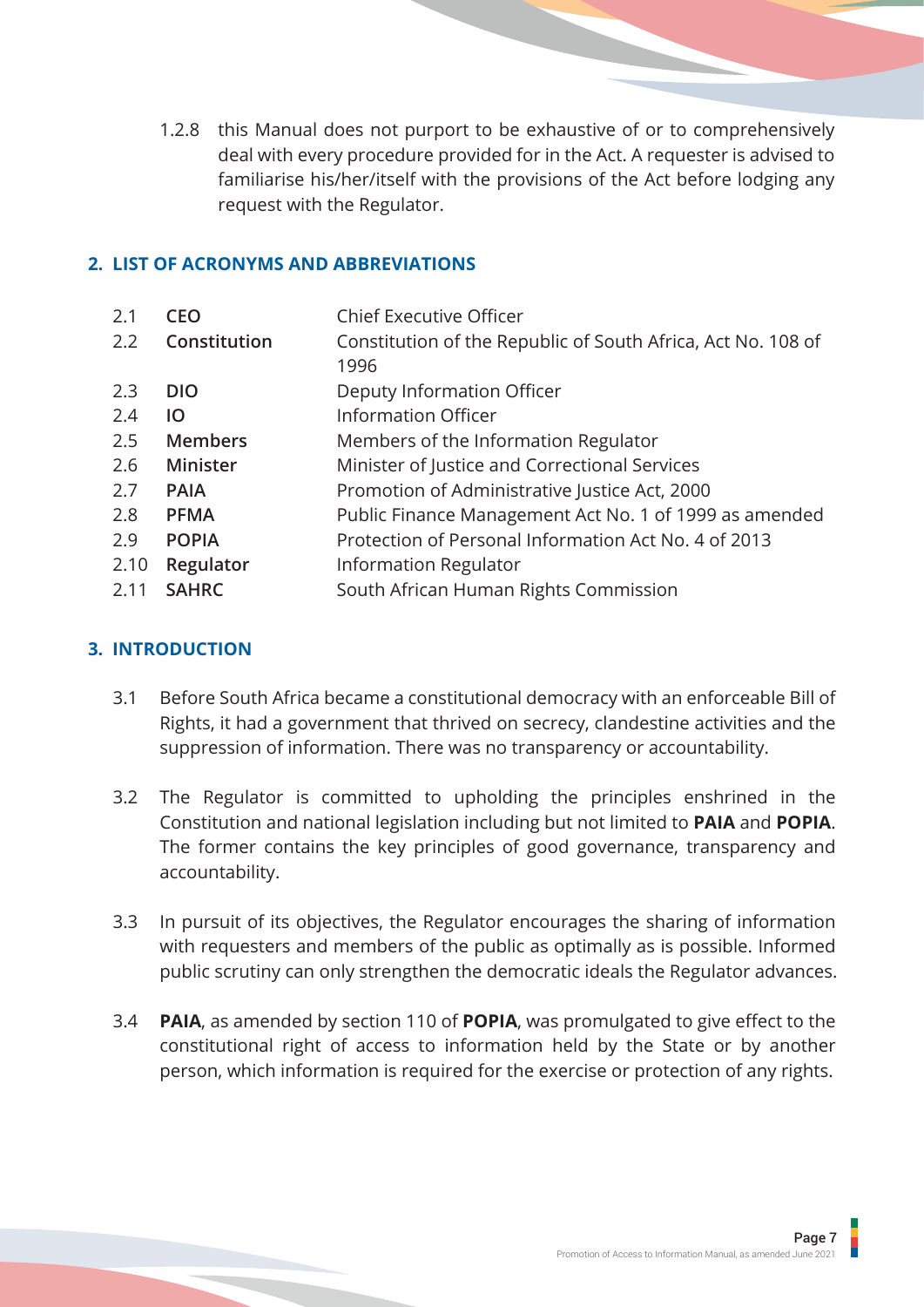<span id="page-9-0"></span>1.2.8 this Manual does not purport to be exhaustive of or to comprehensively deal with every procedure provided for in the Act. A requester is advised to familiarise his/her/itself with the provisions of the Act before lodging any request with the Regulator.

#### **2. LIST OF ACRONYMS AND ABBREVIATIONS**

| 2.1              | <b>CEO</b>      | <b>Chief Executive Officer</b>                                       |
|------------------|-----------------|----------------------------------------------------------------------|
| 2.2 <sub>2</sub> | Constitution    | Constitution of the Republic of South Africa, Act No. 108 of<br>1996 |
| 2.3              | <b>DIO</b>      | Deputy Information Officer                                           |
| 2.4              | IO              | <b>Information Officer</b>                                           |
| 2.5              | <b>Members</b>  | Members of the Information Regulator                                 |
| 2.6              | <b>Minister</b> | Minister of Justice and Correctional Services                        |
| 2.7              | <b>PAIA</b>     | Promotion of Administrative Justice Act, 2000                        |
| 2.8              | <b>PFMA</b>     | Public Finance Management Act No. 1 of 1999 as amended               |
| 2.9              | <b>POPIA</b>    | Protection of Personal Information Act No. 4 of 2013                 |
| 2.10             | Regulator       | <b>Information Regulator</b>                                         |
| 2.11             | <b>SAHRC</b>    | South African Human Rights Commission                                |

## **3. INTRODUCTION**

- 3.1 Before South Africa became a constitutional democracy with an enforceable Bill of Rights, it had a government that thrived on secrecy, clandestine activities and the suppression of information. There was no transparency or accountability.
- 3.2 The Regulator is committed to upholding the principles enshrined in the Constitution and national legislation including but not limited to **PAIA** and **POPIA**. The former contains the key principles of good governance, transparency and accountability.
- 3.3 In pursuit of its objectives, the Regulator encourages the sharing of information with requesters and members of the public as optimally as is possible. Informed public scrutiny can only strengthen the democratic ideals the Regulator advances.
- 3.4 **PAIA**, as amended by section 110 of **POPIA**, was promulgated to give effect to the constitutional right of access to information held by the State or by another person, which information is required for the exercise or protection of any rights.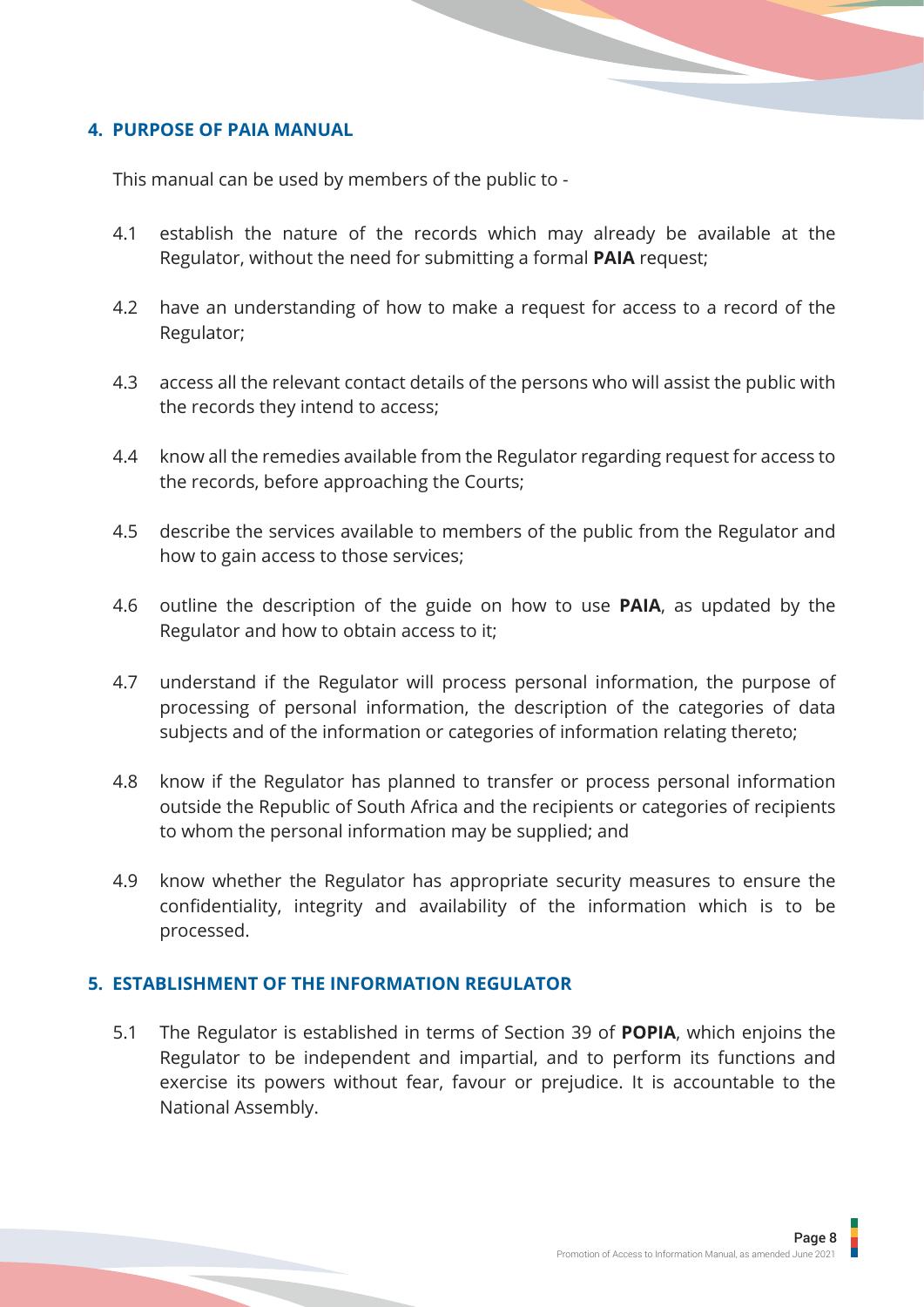#### <span id="page-10-0"></span>**4. PURPOSE OF PAIA MANUAL**

This manual can be used by members of the public to -

- 4.1 establish the nature of the records which may already be available at the Regulator, without the need for submitting a formal **PAIA** request;
- 4.2 have an understanding of how to make a request for access to a record of the Regulator;
- 4.3 access all the relevant contact details of the persons who will assist the public with the records they intend to access;
- 4.4 know all the remedies available from the Regulator regarding request for access to the records, before approaching the Courts;
- 4.5 describe the services available to members of the public from the Regulator and how to gain access to those services;
- 4.6 outline the description of the guide on how to use **PAIA**, as updated by the Regulator and how to obtain access to it;
- 4.7 understand if the Regulator will process personal information, the purpose of processing of personal information, the description of the categories of data subjects and of the information or categories of information relating thereto;
- 4.8 know if the Regulator has planned to transfer or process personal information outside the Republic of South Africa and the recipients or categories of recipients to whom the personal information may be supplied; and
- 4.9 know whether the Regulator has appropriate security measures to ensure the confidentiality, integrity and availability of the information which is to be processed.

#### **5. ESTABLISHMENT OF THE INFORMATION REGULATOR**

5.1 The Regulator is established in terms of Section 39 of **POPIA**, which enjoins the Regulator to be independent and impartial, and to perform its functions and exercise its powers without fear, favour or prejudice. It is accountable to the National Assembly.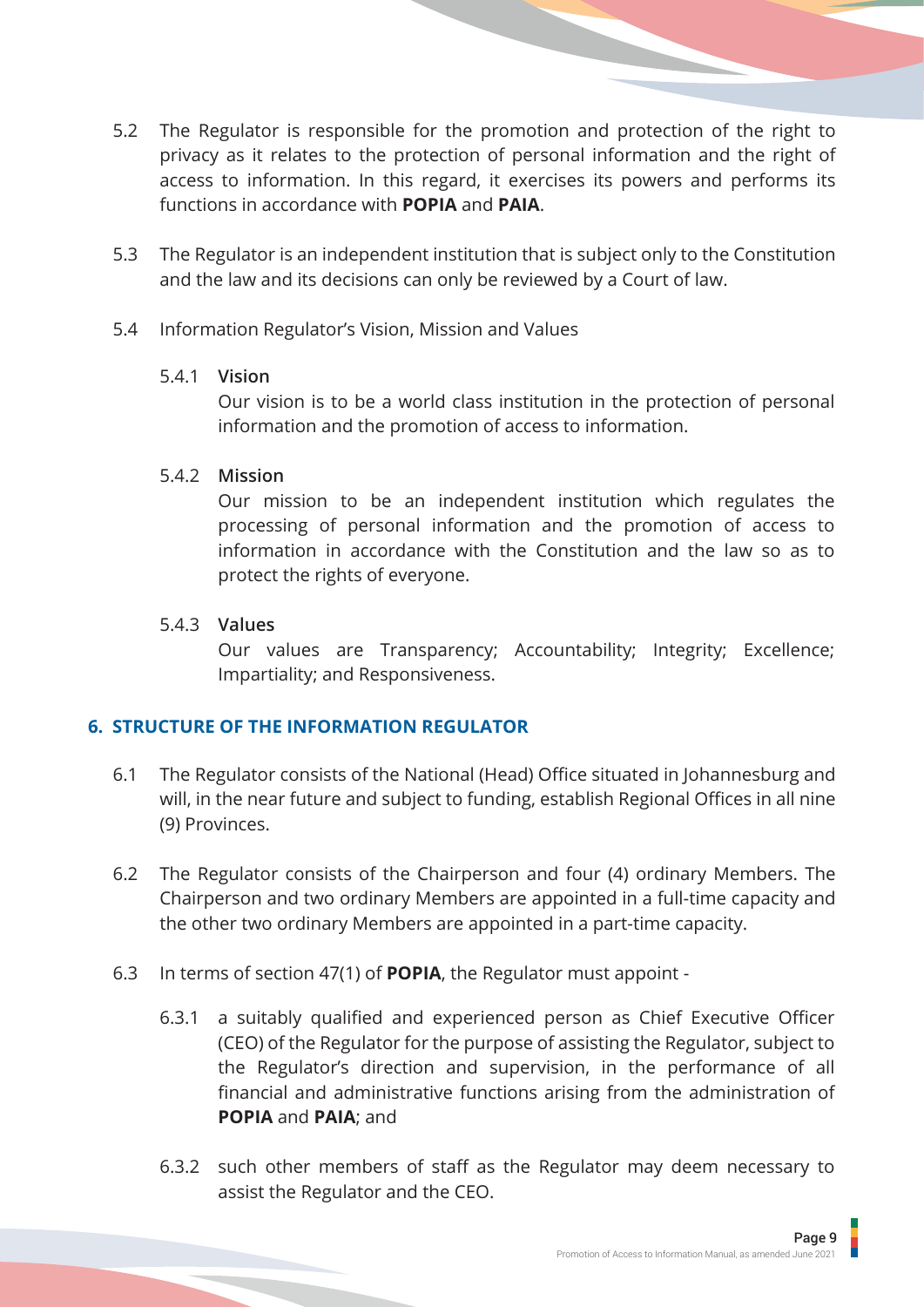- <span id="page-11-0"></span>5.2 The Regulator is responsible for the promotion and protection of the right to privacy as it relates to the protection of personal information and the right of access to information. In this regard, it exercises its powers and performs its functions in accordance with **POPIA** and **PAIA**.
- 5.3 The Regulator is an independent institution that is subject only to the Constitution and the law and its decisions can only be reviewed by a Court of law.
- 5.4 Information Regulator's Vision, Mission and Values

#### 5.4.1 **Vision**

Our vision is to be a world class institution in the protection of personal information and the promotion of access to information.

#### 5.4.2 **Mission**

Our mission to be an independent institution which regulates the processing of personal information and the promotion of access to information in accordance with the Constitution and the law so as to protect the rights of everyone.

#### 5.4.3 **Values**

Our values are Transparency; Accountability; Integrity; Excellence; Impartiality; and Responsiveness.

#### **6. STRUCTURE OF THE INFORMATION REGULATOR**

- 6.1 The Regulator consists of the National (Head) Office situated in Johannesburg and will, in the near future and subject to funding, establish Regional Offices in all nine (9) Provinces.
- 6.2 The Regulator consists of the Chairperson and four (4) ordinary Members. The Chairperson and two ordinary Members are appointed in a full-time capacity and the other two ordinary Members are appointed in a part-time capacity.
- 6.3 In terms of section 47(1) of **POPIA**, the Regulator must appoint -
	- 6.3.1 a suitably qualified and experienced person as Chief Executive Officer (CEO) of the Regulator for the purpose of assisting the Regulator, subject to the Regulator's direction and supervision, in the performance of all financial and administrative functions arising from the administration of **POPIA** and **PAIA**; and
	- 6.3.2 such other members of staff as the Regulator may deem necessary to assist the Regulator and the CEO.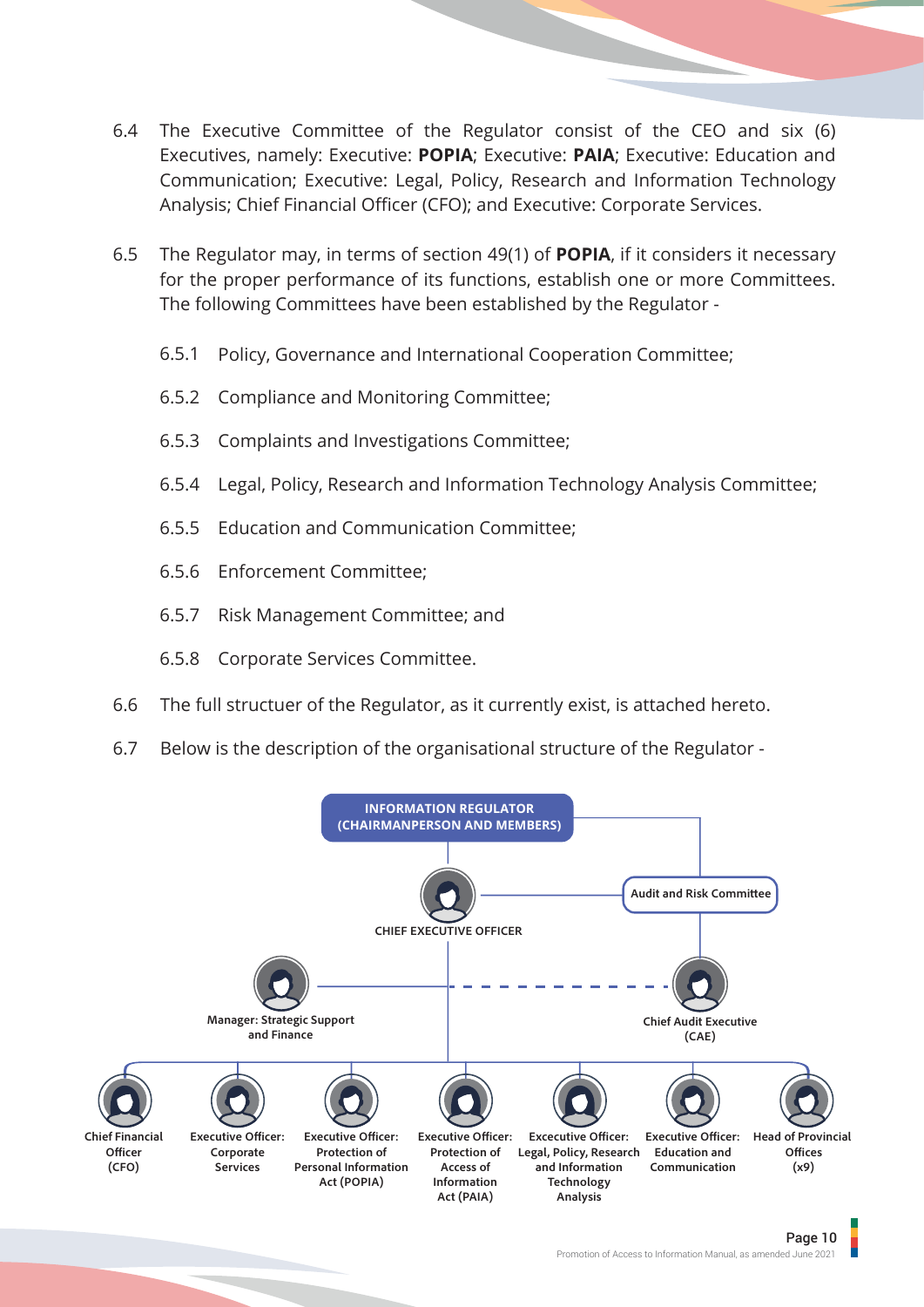- 6.4 The Executive Committee of the Regulator consist of the CEO and six (6) Executives, namely: Executive: **POPIA**; Executive: **PAIA**; Executive: Education and Communication; Executive: Legal, Policy, Research and Information Technology Analysis; Chief Financial Officer (CFO); and Executive: Corporate Services.
- 6.5 The Regulator may, in terms of section 49(1) of **POPIA**, if it considers it necessary for the proper performance of its functions, establish one or more Committees. The following Committees have been established by the Regulator -
	- 6.5.1 Policy, Governance and International Cooperation Committee;
	- 6.5.2 Compliance and Monitoring Committee;
	- 6.5.3 Complaints and Investigations Committee;
	- 6.5.4 Legal, Policy, Research and Information Technology Analysis Committee;
	- 6.5.5 Education and Communication Committee;
	- 6.5.6 Enforcement Committee;
	- 6.5.7 Risk Management Committee; and
	- 6.5.8 Corporate Services Committee.
- 6.6 The full structuer of the Regulator, as it currently exist, is attached hereto.
- 6.7 Below is the description of the organisational structure of the Regulator -

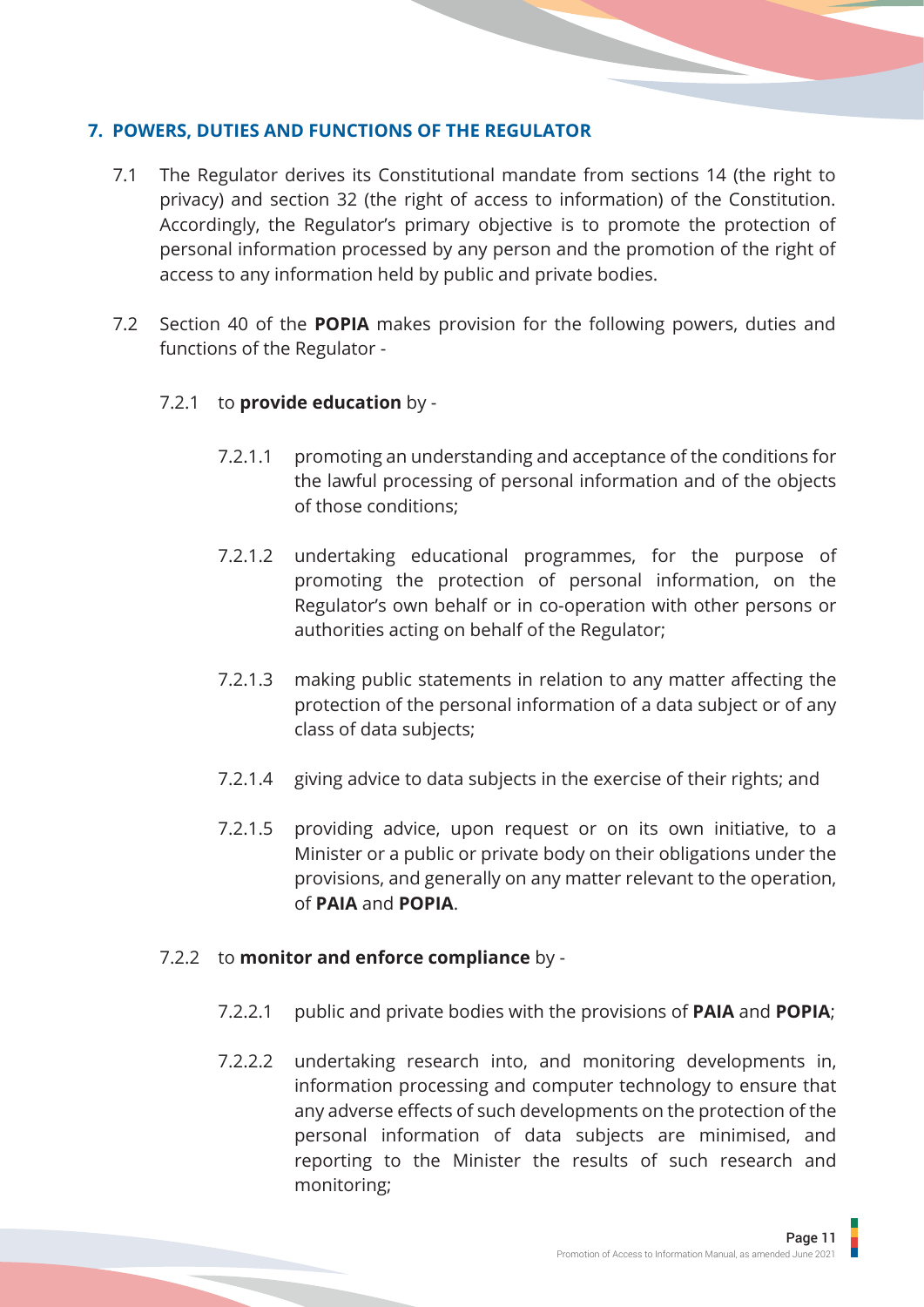#### <span id="page-13-0"></span>**7. POWERS, DUTIES AND FUNCTIONS OF THE REGULATOR**

- 7.1 The Regulator derives its Constitutional mandate from sections 14 (the right to privacy) and section 32 (the right of access to information) of the Constitution. Accordingly, the Regulator's primary objective is to promote the protection of personal information processed by any person and the promotion of the right of access to any information held by public and private bodies.
- 7.2 Section 40 of the **POPIA** makes provision for the following powers, duties and functions of the Regulator -

## 7.2.1 to **provide education** by -

- 7.2.1.1 promoting an understanding and acceptance of the conditions for the lawful processing of personal information and of the objects of those conditions;
- 7.2.1.2 undertaking educational programmes, for the purpose of promoting the protection of personal information, on the Regulator's own behalf or in co-operation with other persons or authorities acting on behalf of the Regulator;
- 7.2.1.3 making public statements in relation to any matter affecting the protection of the personal information of a data subject or of any class of data subjects;
- 7.2.1.4 giving advice to data subjects in the exercise of their rights; and
- 7.2.1.5 providing advice, upon request or on its own initiative, to a Minister or a public or private body on their obligations under the provisions, and generally on any matter relevant to the operation, of **PAIA** and **POPIA**.

#### 7.2.2 to **monitor and enforce compliance** by -

- 7.2.2.1 public and private bodies with the provisions of **PAIA** and **POPIA**;
- 7.2.2.2 undertaking research into, and monitoring developments in, information processing and computer technology to ensure that any adverse effects of such developments on the protection of the personal information of data subjects are minimised, and reporting to the Minister the results of such research and monitoring;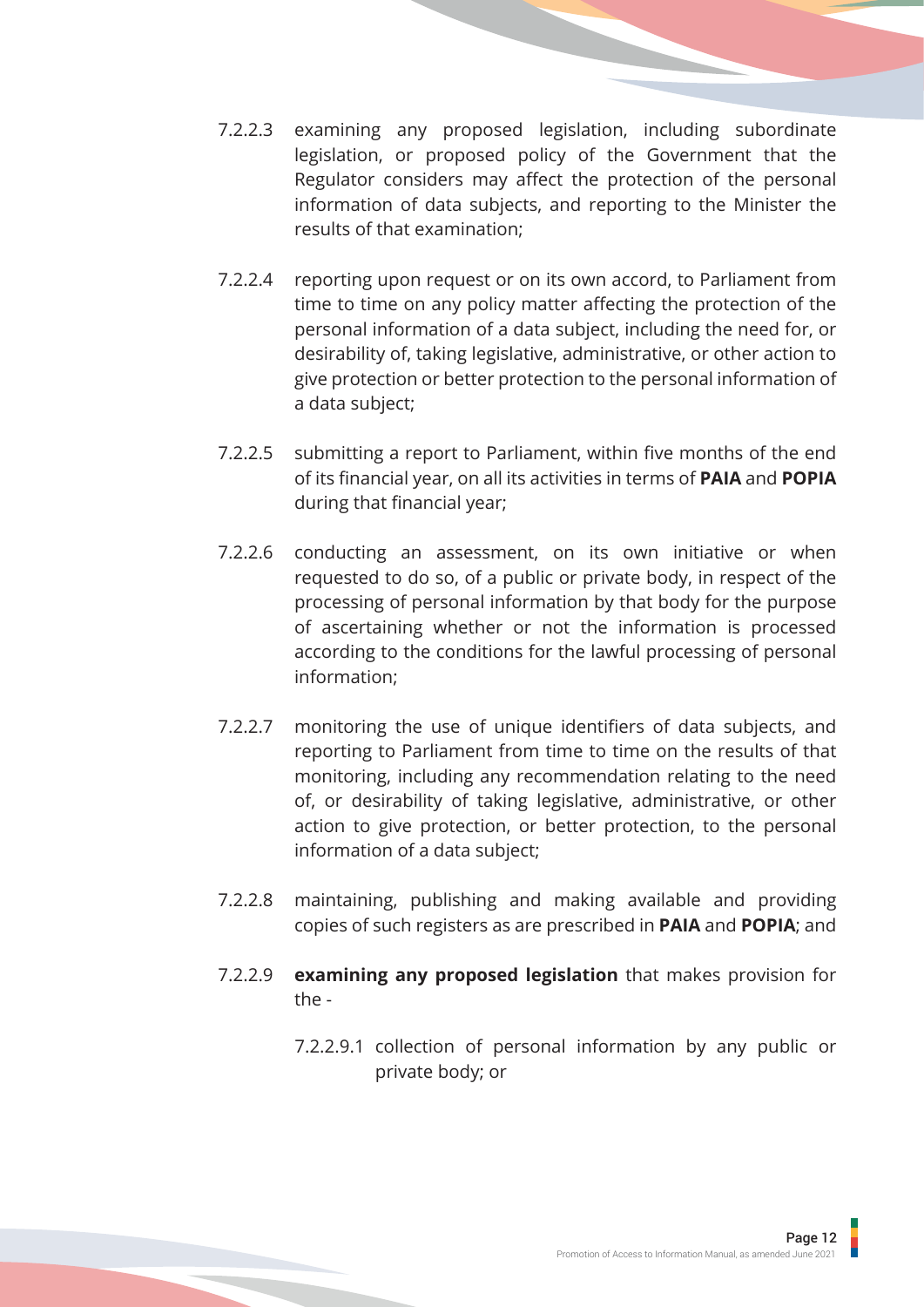- 7.2.2.3 examining any proposed legislation, including subordinate legislation, or proposed policy of the Government that the Regulator considers may affect the protection of the personal information of data subjects, and reporting to the Minister the results of that examination;
- 7.2.2.4 reporting upon request or on its own accord, to Parliament from time to time on any policy matter affecting the protection of the personal information of a data subject, including the need for, or desirability of, taking legislative, administrative, or other action to give protection or better protection to the personal information of a data subject;
- 7.2.2.5 submitting a report to Parliament, within five months of the end of its financial year, on all its activities in terms of **PAIA** and **POPIA** during that financial year;
- 7.2.2.6 conducting an assessment, on its own initiative or when requested to do so, of a public or private body, in respect of the processing of personal information by that body for the purpose of ascertaining whether or not the information is processed according to the conditions for the lawful processing of personal information;
- 7.2.2.7 monitoring the use of unique identifiers of data subjects, and reporting to Parliament from time to time on the results of that monitoring, including any recommendation relating to the need of, or desirability of taking legislative, administrative, or other action to give protection, or better protection, to the personal information of a data subject;
- 7.2.2.8 maintaining, publishing and making available and providing copies of such registers as are prescribed in **PAIA** and **POPIA**; and
- 7.2.2.9 **examining any proposed legislation** that makes provision for the -
	- 7.2.2.9.1 collection of personal information by any public or private body; or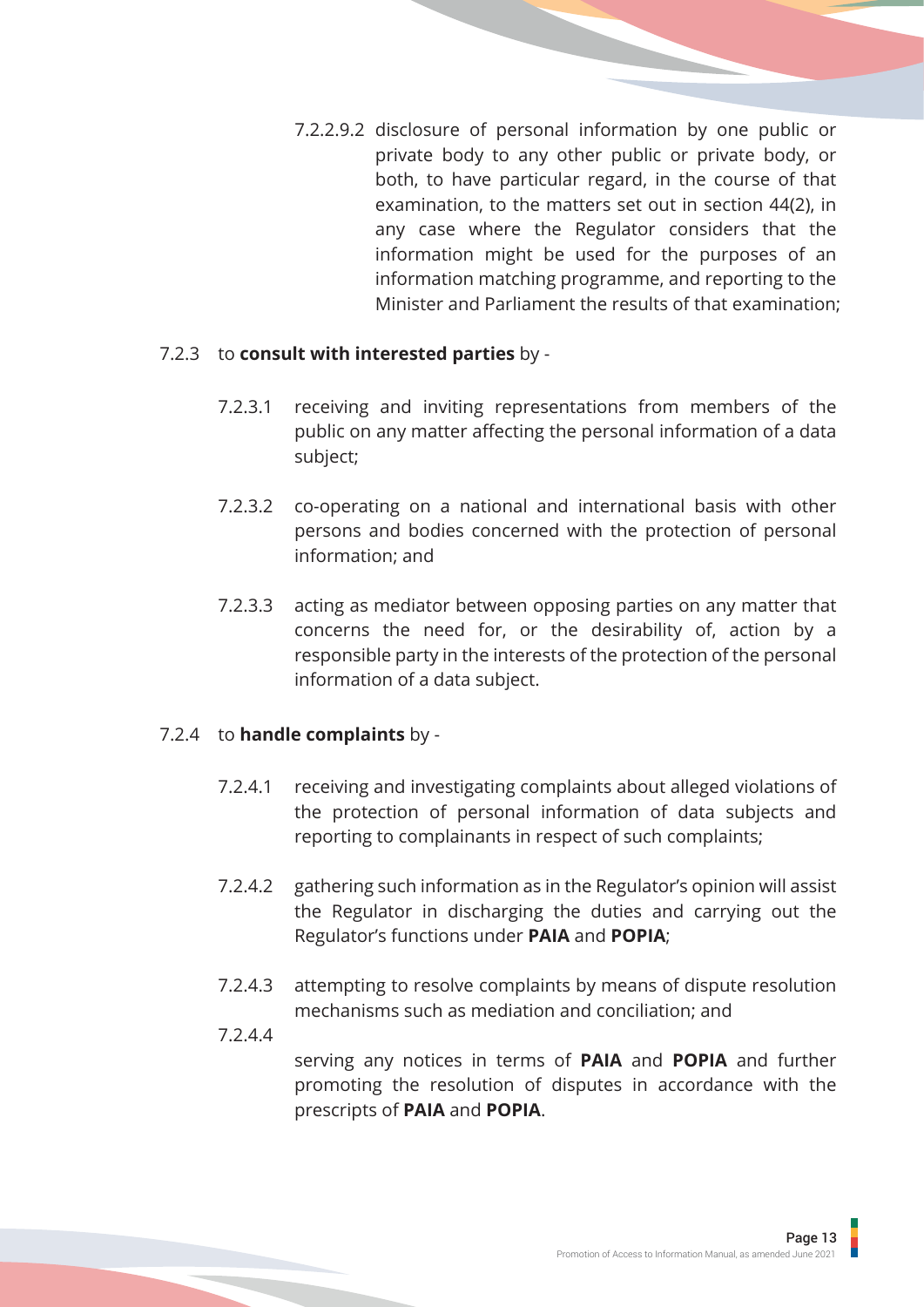7.2.2.9.2 disclosure of personal information by one public or private body to any other public or private body, or both, to have particular regard, in the course of that examination, to the matters set out in section 44(2), in any case where the Regulator considers that the information might be used for the purposes of an information matching programme, and reporting to the Minister and Parliament the results of that examination;

#### 7.2.3 to **consult with interested parties** by -

- 7.2.3.1 receiving and inviting representations from members of the public on any matter affecting the personal information of a data subject;
- 7.2.3.2 co-operating on a national and international basis with other persons and bodies concerned with the protection of personal information; and
- 7.2.3.3 acting as mediator between opposing parties on any matter that concerns the need for, or the desirability of, action by a responsible party in the interests of the protection of the personal information of a data subject.

#### 7.2.4 to **handle complaints** by -

- 7.2.4.1 receiving and investigating complaints about alleged violations of the protection of personal information of data subjects and reporting to complainants in respect of such complaints;
- 7.2.4.2 gathering such information as in the Regulator's opinion will assist the Regulator in discharging the duties and carrying out the Regulator's functions under **PAIA** and **POPIA**;
- 7.2.4.3 attempting to resolve complaints by means of dispute resolution mechanisms such as mediation and conciliation; and
- 7.2.4.4

serving any notices in terms of **PAIA** and **POPIA** and further promoting the resolution of disputes in accordance with the prescripts of **PAIA** and **POPIA**.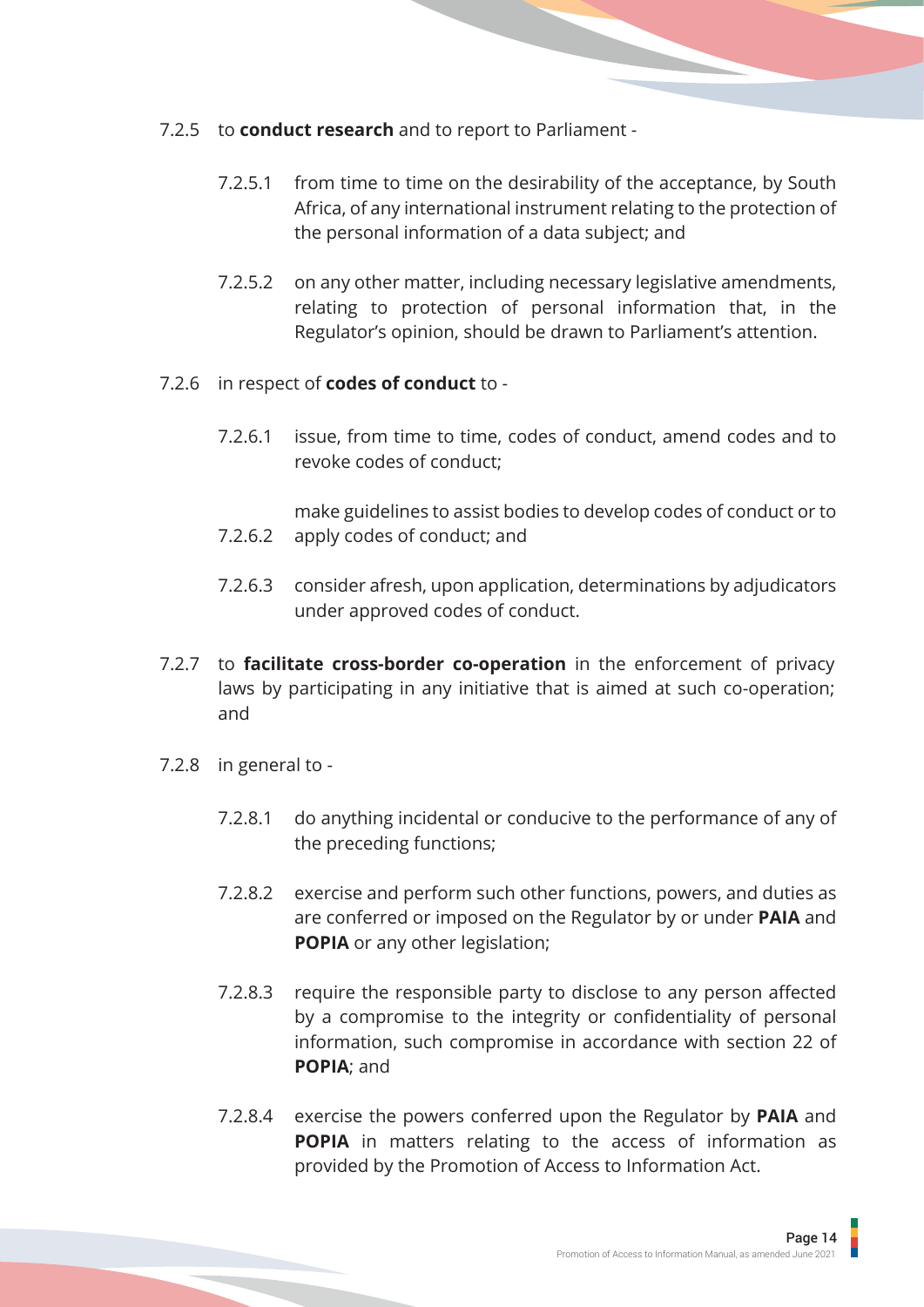- 7.2.5 to **conduct research** and to report to Parliament
	- 7.2.5.1 from time to time on the desirability of the acceptance, by South Africa, of any international instrument relating to the protection of the personal information of a data subject; and
	- 7.2.5.2 on any other matter, including necessary legislative amendments, relating to protection of personal information that, in the Regulator's opinion, should be drawn to Parliament's attention.
- 7.2.6 in respect of **codes of conduct** to
	- 7.2.6.1 issue, from time to time, codes of conduct, amend codes and to revoke codes of conduct;
	- 7.2.6.2 make guidelines to assist bodies to develop codes of conduct or to apply codes of conduct; and
	- 7.2.6.3 consider afresh, upon application, determinations by adjudicators under approved codes of conduct.
- 7.2.7 to **facilitate cross-border co-operation** in the enforcement of privacy laws by participating in any initiative that is aimed at such co-operation; and
- 7.2.8 in general to
	- 7.2.8.1 do anything incidental or conducive to the performance of any of the preceding functions;
	- 7.2.8.2 exercise and perform such other functions, powers, and duties as are conferred or imposed on the Regulator by or under **PAIA** and **POPIA** or any other legislation;
	- 7.2.8.3 require the responsible party to disclose to any person affected by a compromise to the integrity or confidentiality of personal information, such compromise in accordance with section 22 of **POPIA**; and
	- 7.2.8.4 exercise the powers conferred upon the Regulator by **PAIA** and **POPIA** in matters relating to the access of information as provided by the Promotion of Access to Information Act.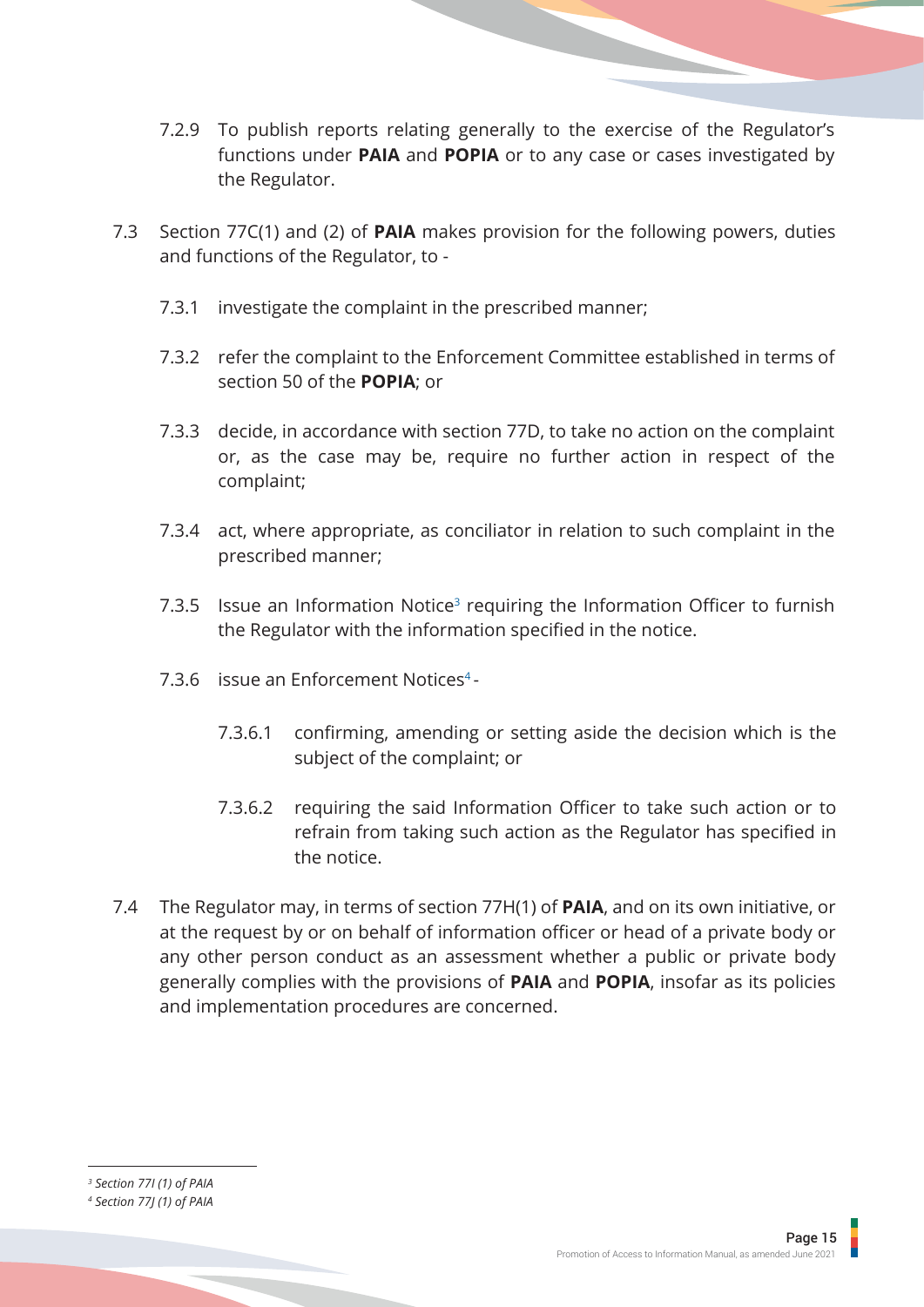- 7.2.9 To publish reports relating generally to the exercise of the Regulator's functions under **PAIA** and **POPIA** or to any case or cases investigated by the Regulator.
- 7.3 Section 77C(1) and (2) of **PAIA** makes provision for the following powers, duties and functions of the Regulator, to -
	- 7.3.1 investigate the complaint in the prescribed manner;
	- 7.3.2 refer the complaint to the Enforcement Committee established in terms of section 50 of the **POPIA**; or
	- 7.3.3 decide, in accordance with section 77D, to take no action on the complaint or, as the case may be, require no further action in respect of the complaint;
	- 7.3.4 act, where appropriate, as conciliator in relation to such complaint in the prescribed manner;
	- 7.3.5 Issue an Information Notice<sup>3</sup> requiring the Information Officer to furnish the Regulator with the information specified in the notice.
	- 7.3.6 issue an Enforcement Notices<sup>4</sup> -
		- 7.3.6.1 confirming, amending or setting aside the decision which is the subject of the complaint; or
		- 7.3.6.2 requiring the said Information Officer to take such action or to refrain from taking such action as the Regulator has specified in the notice.
- 7.4 The Regulator may, in terms of section 77H(1) of **PAIA**, and on its own initiative, or at the request by or on behalf of information officer or head of a private body or any other person conduct as an assessment whether a public or private body generally complies with the provisions of **PAIA** and **POPIA**, insofar as its policies and implementation procedures are concerned.

*3 Section 77I (1) of PAIA*

*<sup>4</sup> Section 77J (1) of PAIA*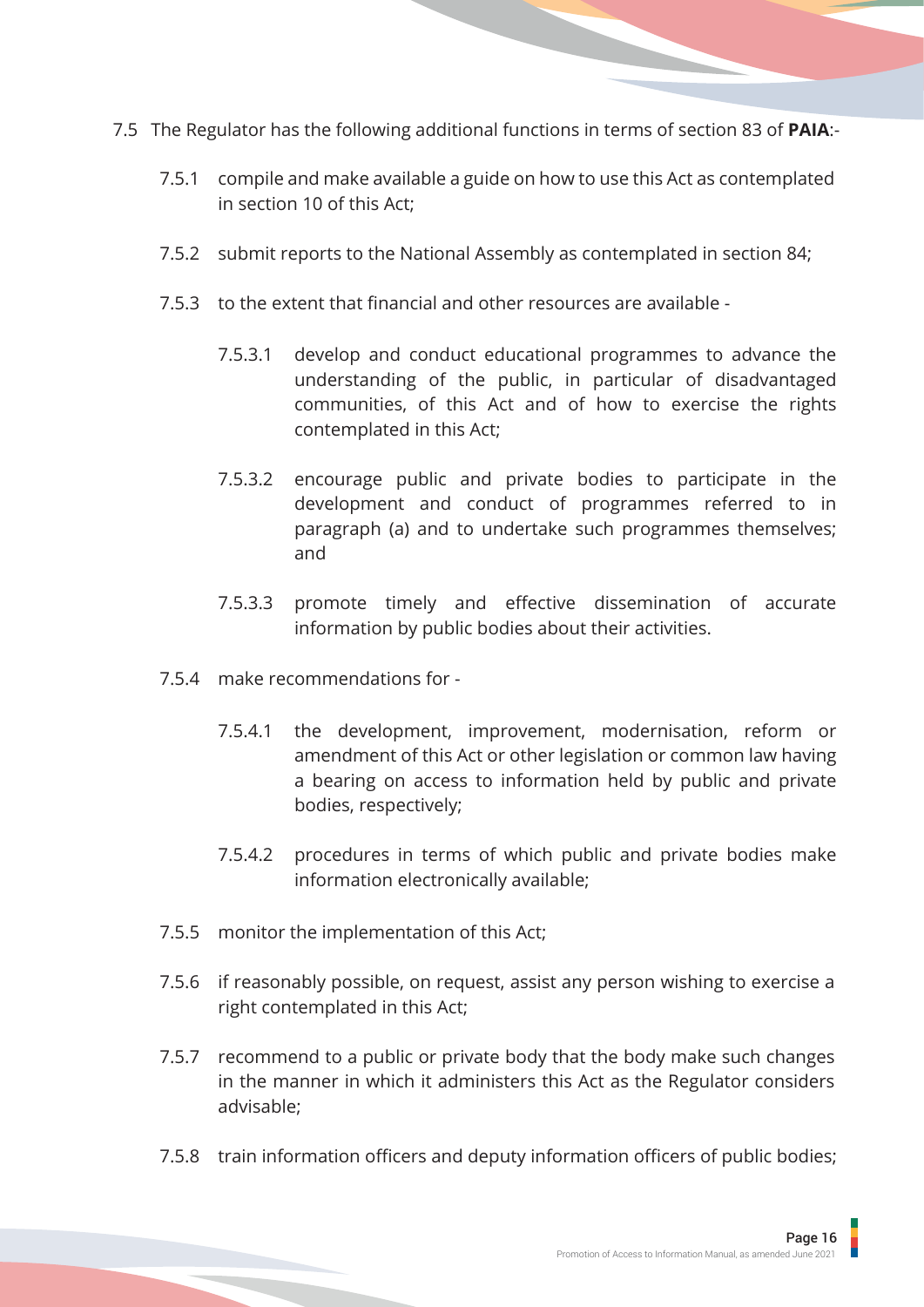- 7.5 The Regulator has the following additional functions in terms of section 83 of **PAIA**:-
	- 7.5.1 compile and make available a guide on how to use this Act as contemplated in section 10 of this Act;
	- 7.5.2 submit reports to the National Assembly as contemplated in section 84;
	- 7.5.3 to the extent that financial and other resources are available
		- 7.5.3.1 develop and conduct educational programmes to advance the understanding of the public, in particular of disadvantaged communities, of this Act and of how to exercise the rights contemplated in this Act;
		- 7.5.3.2 encourage public and private bodies to participate in the development and conduct of programmes referred to in paragraph (a) and to undertake such programmes themselves; and
		- 7.5.3.3 promote timely and effective dissemination of accurate information by public bodies about their activities.
	- 7.5.4 make recommendations for
		- 7.5.4.1 the development, improvement, modernisation, reform or amendment of this Act or other legislation or common law having a bearing on access to information held by public and private bodies, respectively;
		- 7.5.4.2 procedures in terms of which public and private bodies make information electronically available;
	- 7.5.5 monitor the implementation of this Act;
	- 7.5.6 if reasonably possible, on request, assist any person wishing to exercise a right contemplated in this Act;
	- 7.5.7 recommend to a public or private body that the body make such changes in the manner in which it administers this Act as the Regulator considers advisable;
	- 7.5.8 train information officers and deputy information officers of public bodies;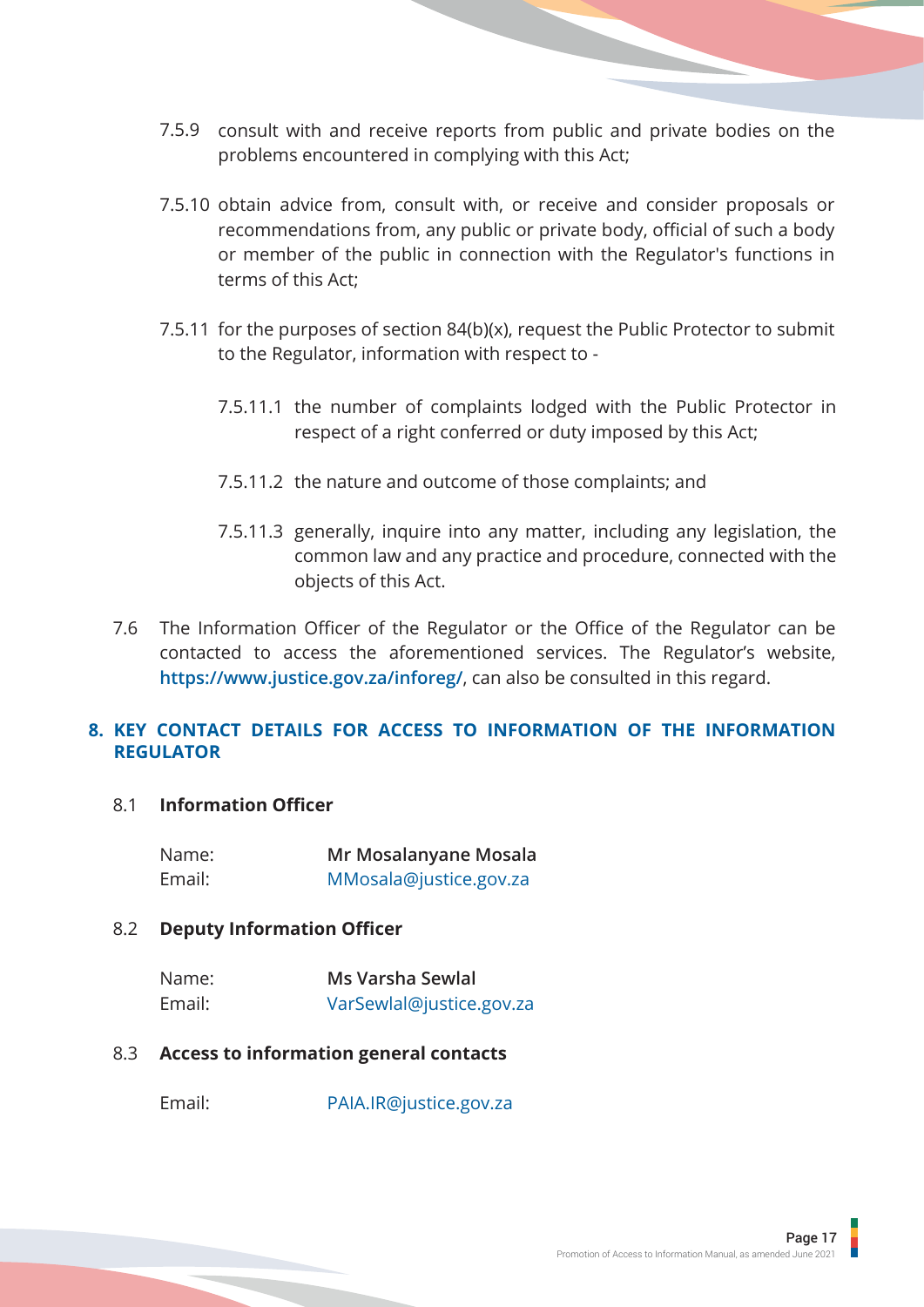- <span id="page-19-0"></span>7.5.9 consult with and receive reports from public and private bodies on the problems encountered in complying with this Act;
- 7.5.10 obtain advice from, consult with, or receive and consider proposals or recommendations from, any public or private body, official of such a body or member of the public in connection with the Regulator's functions in terms of this Act;
- 7.5.11 for the purposes of section 84(b)(x), request the Public Protector to submit to the Regulator, information with respect to -
	- 7.5.11.1 the number of complaints lodged with the Public Protector in respect of a right conferred or duty imposed by this Act;
	- 7.5.11.2 the nature and outcome of those complaints; and
	- 7.5.11.3 generally, inquire into any matter, including any legislation, the common law and any practice and procedure, connected with the objects of this Act.
- 7.6 The Information Officer of the Regulator or the Office of the Regulator can be contacted to access the aforementioned services. The Regulator's website, **https://www.justice.gov.za/inforeg/**, can also be consulted in this regard.

#### **KEY CONTACT DETAILS FOR ACCESS TO INFORMATION OF THE INFORMATION 8.REGULATOR**

#### 8.1 **Information Officer**

| Name:  | Mr Mosalanyane Mosala  |
|--------|------------------------|
| Email: | MMosala@justice.gov.za |

#### 8.2 **Deputy Information Officer**

| Name:  | Ms Varsha Sewlal         |
|--------|--------------------------|
| Email: | VarSewlal@justice.gov.za |

#### 8.3 **Access to information general contacts**

Email: PAIA.IR@justice.gov.za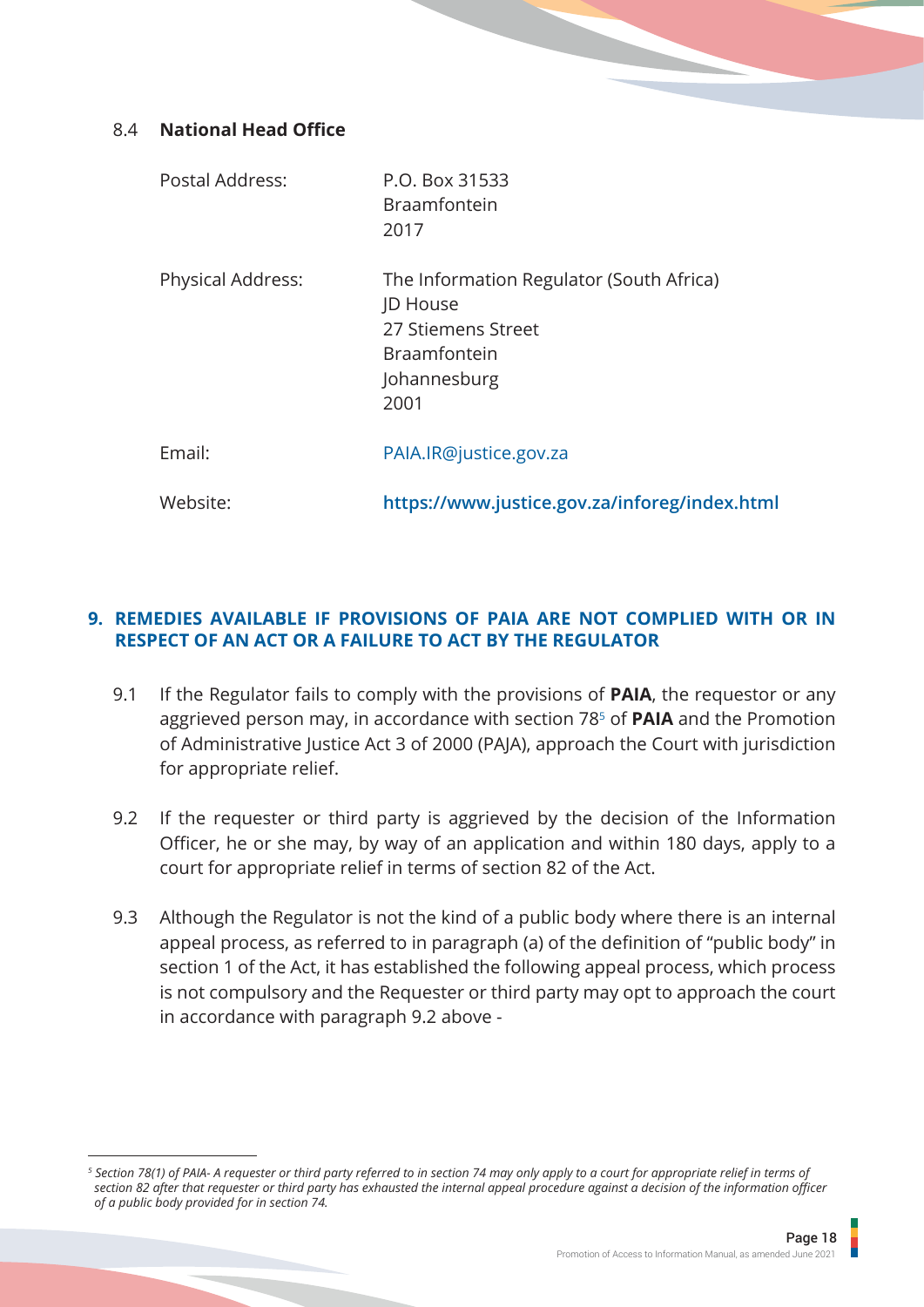#### <span id="page-20-0"></span>8.4 **National Head Office**

| Postal Address:          | P.O. Box 31533<br><b>Braamfontein</b><br>2017                                                                             |
|--------------------------|---------------------------------------------------------------------------------------------------------------------------|
| <b>Physical Address:</b> | The Information Regulator (South Africa)<br>JD House<br>27 Stiemens Street<br><b>Braamfontein</b><br>Johannesburg<br>2001 |
| Email:                   | PAIA.IR@justice.gov.za                                                                                                    |
| Website:                 | https://www.justice.gov.za/inforeg/index.html                                                                             |

#### **REMEDIES AVAILABLE IF PROVISIONS OF PAIA ARE NOT COMPLIED WITH OR IN 9.RESPECT OF AN ACT OR A FAILURE TO ACT BY THE REGULATOR**

- 9.1 If the Regulator fails to comply with the provisions of **PAIA**, the requestor or any aggrieved person may, in accordance with section 785 of **PAIA** and the Promotion of Administrative Justice Act 3 of 2000 (PAJA), approach the Court with jurisdiction for appropriate relief.
- 9.2 If the requester or third party is aggrieved by the decision of the Information Officer, he or she may, by way of an application and within 180 days, apply to a court for appropriate relief in terms of section 82 of the Act.
- 9.3 Although the Regulator is not the kind of a public body where there is an internal appeal process, as referred to in paragraph (a) of the definition of "public body" in section 1 of the Act, it has established the following appeal process, which process is not compulsory and the Requester or third party may opt to approach the court in accordance with paragraph 9.2 above -

*<sup>5</sup> Section 78(1) of PAIA- A requester or third party referred to in section 74 may only apply to a court for appropriate relief in terms of section 82 after that requester or third party has exhausted the internal appeal procedure against a decision of the information officer of a public body provided for in section 74.*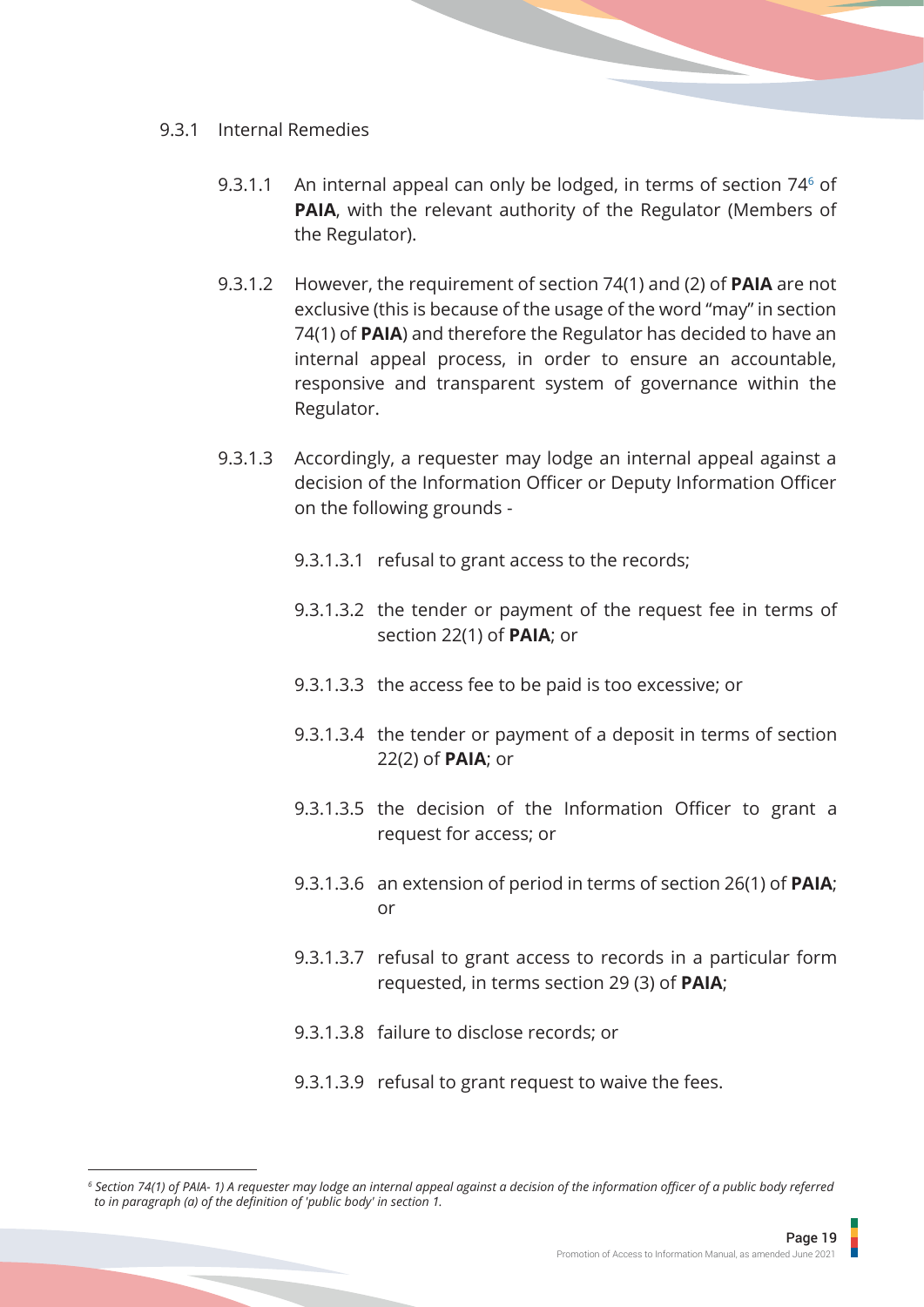#### 9.3.1 Internal Remedies

- 9.3.1.1 An internal appeal can only be lodged, in terms of section 74<sup>6</sup> of **PAIA**, with the relevant authority of the Regulator (Members of the Regulator).
- 9.3.1.2 However, the requirement of section 74(1) and (2) of **PAIA** are not exclusive (this is because of the usage of the word "may" in section 74(1) of **PAIA**) and therefore the Regulator has decided to have an internal appeal process, in order to ensure an accountable, responsive and transparent system of governance within the Regulator.
- 9.3.1.3 Accordingly, a requester may lodge an internal appeal against a decision of the Information Officer or Deputy Information Officer on the following grounds -
	- 9.3.1.3.1 refusal to grant access to the records;
	- 9.3.1.3.2 the tender or payment of the request fee in terms of section 22(1) of **PAIA**; or
	- 9.3.1.3.3 the access fee to be paid is too excessive; or
	- 9.3.1.3.4 the tender or payment of a deposit in terms of section 22(2) of **PAIA**; or
	- 9.3.1.3.5 the decision of the Information Officer to grant a request for access; or
	- 9.3.1.3.6 an extension of period in terms of section 26(1) of **PAIA**; or
	- 9.3.1.3.7 refusal to grant access to records in a particular form requested, in terms section 29 (3) of **PAIA**;
	- 9.3.1.3.8 failure to disclose records; or
	- 9.3.1.3.9 refusal to grant request to waive the fees.

*<sup>6</sup> Section 74(1) of PAIA- 1) A requester may lodge an internal appeal against a decision of the information officer of a public body referred to in paragraph (a) of the definition of 'public body' in section 1.*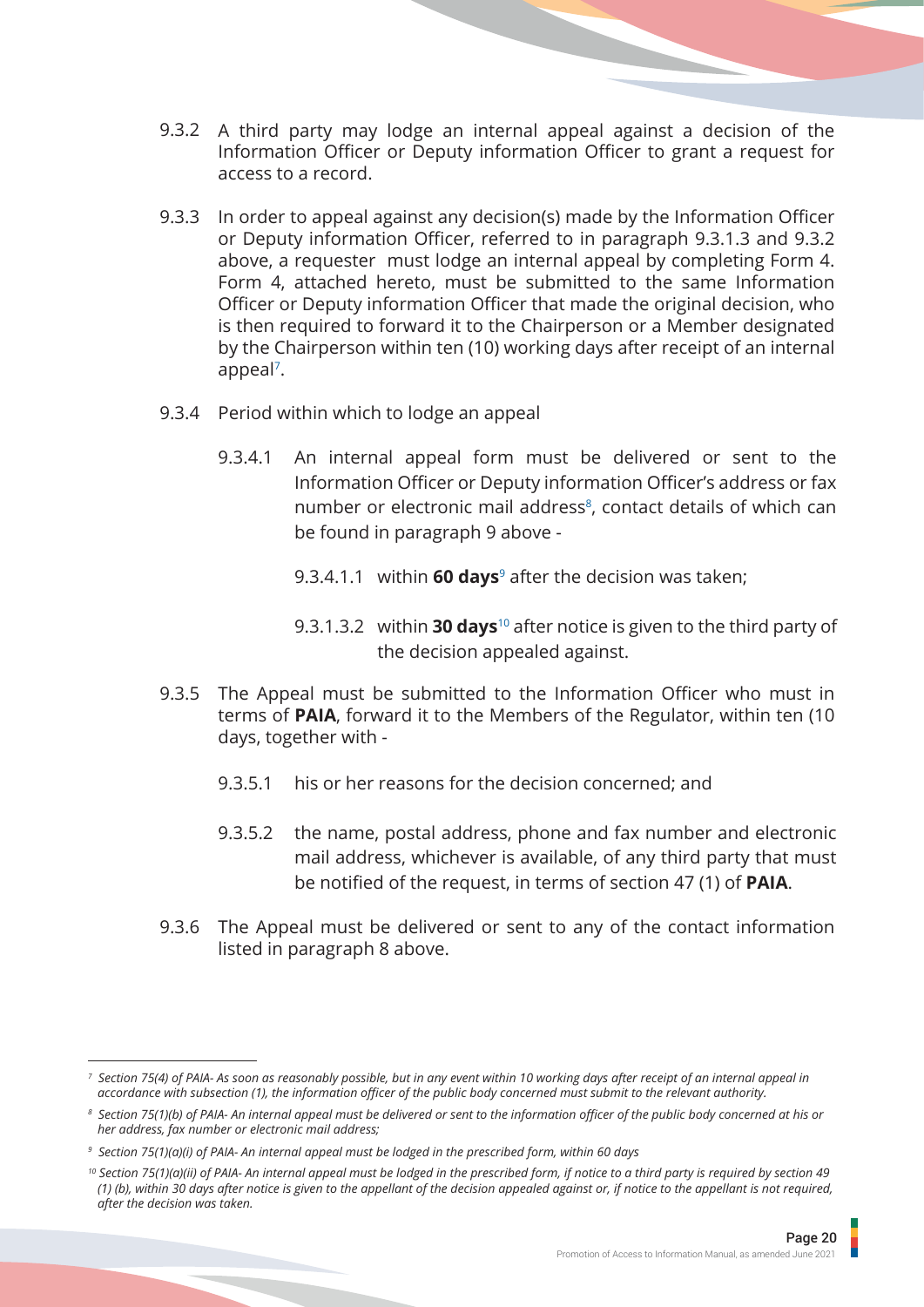- 9.3.2 A third party may lodge an internal appeal against a decision of the Information Officer or Deputy information Officer to grant a request for access to a record.
- 9.3.3 In order to appeal against any decision(s) made by the Information Officer or Deputy information Officer, referred to in paragraph 9.3.1.3 and 9.3.2 above, a requester must lodge an internal appeal by completing Form 4. Form 4, attached hereto, must be submitted to the same Information Officer or Deputy information Officer that made the original decision, who is then required to forward it to the Chairperson or a Member designated by the Chairperson within ten (10) working days after receipt of an internal appeal7.
- 9.3.4 Period within which to lodge an appeal
	- 9.3.4.1 An internal appeal form must be delivered or sent to the Information Officer or Deputy information Officer's address or fax number or electronic mail address<sup>8</sup>, contact details of which can be found in paragraph 9 above -
		- 9.3.4.1.1 within **60 days**9 after the decision was taken;
		- 9.3.1.3.2 within **30 days**10 after notice is given to the third party of the decision appealed against.
- 9.3.5 The Appeal must be submitted to the Information Officer who must in terms of **PAIA**, forward it to the Members of the Regulator, within ten (10 days, together with -
	- 9.3.5.1 his or her reasons for the decision concerned; and
	- 9.3.5.2 the name, postal address, phone and fax number and electronic mail address, whichever is available, of any third party that must be notified of the request, in terms of section 47 (1) of **PAIA**.
- 9.3.6 The Appeal must be delivered or sent to any of the contact information listed in paragraph 8 above.

*<sup>7</sup> Section 75(4) of PAIA- As soon as reasonably possible, but in any event within 10 working days after receipt of an internal appeal in accordance with subsection (1), the information officer of the public body concerned must submit to the relevant authority.*

*<sup>8</sup> Section 75(1)(b) of PAIA- An internal appeal must be delivered or sent to the information officer of the public body concerned at his or her address, fax number or electronic mail address;*

*<sup>9</sup> Section 75(1)(a)(i) of PAIA- An internal appeal must be lodged in the prescribed form, within 60 days*

<sup>&</sup>lt;sup>10</sup> Section 75(1)(a)(ii) of PAIA- An internal appeal must be lodged in the prescribed form, if notice to a third party is required by section 49  *(1) (b), within 30 days after notice is given to the appellant of the decision appealed against or, if notice to the appellant is not required, after the decision was taken.*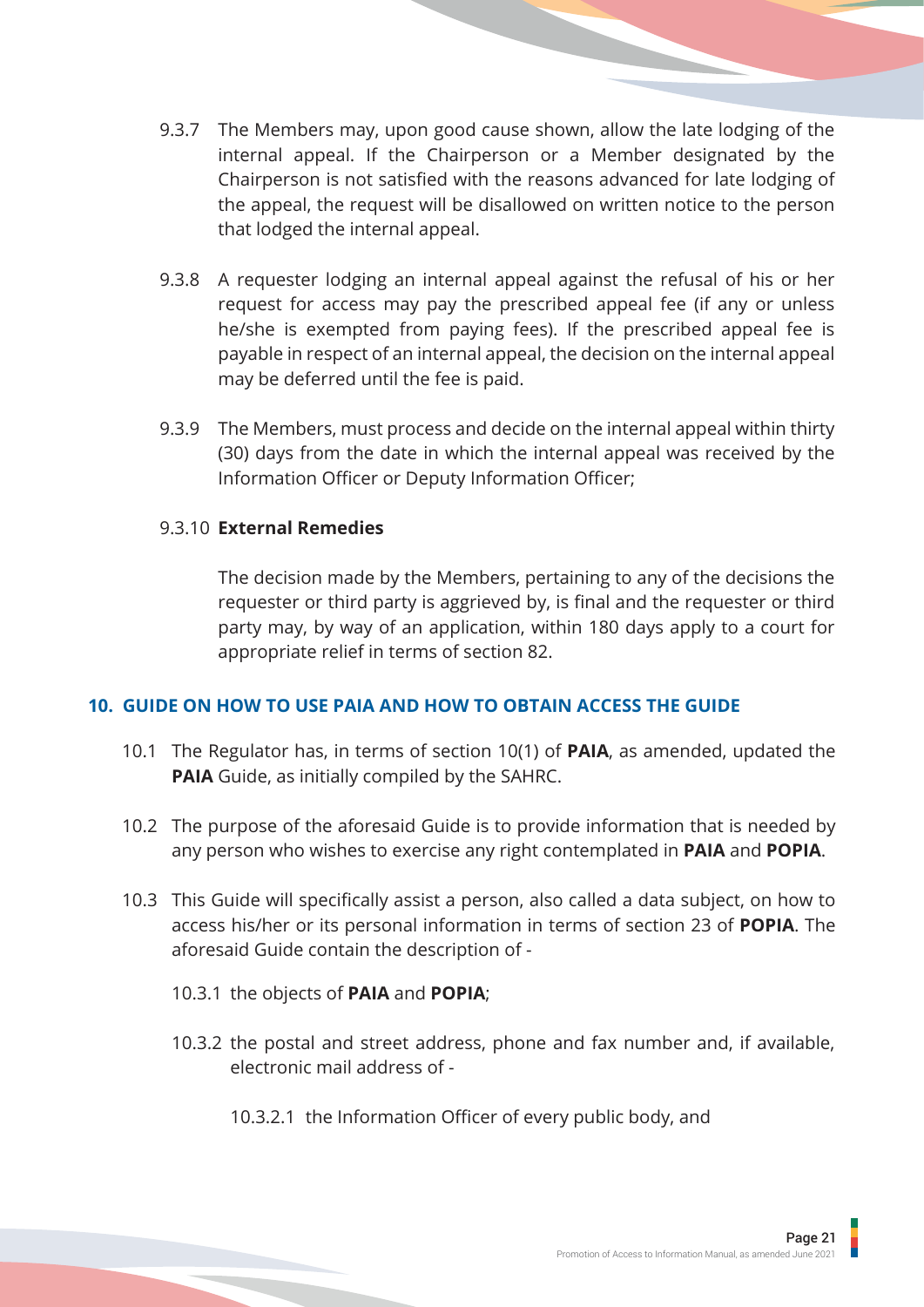- <span id="page-23-0"></span>9.3.7 The Members may, upon good cause shown, allow the late lodging of the internal appeal. If the Chairperson or a Member designated by the Chairperson is not satisfied with the reasons advanced for late lodging of the appeal, the request will be disallowed on written notice to the person that lodged the internal appeal.
- 9.3.8 A requester lodging an internal appeal against the refusal of his or her request for access may pay the prescribed appeal fee (if any or unless he/she is exempted from paying fees). If the prescribed appeal fee is payable in respect of an internal appeal, the decision on the internal appeal may be deferred until the fee is paid.
- 9.3.9 The Members, must process and decide on the internal appeal within thirty (30) days from the date in which the internal appeal was received by the Information Officer or Deputy Information Officer;

#### 9.3.10 **External Remedies**

The decision made by the Members, pertaining to any of the decisions the requester or third party is aggrieved by, is final and the requester or third party may, by way of an application, within 180 days apply to a court for appropriate relief in terms of section 82.

#### **10. GUIDE ON HOW TO USE PAIA AND HOW TO OBTAIN ACCESS THE GUIDE**

- 10.1 The Regulator has, in terms of section 10(1) of **PAIA**, as amended, updated the **PAIA** Guide, as initially compiled by the SAHRC.
- 10.2 The purpose of the aforesaid Guide is to provide information that is needed by any person who wishes to exercise any right contemplated in **PAIA** and **POPIA**.
- 10.3 This Guide will specifically assist a person, also called a data subject, on how to access his/her or its personal information in terms of section 23 of **POPIA**. The aforesaid Guide contain the description of -
	- 10.3.1 the objects of **PAIA** and **POPIA**;
	- 10.3.2 the postal and street address, phone and fax number and, if available, electronic mail address of -
		- 10.3.2.1 the Information Officer of every public body, and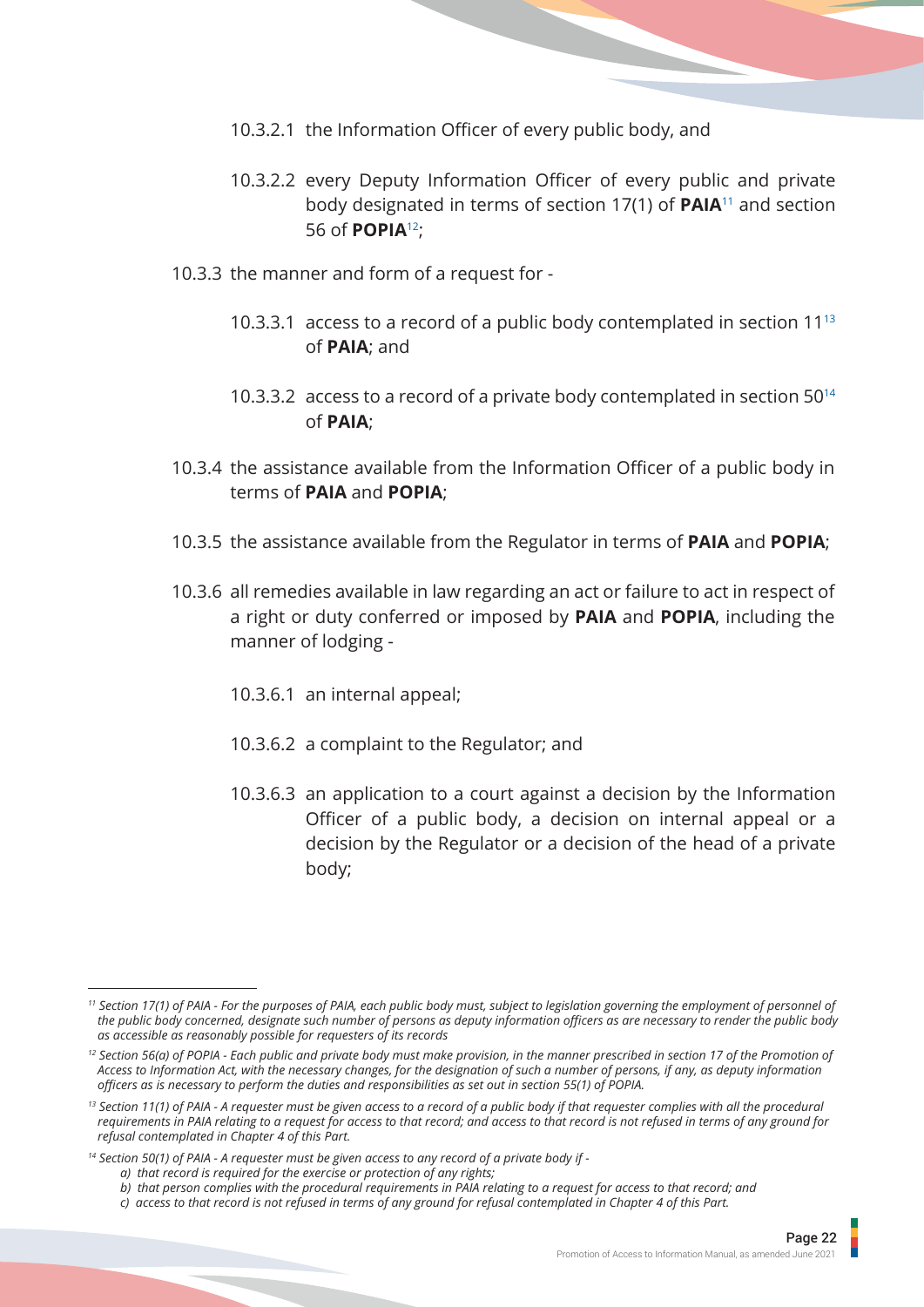- 10.3.2.1 the Information Officer of every public body, and
- 10.3.2.2 every Deputy Information Officer of every public and private body designated in terms of section 17(1) of **PAIA**11 and section 56 of **POPIA**12;
- 10.3.3 the manner and form of a request for
	- 10.3.3.1 access to a record of a public body contemplated in section 11<sup>13</sup> of **PAIA**; and
	- 10.3.3.2 access to a record of a private body contemplated in section 50<sup>14</sup> of **PAIA**;
- 10.3.4 the assistance available from the Information Officer of a public body in terms of **PAIA** and **POPIA**;
- 10.3.5 the assistance available from the Regulator in terms of **PAIA** and **POPIA**;
- 10.3.6 all remedies available in law regarding an act or failure to act in respect of a right or duty conferred or imposed by **PAIA** and **POPIA**, including the manner of lodging -
	- 10.3.6.1 an internal appeal;
	- 10.3.6.2 a complaint to the Regulator; and
	- 10.3.6.3 an application to a court against a decision by the Information Officer of a public body, a decision on internal appeal or a decision by the Regulator or a decision of the head of a private body;

 *b) that person complies with the procedural requirements in PAIA relating to a request for access to that record; and*

*<sup>11</sup> Section 17(1) of PAIA - For the purposes of PAIA, each public body must, subject to legislation governing the employment of personnel of the public body concerned, designate such number of persons as deputy information officers as are necessary to render the public body as accessible as reasonably possible for requesters of its records*

*<sup>12</sup> Section 56(a) of POPIA - Each public and private body must make provision, in the manner prescribed in section 17 of the Promotion of Access to Information Act, with the necessary changes, for the designation of such a number of persons, if any, as deputy information officers as is necessary to perform the duties and responsibilities as set out in section 55(1) of POPIA.*

<sup>&</sup>lt;sup>13</sup> Section 11(1) of PAIA - A requester must be given access to a record of a public body if that requester complies with all the procedural  *requirements in PAIA relating to a request for access to that record; and access to that record is not refused in terms of any ground for refusal contemplated in Chapter 4 of this Part.*

*<sup>14</sup> Section 50(1) of PAIA - A requester must be given access to any record of a private body if -*

*a) that record is required for the exercise or protection of any rights;*

*c) access to that record is not refused in terms of any ground for refusal contemplated in Chapter 4 of this Part.*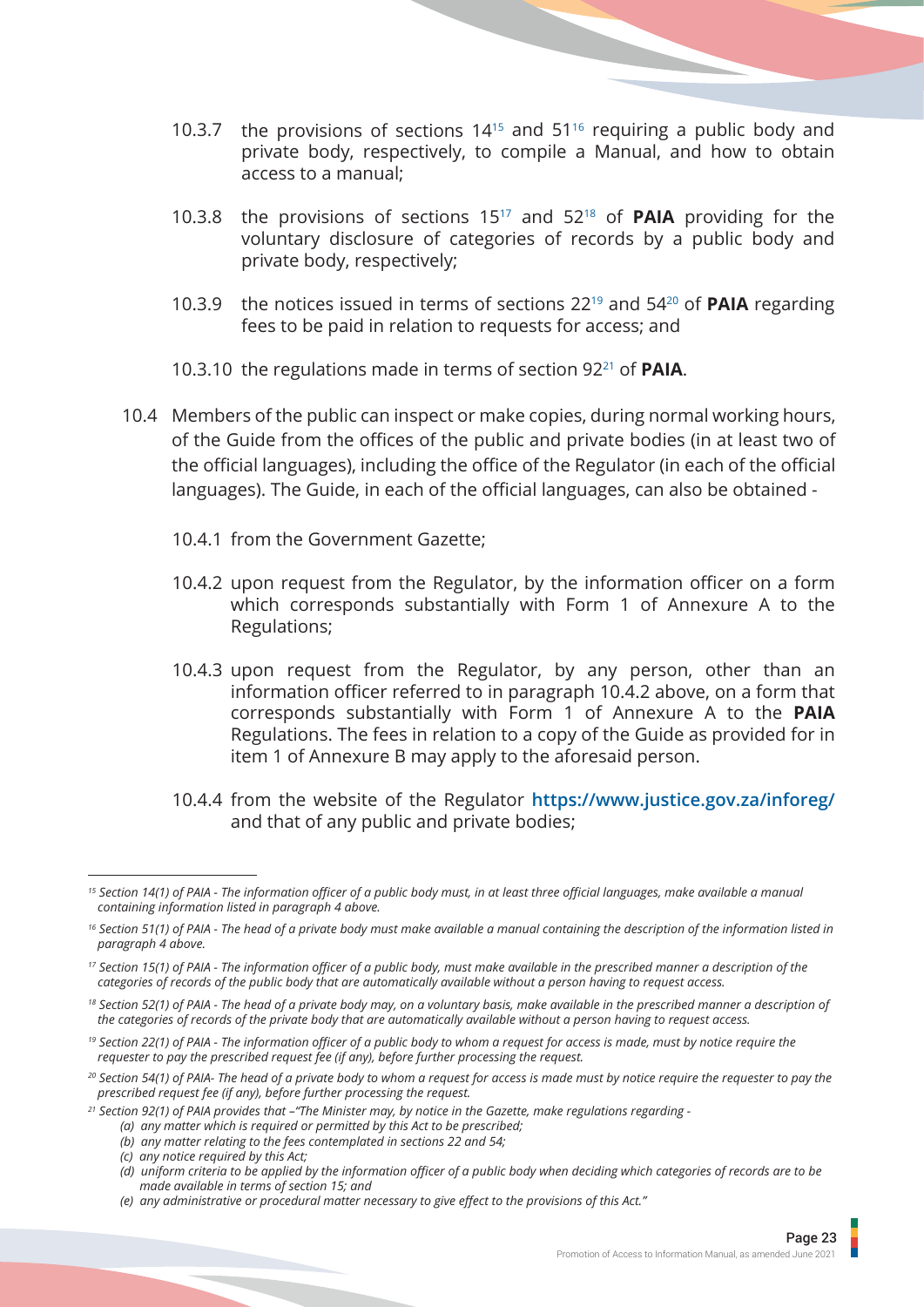- 10.3.7 the provisions of sections 1415 and 5116 requiring a public body and private body, respectively, to compile a Manual, and how to obtain access to a manual;
- 10.3.8 the provisions of sections 1517 and 5218 of **PAIA** providing for the voluntary disclosure of categories of records by a public body and private body, respectively;
- 10.3.9 the notices issued in terms of sections 2219 and 5420 of **PAIA** regarding fees to be paid in relation to requests for access; and
- 10.3.10 the regulations made in terms of section 9221 of **PAIA**.
- 10.4 Members of the public can inspect or make copies, during normal working hours, of the Guide from the offices of the public and private bodies (in at least two of the official languages), including the office of the Regulator (in each of the official languages). The Guide, in each of the official languages, can also be obtained -
	- 10.4.1 from the Government Gazette;
	- 10.4.2 upon request from the Regulator, by the information officer on a form which corresponds substantially with Form 1 of Annexure A to the Regulations;
	- 10.4.3 upon request from the Regulator, by any person, other than an information officer referred to in paragraph 10.4.2 above, on a form that corresponds substantially with Form 1 of Annexure A to the **PAIA**  Regulations. The fees in relation to a copy of the Guide as provided for in item 1 of Annexure B may apply to the aforesaid person.
	- 10.4.4 from the website of the Regulator **https://www.justice.gov.za/inforeg/** and that of any public and private bodies;

*<sup>15</sup> Section 14(1) of PAIA - The information officer of a public body must, in at least three official languages, make available a manual containing information listed in paragraph 4 above.*

*<sup>16</sup> Section 51(1) of PAIA - The head of a private body must make available a manual containing the description of the information listed in paragraph 4 above.*

*<sup>17</sup> Section 15(1) of PAIA - The information officer of a public body, must make available in the prescribed manner a description of the categories of records of the public body that are automatically available without a person having to request access.*

<sup>&</sup>lt;sup>18</sup> Section 52(1) of PAIA - The head of a private body may, on a voluntary basis, make available in the prescribed manner a description of  *the categories of records of the private body that are automatically available without a person having to request access.*

*<sup>19</sup> Section 22(1) of PAIA - The information officer of a public body to whom a request for access is made, must by notice require the requester to pay the prescribed request fee (if any), before further processing the request.*

*<sup>20</sup> Section 54(1) of PAIA- The head of a private body to whom a request for access is made must by notice require the requester to pay the prescribed request fee (if any), before further processing the request.*

*<sup>21</sup> Section 92(1) of PAIA provides that –"The Minister may, by notice in the Gazette, make regulations regarding -*

 *<sup>(</sup>a) any matter which is required or permitted by this Act to be prescribed;*

 *<sup>(</sup>b) any matter relating to the fees contemplated in sections 22 and 54;*

 *<sup>(</sup>c) any notice required by this Act;*

 *<sup>(</sup>d) uniform criteria to be applied by the information officer of a public body when deciding which categories of records are to be made available in terms of section 15; and*

 *<sup>(</sup>e) any administrative or procedural matter necessary to give effect to the provisions of this Act."*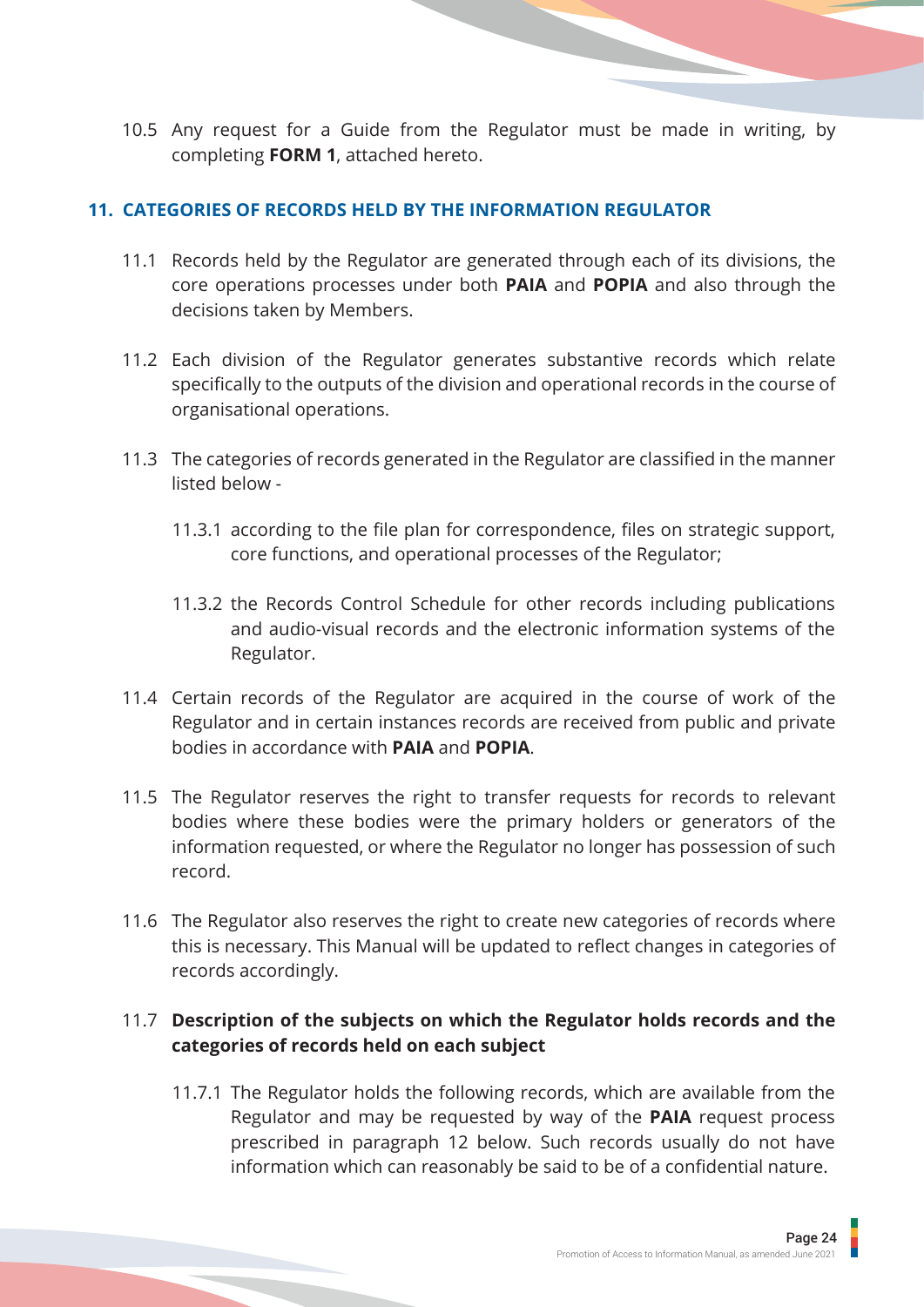<span id="page-26-0"></span>10.5 Any request for a Guide from the Regulator must be made in writing, by completing **FORM 1**, attached hereto.

#### **11. CATEGORIES OF RECORDS HELD BY THE INFORMATION REGULATOR**

- 11.1 Records held by the Regulator are generated through each of its divisions, the core operations processes under both **PAIA** and **POPIA** and also through the decisions taken by Members.
- 11.2 Each division of the Regulator generates substantive records which relate specifically to the outputs of the division and operational records in the course of organisational operations.
- 11.3 The categories of records generated in the Regulator are classified in the manner listed below -
	- 11.3.1 according to the file plan for correspondence, files on strategic support, core functions, and operational processes of the Regulator;
	- 11.3.2 the Records Control Schedule for other records including publications and audio-visual records and the electronic information systems of the Regulator.
- 11.4 Certain records of the Regulator are acquired in the course of work of the Regulator and in certain instances records are received from public and private bodies in accordance with **PAIA** and **POPIA**.
- 11.5 The Regulator reserves the right to transfer requests for records to relevant bodies where these bodies were the primary holders or generators of the information requested, or where the Regulator no longer has possession of such record.
- 11.6 The Regulator also reserves the right to create new categories of records where this is necessary. This Manual will be updated to reflect changes in categories of records accordingly.

## 11.7 **Description of the subjects on which the Regulator holds records and the categories of records held on each subject**

11.7.1 The Regulator holds the following records, which are available from the Regulator and may be requested by way of the **PAIA** request process prescribed in paragraph 12 below. Such records usually do not have information which can reasonably be said to be of a confidential nature.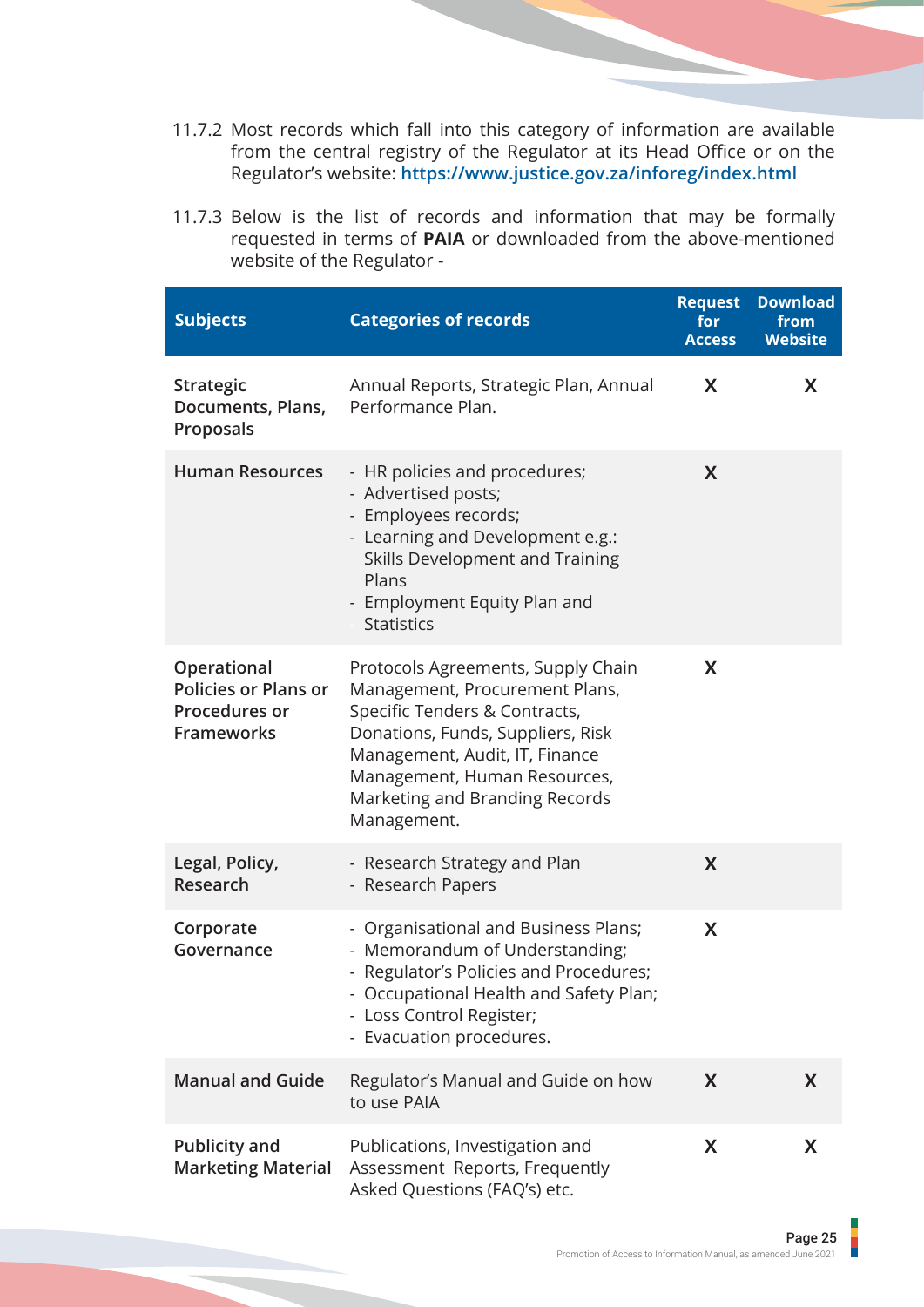- 11.7.2 Most records which fall into this category of information are available from the central registry of the Regulator at its Head Office or on the Regulator's website: **https://www.justice.gov.za/inforeg/index.html**
- 11.7.3 Below is the list of records and information that may be formally requested in terms of **PAIA** or downloaded from the above-mentioned website of the Regulator -

| <b>Subjects</b>                                                                         | <b>Categories of records</b>                                                                                                                                                                                                                                  | <b>Request</b><br>for<br><b>Access</b> | <b>Download</b><br>from<br><b>Website</b> |
|-----------------------------------------------------------------------------------------|---------------------------------------------------------------------------------------------------------------------------------------------------------------------------------------------------------------------------------------------------------------|----------------------------------------|-------------------------------------------|
| <b>Strategic</b><br>Documents, Plans,<br>Proposals                                      | Annual Reports, Strategic Plan, Annual<br>Performance Plan.                                                                                                                                                                                                   | X                                      | X                                         |
| <b>Human Resources</b>                                                                  | - HR policies and procedures;<br>- Advertised posts;<br>- Employees records;<br>- Learning and Development e.g.:<br>Skills Development and Training<br>Plans<br>- Employment Equity Plan and<br><b>Statistics</b>                                             | X                                      |                                           |
| Operational<br><b>Policies or Plans or</b><br><b>Procedures or</b><br><b>Frameworks</b> | Protocols Agreements, Supply Chain<br>Management, Procurement Plans,<br>Specific Tenders & Contracts,<br>Donations, Funds, Suppliers, Risk<br>Management, Audit, IT, Finance<br>Management, Human Resources,<br>Marketing and Branding Records<br>Management. | X                                      |                                           |
| Legal, Policy,<br>Research                                                              | - Research Strategy and Plan<br>- Research Papers                                                                                                                                                                                                             | X                                      |                                           |
| Corporate<br>Governance                                                                 | - Organisational and Business Plans;<br>- Memorandum of Understanding;<br>- Regulator's Policies and Procedures;<br>- Occupational Health and Safety Plan;<br>- Loss Control Register;<br>- Evacuation procedures.                                            | X                                      |                                           |
| <b>Manual and Guide</b>                                                                 | Regulator's Manual and Guide on how<br>to use PAIA                                                                                                                                                                                                            | X                                      | X                                         |
| <b>Publicity and</b><br><b>Marketing Material</b>                                       | Publications, Investigation and<br>Assessment Reports, Frequently<br>Asked Questions (FAQ's) etc.                                                                                                                                                             | X                                      | X                                         |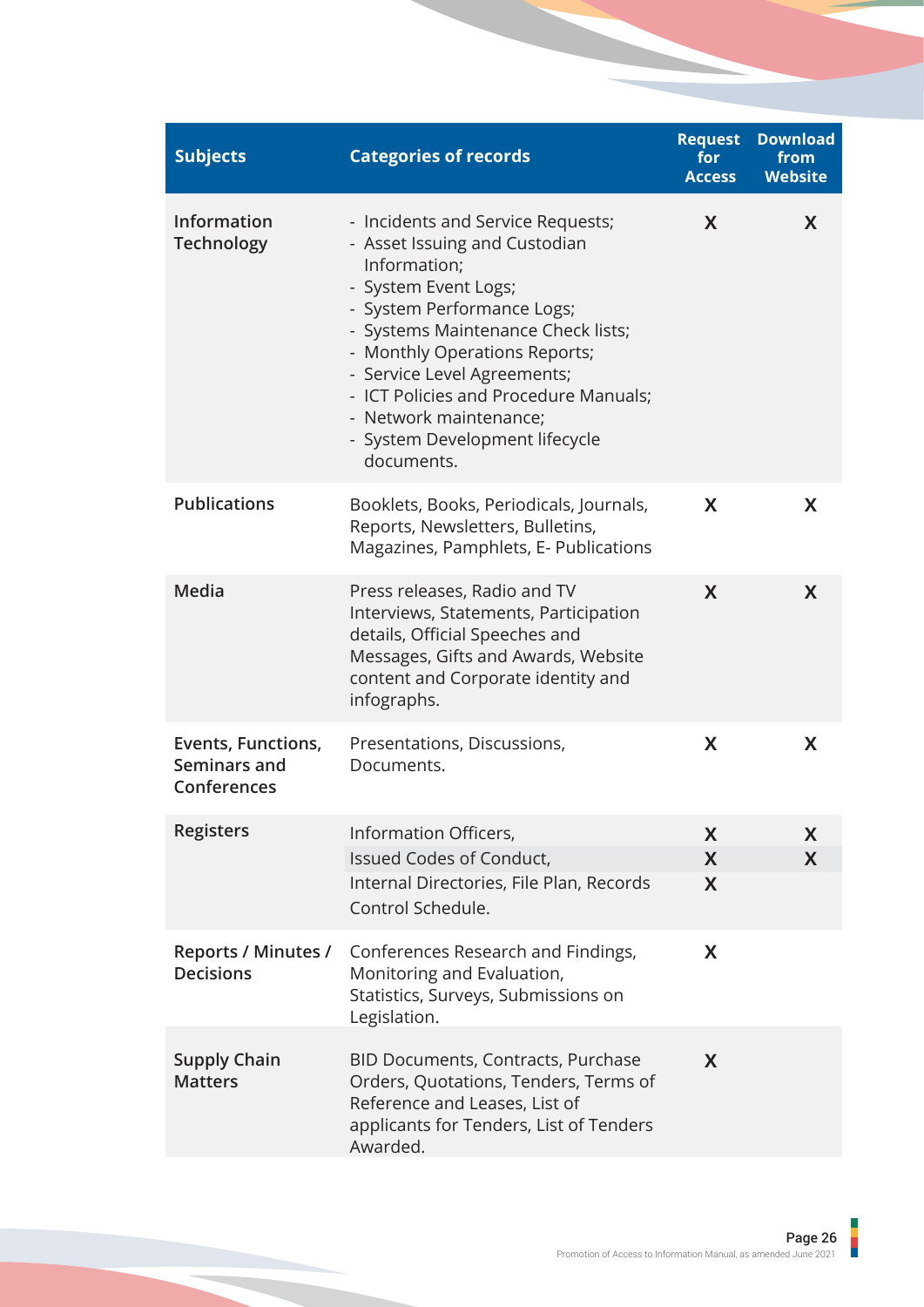| <b>Subjects</b>                                   | <b>Categories of records</b>                                                                                                                                                                                                                                                                                                                                      | <b>Request</b><br>for<br><b>Access</b> | <b>Download</b><br>from<br><b>Website</b> |
|---------------------------------------------------|-------------------------------------------------------------------------------------------------------------------------------------------------------------------------------------------------------------------------------------------------------------------------------------------------------------------------------------------------------------------|----------------------------------------|-------------------------------------------|
| Information<br><b>Technology</b>                  | - Incidents and Service Requests;<br>- Asset Issuing and Custodian<br>Information;<br>- System Event Logs;<br>- System Performance Logs;<br>- Systems Maintenance Check lists;<br>- Monthly Operations Reports;<br>- Service Level Agreements;<br>- ICT Policies and Procedure Manuals;<br>- Network maintenance;<br>- System Development lifecycle<br>documents. | X                                      | X                                         |
| <b>Publications</b>                               | Booklets, Books, Periodicals, Journals,<br>Reports, Newsletters, Bulletins,<br>Magazines, Pamphlets, E- Publications                                                                                                                                                                                                                                              | X                                      | X                                         |
| Media                                             | Press releases, Radio and TV<br>Interviews, Statements, Participation<br>details, Official Speeches and<br>Messages, Gifts and Awards, Website<br>content and Corporate identity and<br>infographs.                                                                                                                                                               | X                                      | X                                         |
| Events, Functions,<br>Seminars and<br>Conferences | Presentations, Discussions,<br>Documents.                                                                                                                                                                                                                                                                                                                         | X                                      | X                                         |
| <b>Registers</b>                                  | Information Officers,                                                                                                                                                                                                                                                                                                                                             | X                                      | X                                         |
|                                                   | Issued Codes of Conduct,                                                                                                                                                                                                                                                                                                                                          | X                                      | X                                         |
|                                                   | Internal Directories, File Plan, Records<br>Control Schedule.                                                                                                                                                                                                                                                                                                     | X                                      |                                           |
| <b>Reports / Minutes /</b><br><b>Decisions</b>    | Conferences Research and Findings,<br>Monitoring and Evaluation,<br>Statistics, Surveys, Submissions on<br>Legislation.                                                                                                                                                                                                                                           | X                                      |                                           |
| <b>Supply Chain</b><br><b>Matters</b>             | BID Documents, Contracts, Purchase<br>Orders, Quotations, Tenders, Terms of<br>Reference and Leases, List of<br>applicants for Tenders, List of Tenders<br>Awarded.                                                                                                                                                                                               | X                                      |                                           |

j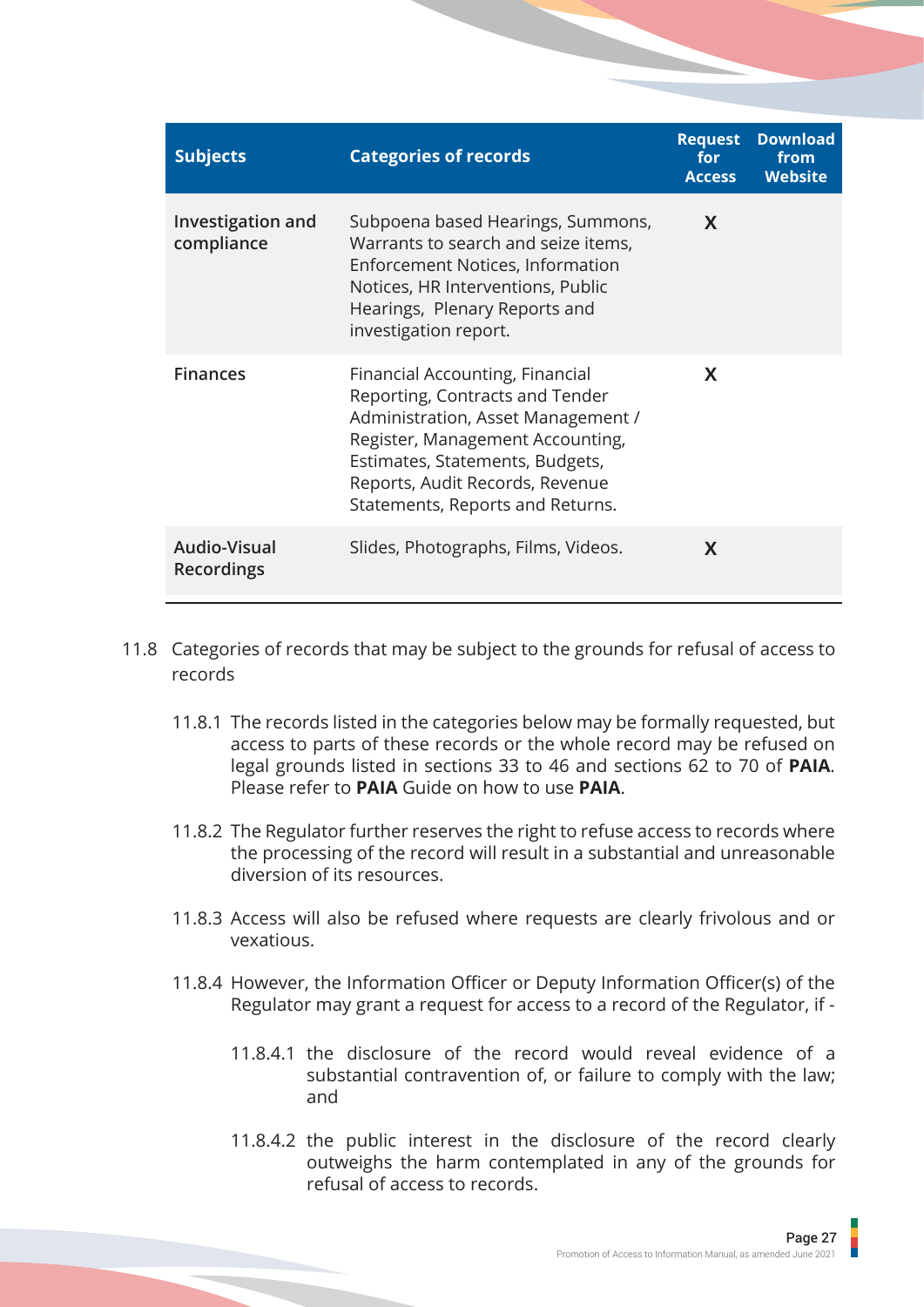| <b>Subjects</b>                          | <b>Categories of records</b>                                                                                                                                                                                                                           | <b>Request</b><br>for<br><b>Access</b> | <b>Download</b><br>from<br><b>Website</b> |
|------------------------------------------|--------------------------------------------------------------------------------------------------------------------------------------------------------------------------------------------------------------------------------------------------------|----------------------------------------|-------------------------------------------|
| Investigation and<br>compliance          | Subpoena based Hearings, Summons,<br>Warrants to search and seize items,<br><b>Enforcement Notices, Information</b><br>Notices, HR Interventions, Public<br>Hearings, Plenary Reports and<br>investigation report.                                     | X                                      |                                           |
| <b>Finances</b>                          | Financial Accounting, Financial<br>Reporting, Contracts and Tender<br>Administration, Asset Management /<br>Register, Management Accounting,<br>Estimates, Statements, Budgets,<br>Reports, Audit Records, Revenue<br>Statements, Reports and Returns. | X                                      |                                           |
| <b>Audio-Visual</b><br><b>Recordings</b> | Slides, Photographs, Films, Videos.                                                                                                                                                                                                                    | X                                      |                                           |

- 11.8 Categories of records that may be subject to the grounds for refusal of access to records
	- 11.8.1 The records listed in the categories below may be formally requested, but access to parts of these records or the whole record may be refused on legal grounds listed in sections 33 to 46 and sections 62 to 70 of **PAIA**. Please refer to **PAIA** Guide on how to use **PAIA**.
	- 11.8.2 The Regulator further reserves the right to refuse access to records where the processing of the record will result in a substantial and unreasonable diversion of its resources.
	- 11.8.3 Access will also be refused where requests are clearly frivolous and or vexatious.
	- 11.8.4 However, the Information Officer or Deputy Information Officer(s) of the Regulator may grant a request for access to a record of the Regulator, if -
		- 11.8.4.1 the disclosure of the record would reveal evidence of a substantial contravention of, or failure to comply with the law; and
		- 11.8.4.2 the public interest in the disclosure of the record clearly outweighs the harm contemplated in any of the grounds for refusal of access to records.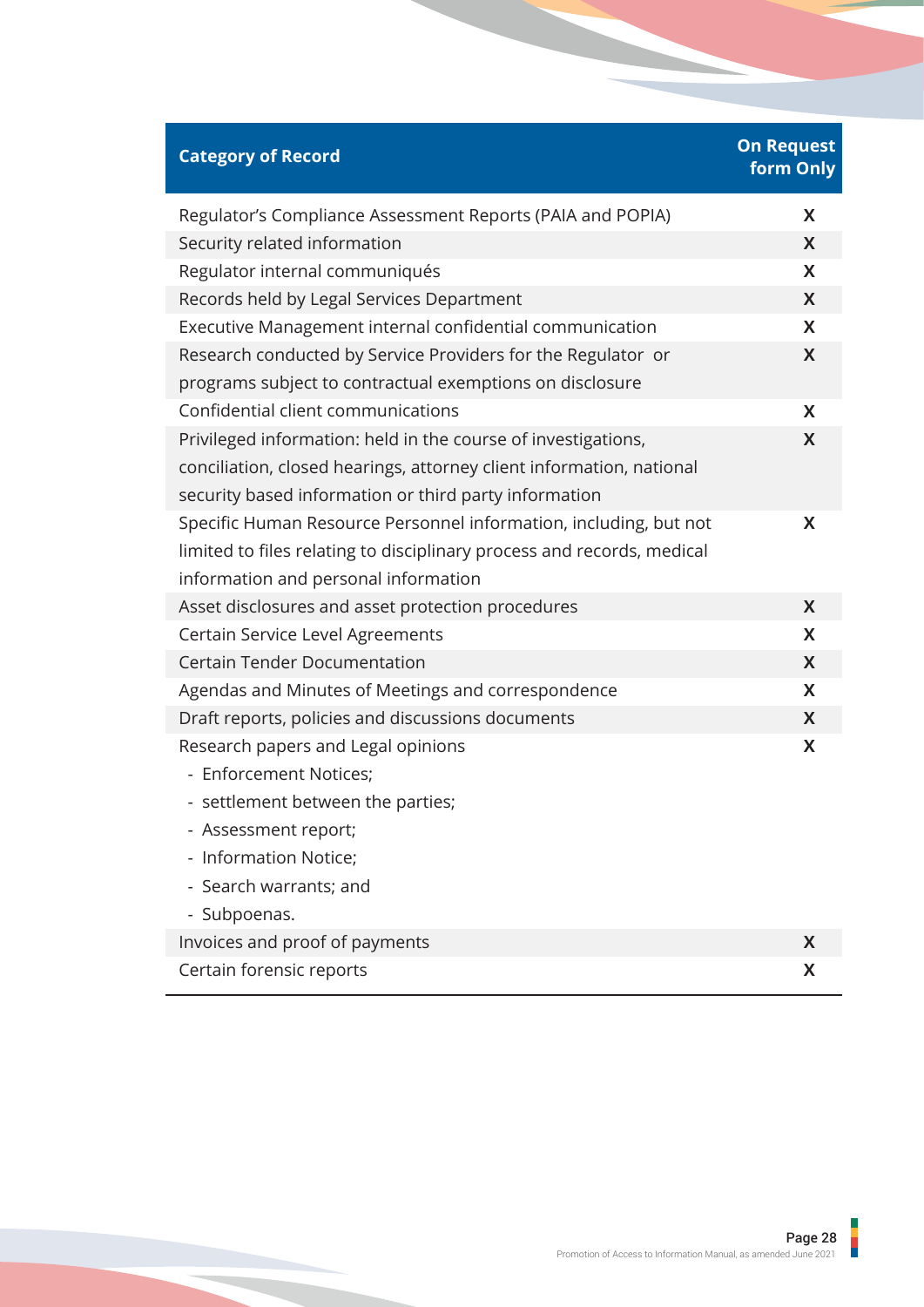| <b>Category of Record</b>                                                                                                                                                                      | <b>On Request</b><br>form Only |
|------------------------------------------------------------------------------------------------------------------------------------------------------------------------------------------------|--------------------------------|
| Regulator's Compliance Assessment Reports (PAIA and POPIA)                                                                                                                                     | X                              |
| Security related information                                                                                                                                                                   | X                              |
| Regulator internal communiqués                                                                                                                                                                 | X                              |
| Records held by Legal Services Department                                                                                                                                                      | X                              |
| Executive Management internal confidential communication                                                                                                                                       | X                              |
| Research conducted by Service Providers for the Regulator or<br>programs subject to contractual exemptions on disclosure                                                                       | X                              |
| Confidential client communications                                                                                                                                                             | X                              |
| Privileged information: held in the course of investigations,<br>conciliation, closed hearings, attorney client information, national<br>security based information or third party information | X                              |
| Specific Human Resource Personnel information, including, but not<br>limited to files relating to disciplinary process and records, medical<br>information and personal information            | X                              |
| Asset disclosures and asset protection procedures                                                                                                                                              | X                              |
| Certain Service Level Agreements                                                                                                                                                               | X                              |
| <b>Certain Tender Documentation</b>                                                                                                                                                            | X                              |
| Agendas and Minutes of Meetings and correspondence                                                                                                                                             | X                              |
| Draft reports, policies and discussions documents                                                                                                                                              | X                              |
| Research papers and Legal opinions<br>- Enforcement Notices;<br>- settlement between the parties;<br>- Assessment report;<br>- Information Notice;<br>- Search warrants; and<br>- Subpoenas.   | X                              |
| Invoices and proof of payments                                                                                                                                                                 | X                              |
| Certain forensic reports                                                                                                                                                                       | X                              |

ı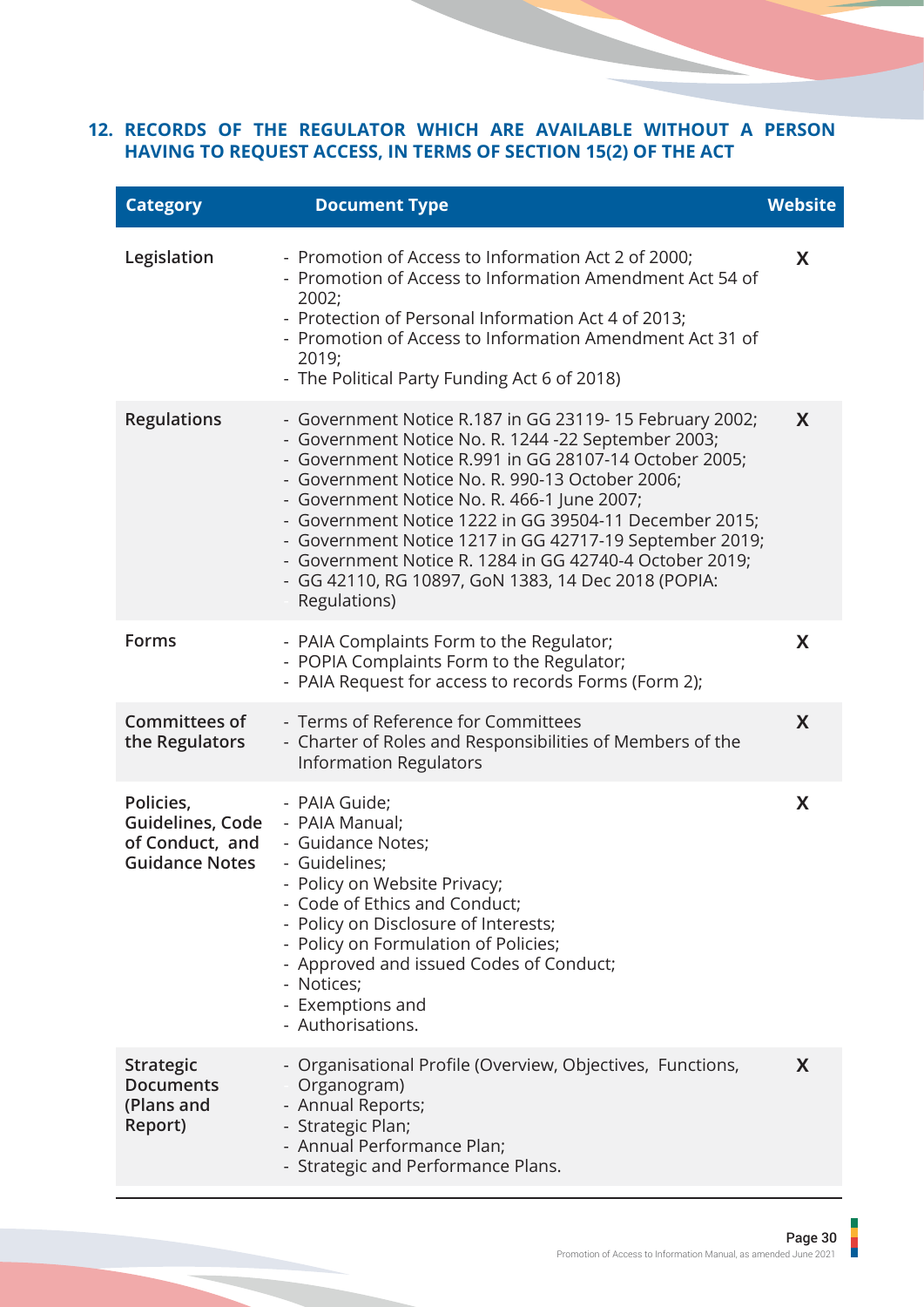#### <span id="page-31-0"></span>**RECORDS OF THE REGULATOR WHICH ARE AVAILABLE WITHOUT A PERSON 12.HAVING TO REQUEST ACCESS, IN TERMS OF SECTION 15(2) OF THE ACT**

| <b>Category</b>                                                                          | <b>Document Type</b>                                                                                                                                                                                                                                                                                                                                                                                                                                                                                                              | <b>Website</b> |
|------------------------------------------------------------------------------------------|-----------------------------------------------------------------------------------------------------------------------------------------------------------------------------------------------------------------------------------------------------------------------------------------------------------------------------------------------------------------------------------------------------------------------------------------------------------------------------------------------------------------------------------|----------------|
| Legislation                                                                              | - Promotion of Access to Information Act 2 of 2000;<br>- Promotion of Access to Information Amendment Act 54 of<br>2002;<br>- Protection of Personal Information Act 4 of 2013;<br>- Promotion of Access to Information Amendment Act 31 of<br>2019;<br>- The Political Party Funding Act 6 of 2018)                                                                                                                                                                                                                              | X              |
| <b>Regulations</b>                                                                       | - Government Notice R.187 in GG 23119-15 February 2002;<br>- Government Notice No. R. 1244 -22 September 2003;<br>- Government Notice R.991 in GG 28107-14 October 2005;<br>- Government Notice No. R. 990-13 October 2006;<br>- Government Notice No. R. 466-1 June 2007;<br>- Government Notice 1222 in GG 39504-11 December 2015;<br>- Government Notice 1217 in GG 42717-19 September 2019;<br>- Government Notice R. 1284 in GG 42740-4 October 2019;<br>- GG 42110, RG 10897, GoN 1383, 14 Dec 2018 (POPIA:<br>Regulations) | X              |
| <b>Forms</b>                                                                             | - PAIA Complaints Form to the Regulator;<br>- POPIA Complaints Form to the Regulator;<br>- PAIA Request for access to records Forms (Form 2);                                                                                                                                                                                                                                                                                                                                                                                     | X              |
| <b>Committees of</b><br>the Regulators                                                   | - Terms of Reference for Committees<br>- Charter of Roles and Responsibilities of Members of the<br><b>Information Regulators</b>                                                                                                                                                                                                                                                                                                                                                                                                 | X              |
| Policies,<br>Guidelines, Code - PAIA Manual;<br>of Conduct, and<br><b>Guidance Notes</b> | - PAIA Guide;<br>- Guidance Notes;<br>- Guidelines;<br>- Policy on Website Privacy;<br>- Code of Ethics and Conduct;<br>- Policy on Disclosure of Interests;<br>- Policy on Formulation of Policies;<br>- Approved and issued Codes of Conduct;<br>- Notices;<br>- Exemptions and<br>- Authorisations.                                                                                                                                                                                                                            | X              |
| <b>Strategic</b><br><b>Documents</b><br>(Plans and<br>Report)                            | - Organisational Profile (Overview, Objectives, Functions,<br>Organogram)<br>- Annual Reports;<br>- Strategic Plan;<br>- Annual Performance Plan;<br>- Strategic and Performance Plans.                                                                                                                                                                                                                                                                                                                                           | X              |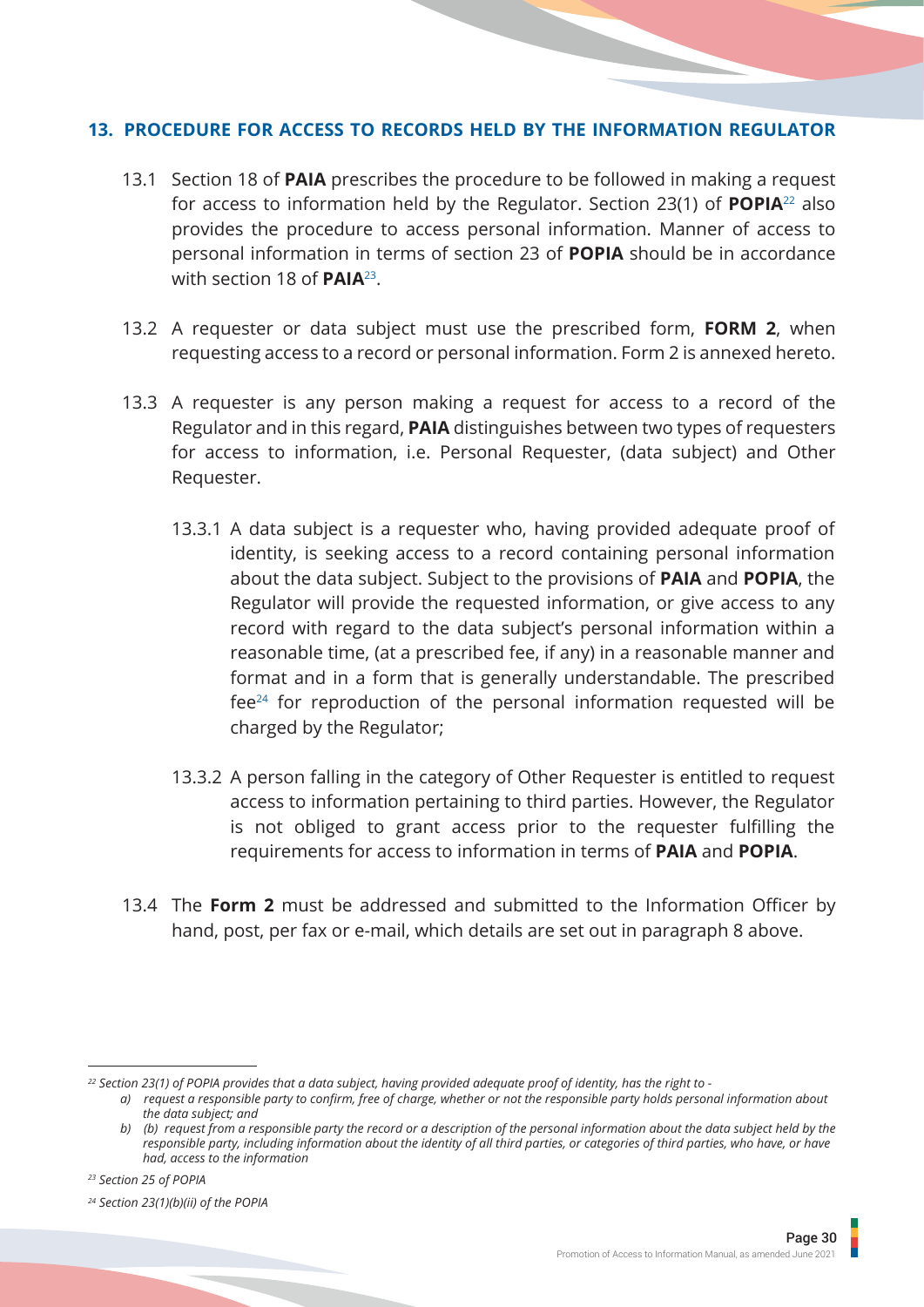#### <span id="page-32-0"></span>**PROCEDURE FOR ACCESS TO RECORDS HELD BY THE INFORMATION REGULATOR 13.**

- 13.1 Section 18 of **PAIA** prescribes the procedure to be followed in making a request for access to information held by the Regulator. Section 23(1) of **POPIA**22 also provides the procedure to access personal information. Manner of access to personal information in terms of section 23 of **POPIA** should be in accordance with section 18 of **PAIA**23.
- 13.2 A requester or data subject must use the prescribed form, **FORM 2**, when requesting access to a record or personal information. Form 2 is annexed hereto.
- 13.3 A requester is any person making a request for access to a record of the Regulator and in this regard, **PAIA** distinguishes between two types of requesters for access to information, i.e. Personal Requester, (data subject) and Other Requester.
	- 13.3.1 A data subject is a requester who, having provided adequate proof of identity, is seeking access to a record containing personal information about the data subject. Subject to the provisions of **PAIA** and **POPIA**, the Regulator will provide the requested information, or give access to any record with regard to the data subject's personal information within a reasonable time, (at a prescribed fee, if any) in a reasonable manner and format and in a form that is generally understandable. The prescribed fee24 for reproduction of the personal information requested will be charged by the Regulator;
	- 13.3.2 A person falling in the category of Other Requester is entitled to request access to information pertaining to third parties. However, the Regulator is not obliged to grant access prior to the requester fulfilling the requirements for access to information in terms of **PAIA** and **POPIA**.
- 13.4 The **Form 2** must be addressed and submitted to the Information Officer by hand, post, per fax or e-mail, which details are set out in paragraph 8 above.

*<sup>22</sup> Section 23(1) of POPIA provides that a data subject, having provided adequate proof of identity, has the right to -* 

*a) request a responsible party to confirm, free of charge, whether or not the responsible party holds personal information about the data subject; and* 

*b) (b) request from a responsible party the record or a description of the personal information about the data subject held by the responsible party, including information about the identity of all third parties, or categories of third parties, who have, or have had, access to the information*

*<sup>23</sup> Section 25 of POPIA*

*<sup>24</sup> Section 23(1)(b)(ii) of the POPIA*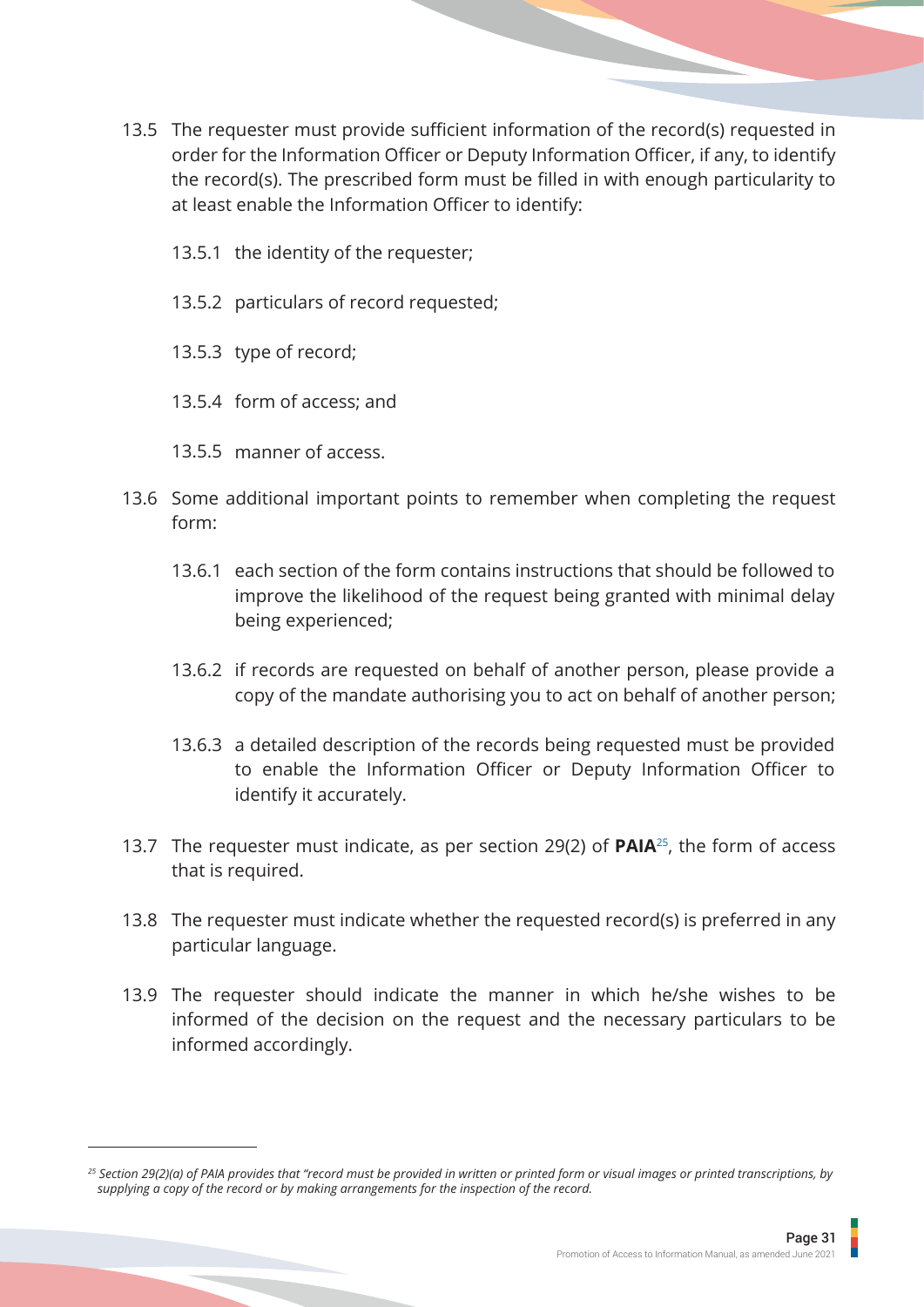- 13.5 The requester must provide sufficient information of the record(s) requested in order for the Information Officer or Deputy Information Officer, if any, to identify the record(s). The prescribed form must be filled in with enough particularity to at least enable the Information Officer to identify:
	- 13.5.1 the identity of the requester;
	- 13.5.2 particulars of record requested;
	- 13.5.3 type of record;
	- 13.5.4 form of access; and
	- 13.5.5 manner of access.
- 13.6 Some additional important points to remember when completing the request form:
	- 13.6.1 each section of the form contains instructions that should be followed to improve the likelihood of the request being granted with minimal delay being experienced;
	- 13.6.2 if records are requested on behalf of another person, please provide a copy of the mandate authorising you to act on behalf of another person;
	- 13.6.3 a detailed description of the records being requested must be provided to enable the Information Officer or Deputy Information Officer to identify it accurately.
- 13.7 The requester must indicate, as per section 29(2) of **PAIA**25, the form of access that is required.
- 13.8 The requester must indicate whether the requested record(s) is preferred in any particular language.
- 13.9 The requester should indicate the manner in which he/she wishes to be informed of the decision on the request and the necessary particulars to be informed accordingly.

*<sup>25</sup> Section 29(2)(a) of PAIA provides that "record must be provided in written or printed form or visual images or printed transcriptions, by supplying a copy of the record or by making arrangements for the inspection of the record.*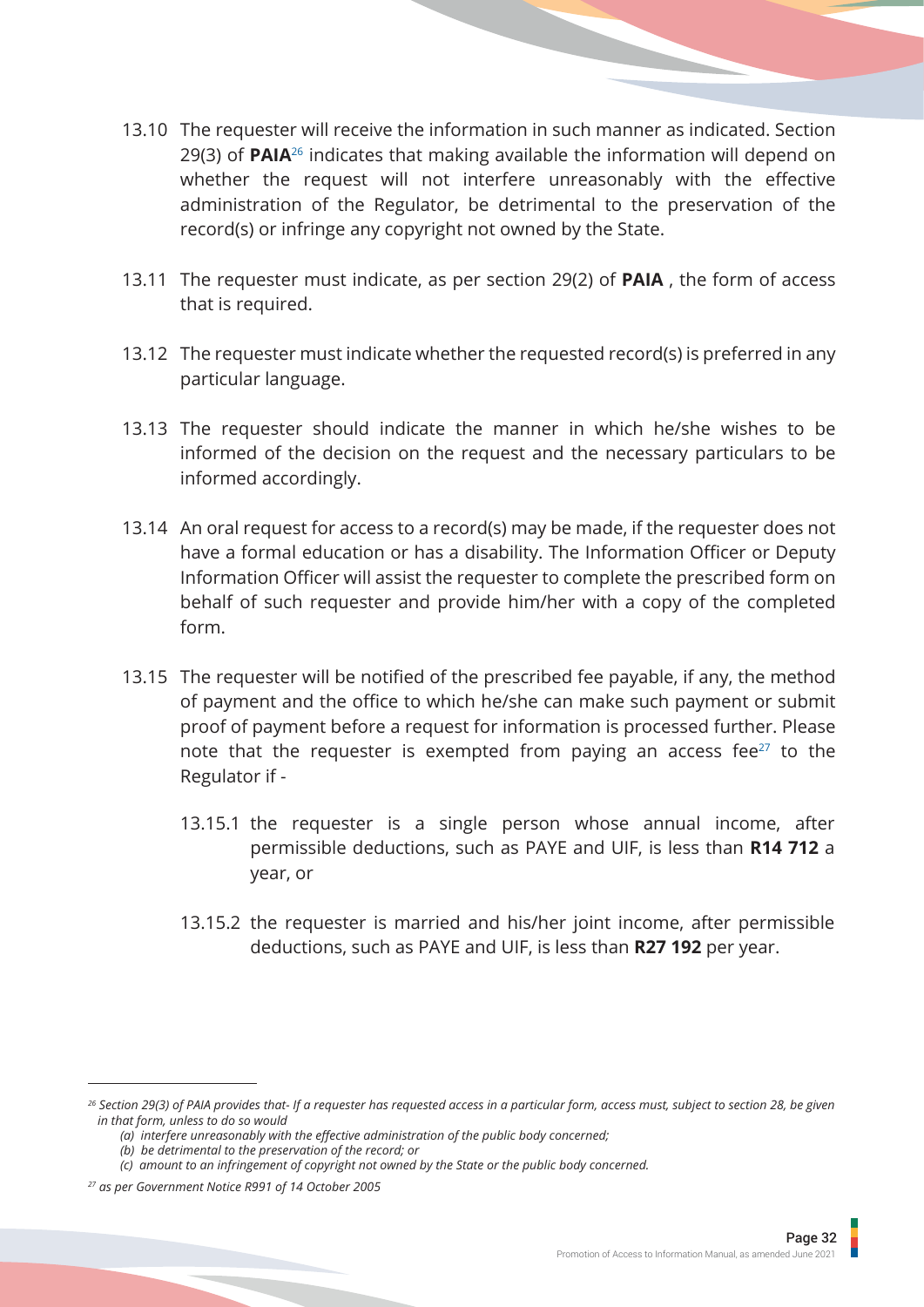- 13.10 The requester will receive the information in such manner as indicated. Section 29(3) of **PAIA**26 indicates that making available the information will depend on whether the request will not interfere unreasonably with the effective administration of the Regulator, be detrimental to the preservation of the record(s) or infringe any copyright not owned by the State.
- 13.11 The requester must indicate, as per section 29(2) of **PAIA** , the form of access that is required.
- 13.12 The requester must indicate whether the requested record(s) is preferred in any particular language.
- 13.13 The requester should indicate the manner in which he/she wishes to be informed of the decision on the request and the necessary particulars to be informed accordingly.
- 13.14 An oral request for access to a record(s) may be made, if the requester does not have a formal education or has a disability. The Information Officer or Deputy Information Officer will assist the requester to complete the prescribed form on behalf of such requester and provide him/her with a copy of the completed form.
- 13.15 The requester will be notified of the prescribed fee payable, if any, the method of payment and the office to which he/she can make such payment or submit proof of payment before a request for information is processed further. Please note that the requester is exempted from paying an access fee $27$  to the Regulator if -
	- 13.15.1 the requester is a single person whose annual income, after permissible deductions, such as PAYE and UIF, is less than **R14 712** a year, or
	- 13.15.2 the requester is married and his/her joint income, after permissible deductions, such as PAYE and UIF, is less than **R27 192** per year.

*<sup>26</sup> Section 29(3) of PAIA provides that- If a requester has requested access in a particular form, access must, subject to section 28, be given in that form, unless to do so would* 

 *<sup>(</sup>a) interfere unreasonably with the effective administration of the public body concerned;* 

 *<sup>(</sup>b) be detrimental to the preservation of the record; or* 

 *<sup>(</sup>c) amount to an infringement of copyright not owned by the State or the public body concerned.*

*<sup>27</sup> as per Government Notice R991 of 14 October 2005*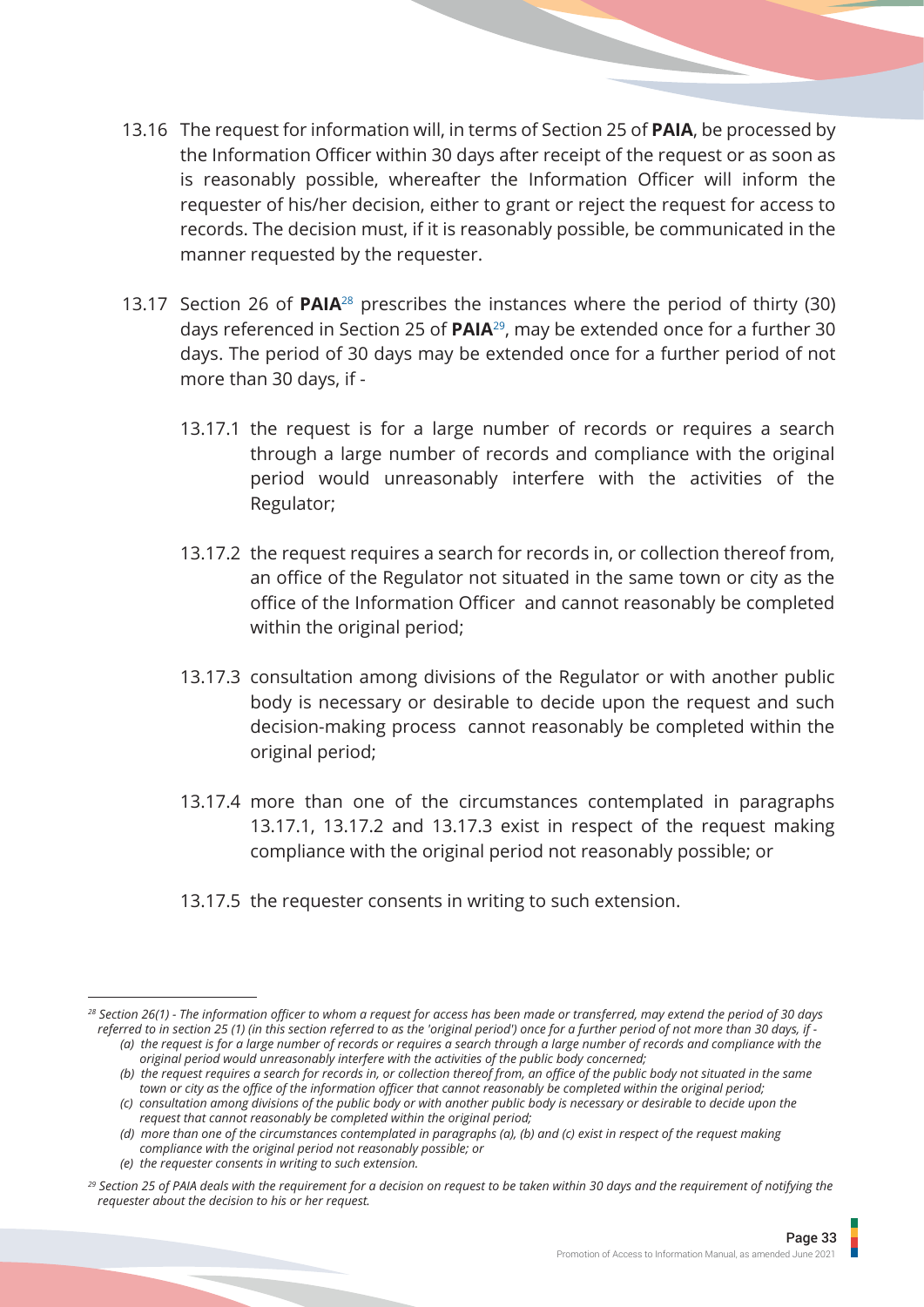- 13.16 The request for information will, in terms of Section 25 of **PAIA**, be processed by the Information Officer within 30 days after receipt of the request or as soon as is reasonably possible, whereafter the Information Officer will inform the requester of his/her decision, either to grant or reject the request for access to records. The decision must, if it is reasonably possible, be communicated in the manner requested by the requester.
- 13.17 Section 26 of **PAIA**28 prescribes the instances where the period of thirty (30) days referenced in Section 25 of **PAIA**29, may be extended once for a further 30 days. The period of 30 days may be extended once for a further period of not more than 30 days, if -
	- 13.17.1 the request is for a large number of records or requires a search through a large number of records and compliance with the original period would unreasonably interfere with the activities of the Regulator;
	- 13.17.2 the request requires a search for records in, or collection thereof from, an office of the Regulator not situated in the same town or city as the office of the Information Officer and cannot reasonably be completed within the original period;
	- 13.17.3 consultation among divisions of the Regulator or with another public body is necessary or desirable to decide upon the request and such decision-making process cannot reasonably be completed within the original period;
	- 13.17.4 more than one of the circumstances contemplated in paragraphs 13.17.1, 13.17.2 and 13.17.3 exist in respect of the request making compliance with the original period not reasonably possible; or
	- 13.17.5 the requester consents in writing to such extension.

*<sup>28</sup> Section 26(1) - The information officer to whom a request for access has been made or transferred, may extend the period of 30 days referred to in section 25 (1) (in this section referred to as the 'original period') once for a further period of not more than 30 days, if -*

 *<sup>(</sup>a) the request is for a large number of records or requires a search through a large number of records and compliance with the original period would unreasonably interfere with the activities of the public body concerned;* 

 *<sup>(</sup>b) the request requires a search for records in, or collection thereof from, an office of the public body not situated in the same town or city as the office of the information officer that cannot reasonably be completed within the original period;* 

 *<sup>(</sup>c) consultation among divisions of the public body or with another public body is necessary or desirable to decide upon the request that cannot reasonably be completed within the original period;* 

 *<sup>(</sup>d) more than one of the circumstances contemplated in paragraphs (a), (b) and (c) exist in respect of the request making compliance with the original period not reasonably possible; or* 

 *<sup>(</sup>e) the requester consents in writing to such extension.*

*<sup>29</sup> Section 25 of PAIA deals with the requirement for a decision on request to be taken within 30 days and the requirement of notifying the requester about the decision to his or her request.*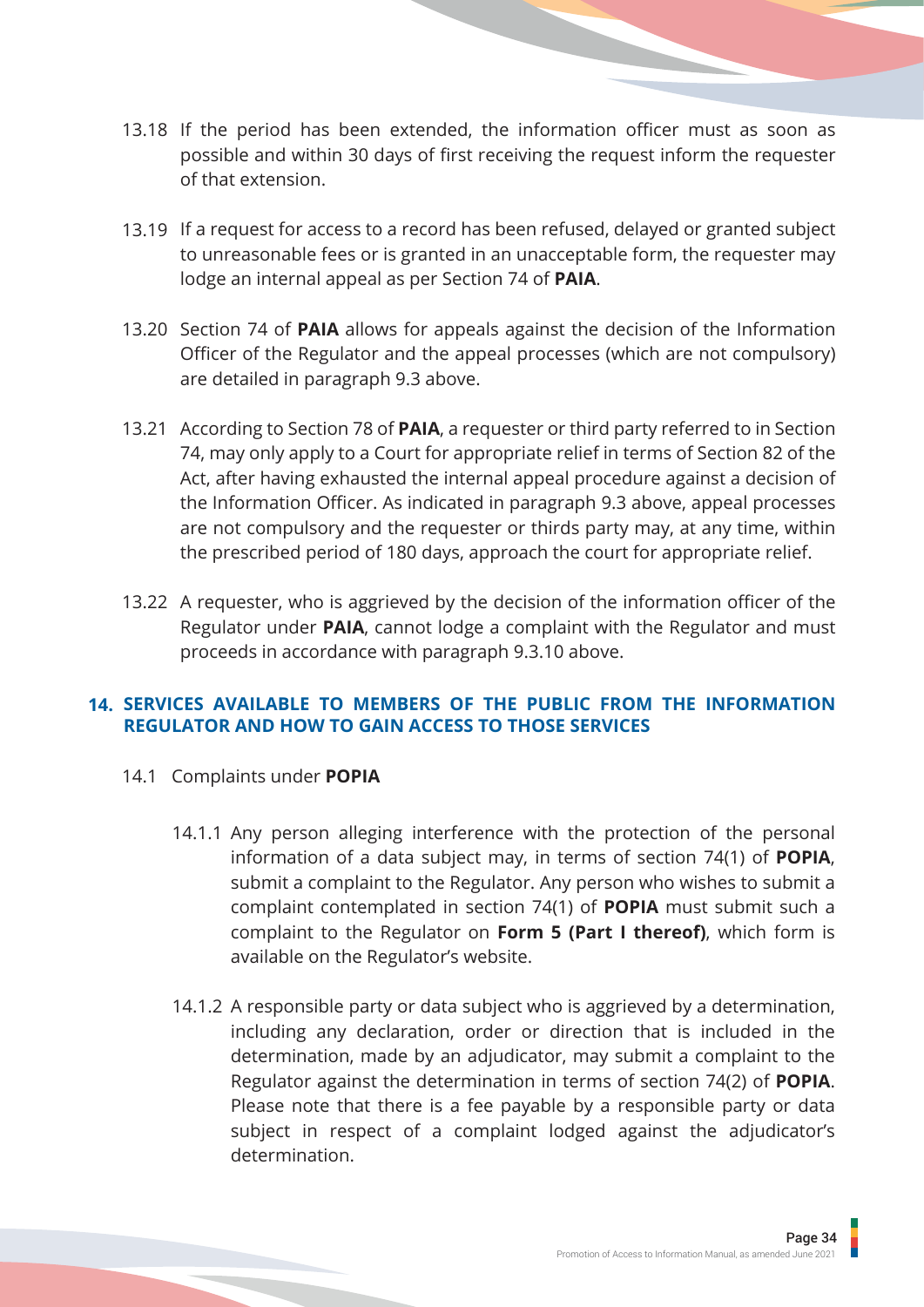- 13.18 If the period has been extended, the information officer must as soon as possible and within 30 days of first receiving the request inform the requester of that extension.
- 13.19 If a request for access to a record has been refused, delayed or granted subject to unreasonable fees or is granted in an unacceptable form, the requester may lodge an internal appeal as per Section 74 of **PAIA**.
- 13.20 Section 74 of **PAIA** allows for appeals against the decision of the Information Officer of the Regulator and the appeal processes (which are not compulsory) are detailed in paragraph 9.3 above.
- 13.21 According to Section 78 of **PAIA**, a requester or third party referred to in Section 74, may only apply to a Court for appropriate relief in terms of Section 82 of the Act, after having exhausted the internal appeal procedure against a decision of the Information Officer. As indicated in paragraph 9.3 above, appeal processes are not compulsory and the requester or thirds party may, at any time, within the prescribed period of 180 days, approach the court for appropriate relief.
- 13.22 A requester, who is aggrieved by the decision of the information officer of the Regulator under **PAIA**, cannot lodge a complaint with the Regulator and must proceeds in accordance with paragraph 9.3.10 above.

## **SERVICES AVAILABLE TO MEMBERS OF THE PUBLIC FROM THE INFORMATION 14.REGULATOR AND HOW TO GAIN ACCESS TO THOSE SERVICES**

- 14.1 Complaints under **POPIA**
	- 14.1.1 Any person alleging interference with the protection of the personal information of a data subject may, in terms of section 74(1) of **POPIA**, submit a complaint to the Regulator. Any person who wishes to submit a complaint contemplated in section 74(1) of **POPIA** must submit such a complaint to the Regulator on **Form 5 (Part I thereof)**, which form is available on the Regulator's website.
	- 14.1.2 A responsible party or data subject who is aggrieved by a determination, including any declaration, order or direction that is included in the determination, made by an adjudicator, may submit a complaint to the Regulator against the determination in terms of section 74(2) of **POPIA**. Please note that there is a fee payable by a responsible party or data subject in respect of a complaint lodged against the adjudicator's determination.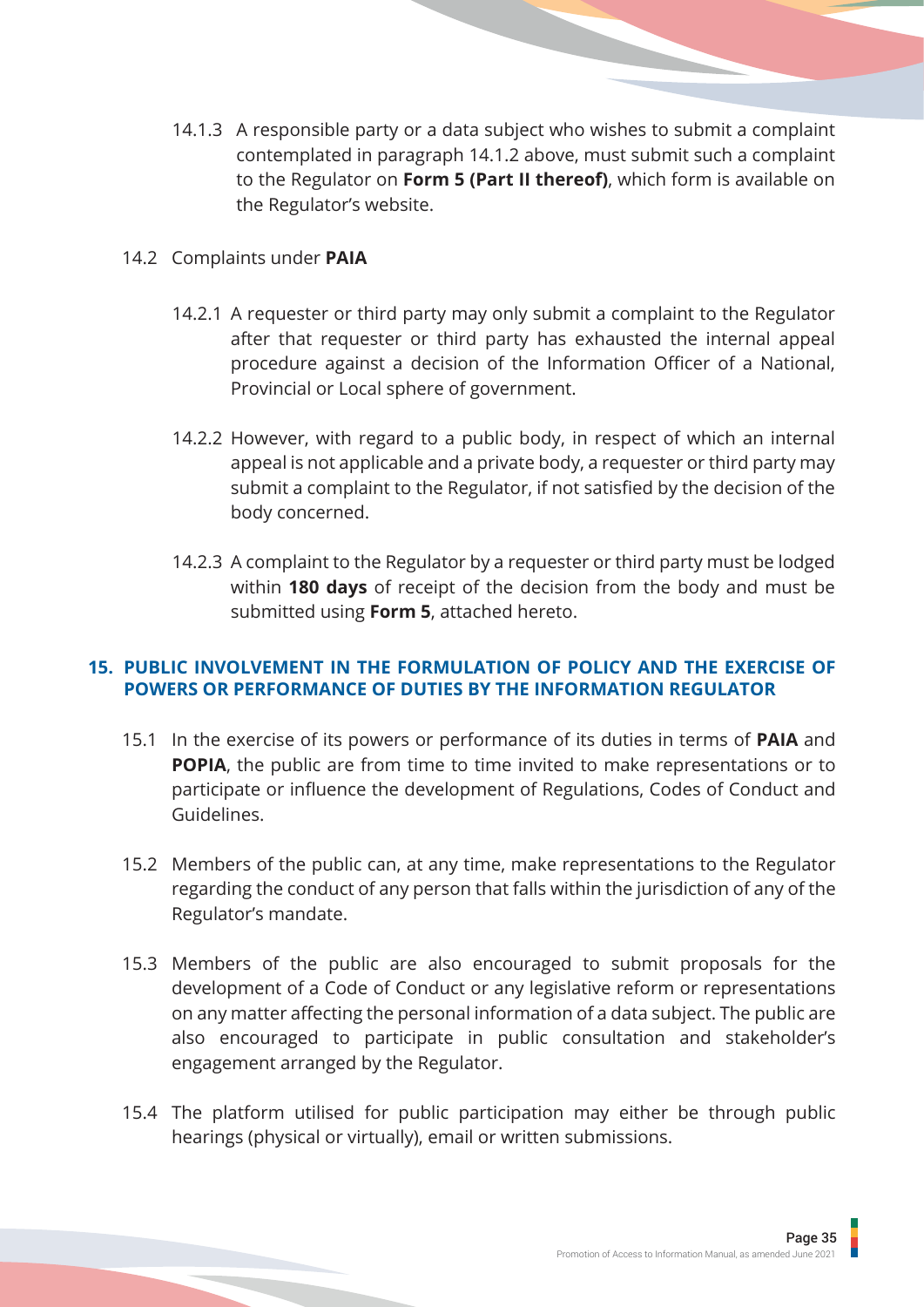14.1.3 A responsible party or a data subject who wishes to submit a complaint contemplated in paragraph 14.1.2 above, must submit such a complaint to the Regulator on **Form 5 (Part II thereof)**, which form is available on the Regulator's website.

## 14.2 Complaints under **PAIA**

- 14.2.1 A requester or third party may only submit a complaint to the Regulator after that requester or third party has exhausted the internal appeal procedure against a decision of the Information Officer of a National, Provincial or Local sphere of government.
- 14.2.2 However, with regard to a public body, in respect of which an internal appeal is not applicable and a private body, a requester or third party may submit a complaint to the Regulator, if not satisfied by the decision of the body concerned.
- 14.2.3 A complaint to the Regulator by a requester or third party must be lodged within **180 days** of receipt of the decision from the body and must be submitted using **Form 5**, attached hereto.

## **PUBLIC INVOLVEMENT IN THE FORMULATION OF POLICY AND THE EXERCISE OF 15.POWERS OR PERFORMANCE OF DUTIES BY THE INFORMATION REGULATOR**

- 15.1 In the exercise of its powers or performance of its duties in terms of **PAIA** and **POPIA**, the public are from time to time invited to make representations or to participate or influence the development of Regulations, Codes of Conduct and Guidelines.
- 15.2 Members of the public can, at any time, make representations to the Regulator regarding the conduct of any person that falls within the jurisdiction of any of the Regulator's mandate.
- 15.3 Members of the public are also encouraged to submit proposals for the development of a Code of Conduct or any legislative reform or representations on any matter affecting the personal information of a data subject. The public are also encouraged to participate in public consultation and stakeholder's engagement arranged by the Regulator.
- 15.4 The platform utilised for public participation may either be through public hearings (physical or virtually), email or written submissions.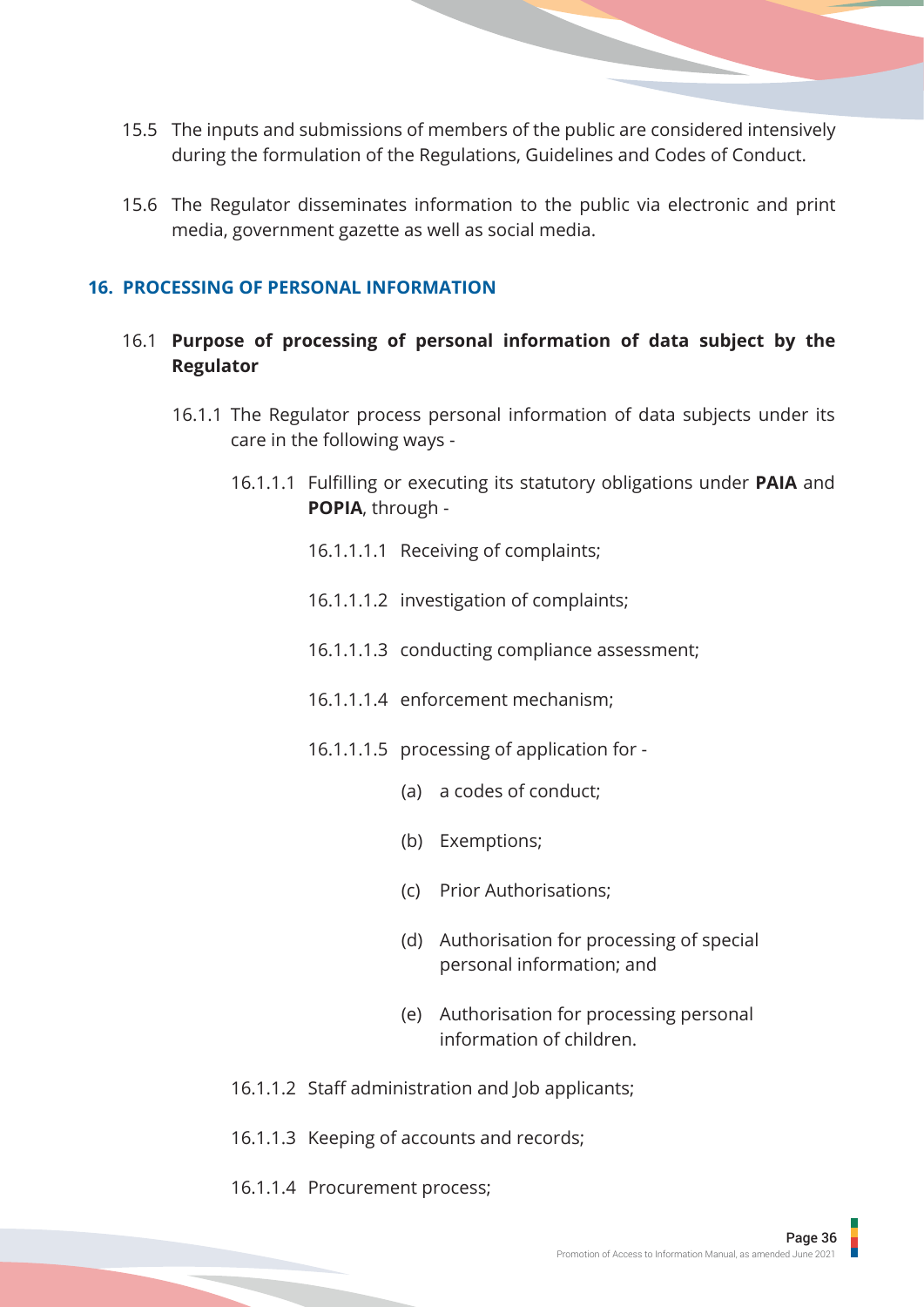- 15.5 The inputs and submissions of members of the public are considered intensively during the formulation of the Regulations, Guidelines and Codes of Conduct.
- 15.6 The Regulator disseminates information to the public via electronic and print media, government gazette as well as social media.

## **16. PROCESSING OF PERSONAL INFORMATION**

- 16.1 **Purpose of processing of personal information of data subject by the Regulator**
	- 16.1.1 The Regulator process personal information of data subjects under its care in the following ways -
		- 16.1.1.1 Fulfilling or executing its statutory obligations under **PAIA** and **POPIA**, through -
			- 16.1.1.1.1 Receiving of complaints;
			- 16.1.1.1.2 investigation of complaints;
			- 16.1.1.1.3 conducting compliance assessment;
			- 16.1.1.1.4 enforcement mechanism;
			- 16.1.1.1.5 processing of application for
				- (a) a codes of conduct;
				- (b) Exemptions;
				- (c) Prior Authorisations;
				- (d) Authorisation for processing of special personal information; and
				- (e) Authorisation for processing personal information of children.
		- 16.1.1.2 Staff administration and Job applicants;
		- 16.1.1.3 Keeping of accounts and records;
		- 16.1.1.4 Procurement process;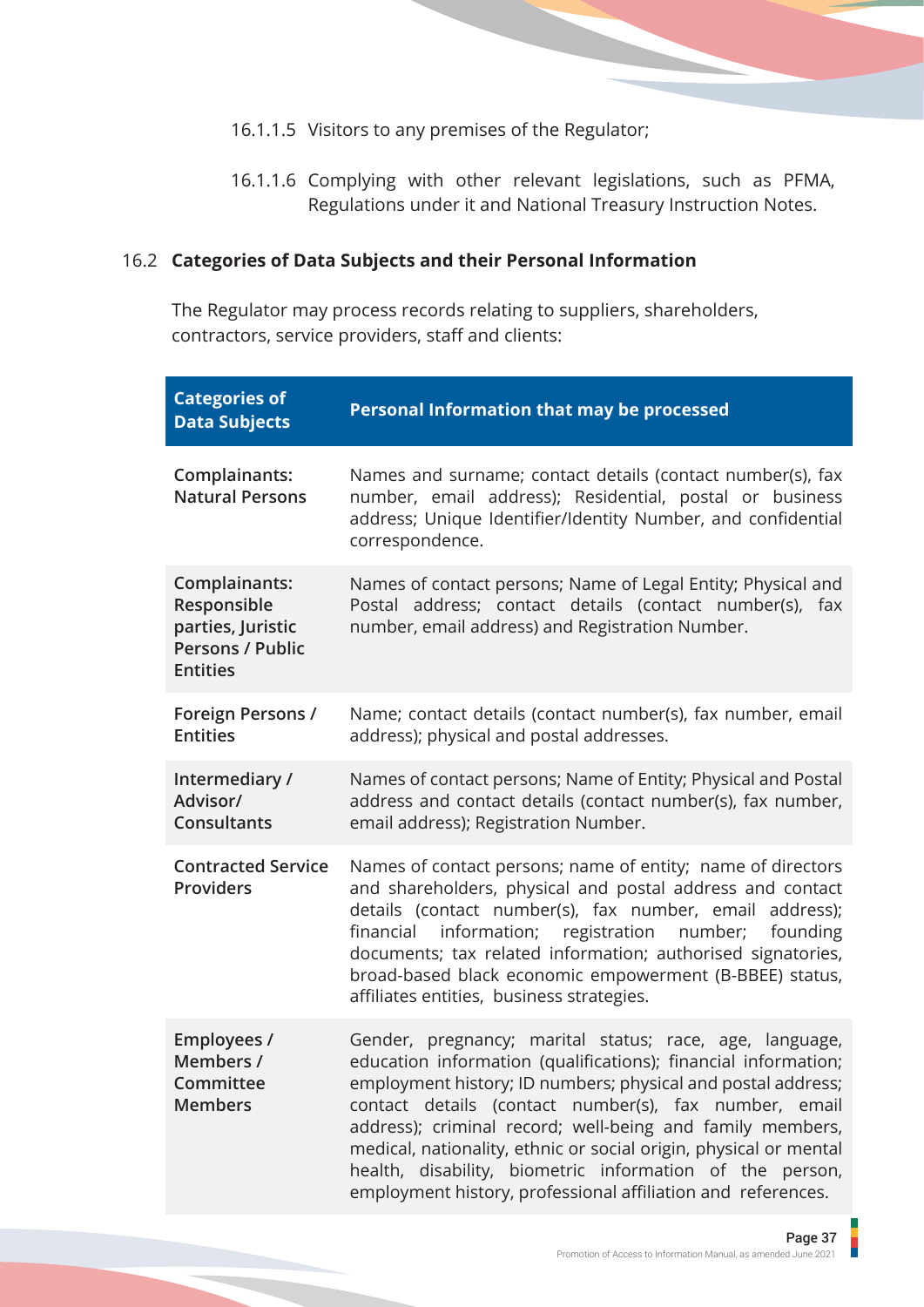- 16.1.1.5 Visitors to any premises of the Regulator;
- 16.1.1.6 Complying with other relevant legislations, such as PFMA, Regulations under it and National Treasury Instruction Notes.

## 16.2 **Categories of Data Subjects and their Personal Information**

The Regulator may process records relating to suppliers, shareholders, contractors, service providers, staff and clients:

| <b>Categories of</b><br><b>Data Subjects</b>                                                    | <b>Personal Information that may be processed</b>                                                                                                                                                                                                                                                                                                                                                                                                                                                                |
|-------------------------------------------------------------------------------------------------|------------------------------------------------------------------------------------------------------------------------------------------------------------------------------------------------------------------------------------------------------------------------------------------------------------------------------------------------------------------------------------------------------------------------------------------------------------------------------------------------------------------|
| Complainants:<br><b>Natural Persons</b>                                                         | Names and surname; contact details (contact number(s), fax<br>number, email address); Residential, postal or business<br>address; Unique Identifier/Identity Number, and confidential<br>correspondence.                                                                                                                                                                                                                                                                                                         |
| Complainants:<br>Responsible<br>parties, Juristic<br><b>Persons / Public</b><br><b>Entities</b> | Names of contact persons; Name of Legal Entity; Physical and<br>Postal address; contact details (contact number(s), fax<br>number, email address) and Registration Number.                                                                                                                                                                                                                                                                                                                                       |
| <b>Foreign Persons /</b><br><b>Entities</b>                                                     | Name; contact details (contact number(s), fax number, email<br>address); physical and postal addresses.                                                                                                                                                                                                                                                                                                                                                                                                          |
| Intermediary /<br>Advisor/<br>Consultants                                                       | Names of contact persons; Name of Entity; Physical and Postal<br>address and contact details (contact number(s), fax number,<br>email address); Registration Number.                                                                                                                                                                                                                                                                                                                                             |
| <b>Contracted Service</b><br><b>Providers</b>                                                   | Names of contact persons; name of entity; name of directors<br>and shareholders, physical and postal address and contact<br>details (contact number(s), fax number, email address);<br>information; registration number;<br>financial<br>founding<br>documents; tax related information; authorised signatories,<br>broad-based black economic empowerment (B-BBEE) status,<br>affiliates entities, business strategies.                                                                                         |
| <b>Employees /</b><br>Members /<br>Committee<br><b>Members</b>                                  | Gender, pregnancy; marital status; race, age, language,<br>education information (qualifications); financial information;<br>employment history; ID numbers; physical and postal address;<br>contact details (contact number(s), fax number, email<br>address); criminal record; well-being and family members,<br>medical, nationality, ethnic or social origin, physical or mental<br>health, disability, biometric information of the person,<br>employment history, professional affiliation and references. |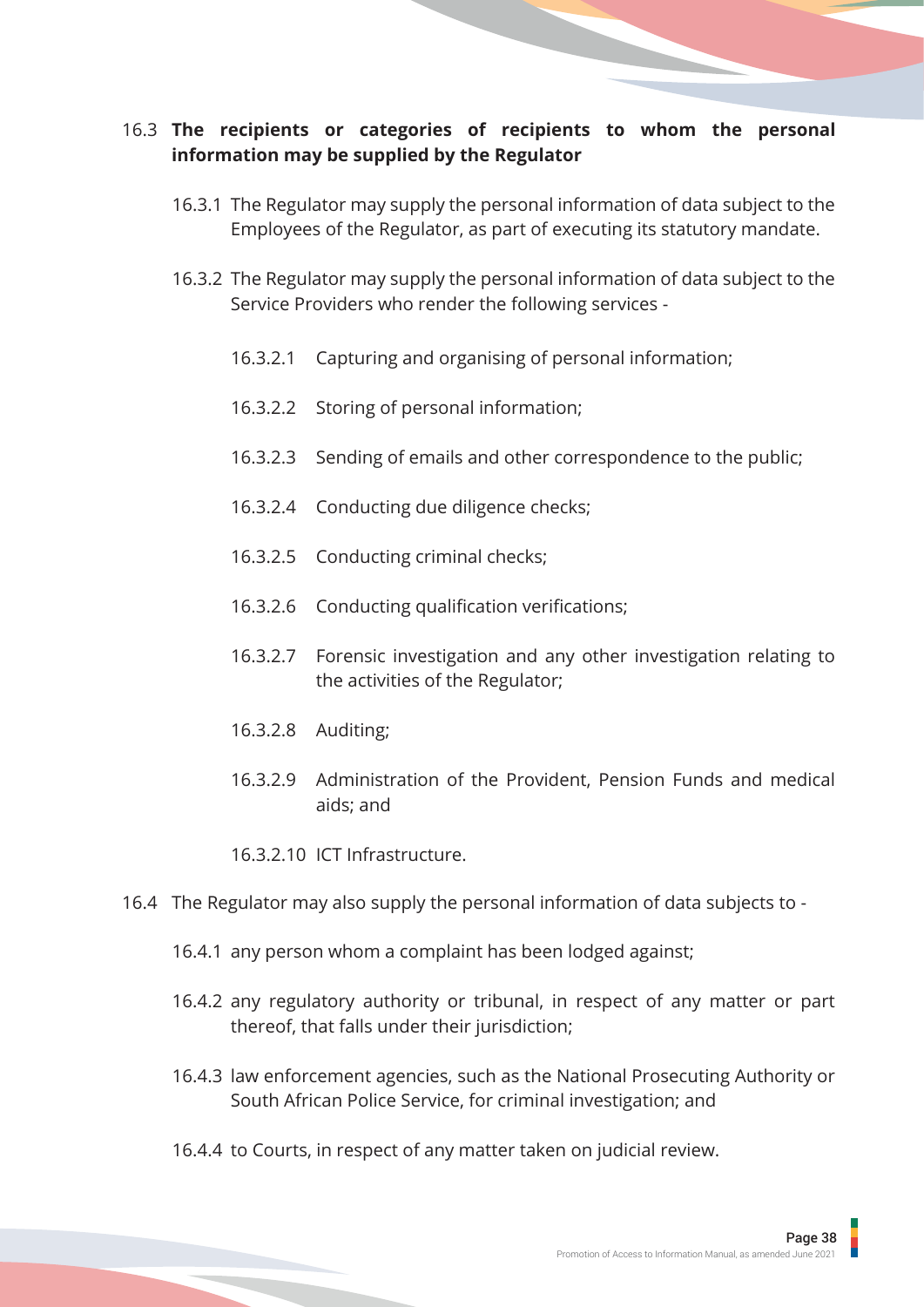## 16.3 **The recipients or categories of recipients to whom the personal information may be supplied by the Regulator**

- 16.3.1 The Regulator may supply the personal information of data subject to the Employees of the Regulator, as part of executing its statutory mandate.
- 16.3.2 The Regulator may supply the personal information of data subject to the Service Providers who render the following services -
	- 16.3.2.1 Capturing and organising of personal information;
	- 16.3.2.2 Storing of personal information;
	- 16.3.2.3 Sending of emails and other correspondence to the public;
	- 16.3.2.4 Conducting due diligence checks;
	- 16.3.2.5 Conducting criminal checks;
	- 16.3.2.6 Conducting qualification verifications;
	- 16.3.2.7 Forensic investigation and any other investigation relating to the activities of the Regulator;
	- 16.3.2.8 Auditing;
	- 16.3.2.9 Administration of the Provident, Pension Funds and medical aids; and
	- 16.3.2.10 ICT Infrastructure.
- 16.4 The Regulator may also supply the personal information of data subjects to
	- 16.4.1 any person whom a complaint has been lodged against;
	- 16.4.2 any regulatory authority or tribunal, in respect of any matter or part thereof, that falls under their jurisdiction;
	- 16.4.3 law enforcement agencies, such as the National Prosecuting Authority or South African Police Service, for criminal investigation; and
	- 16.4.4 to Courts, in respect of any matter taken on judicial review.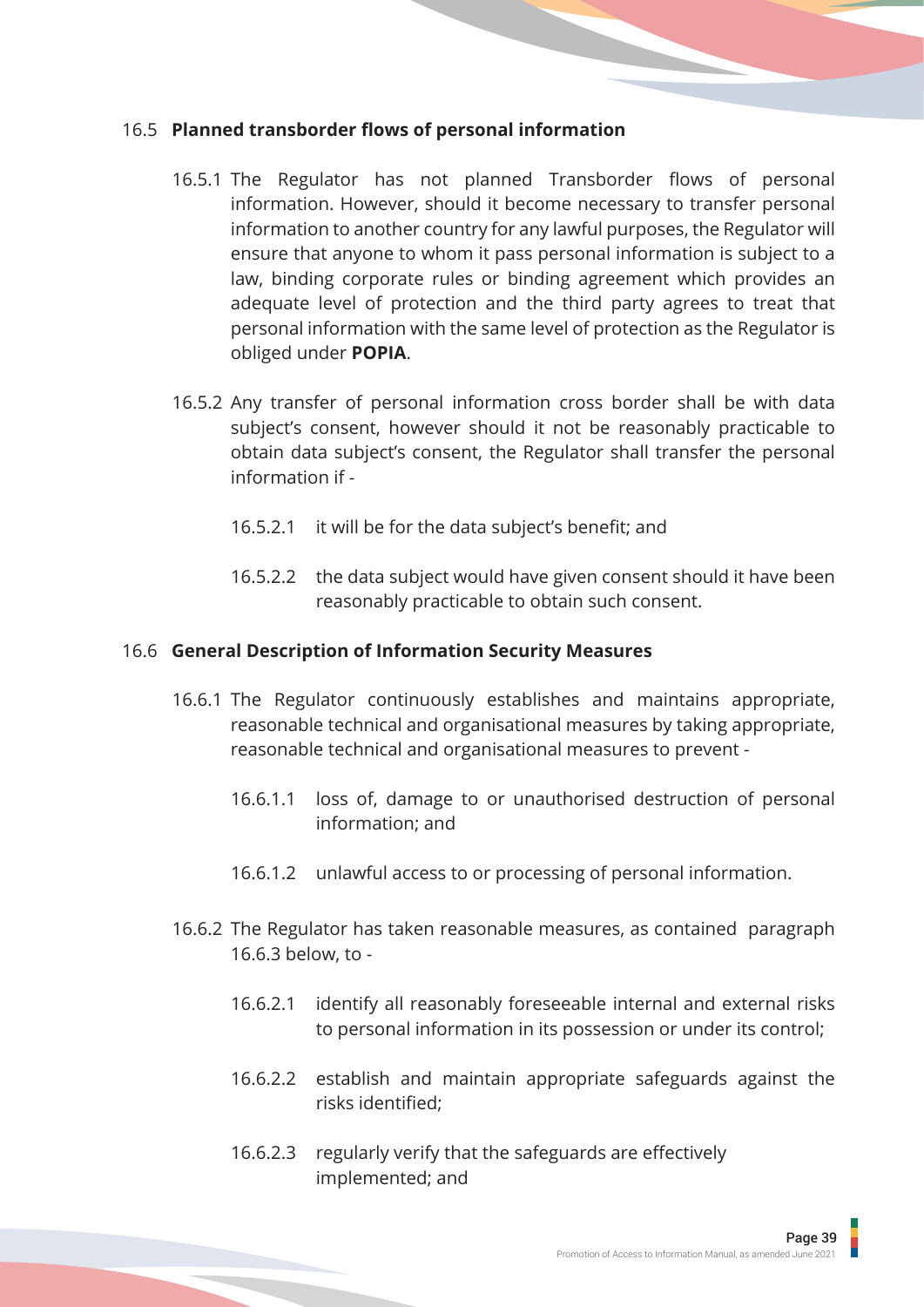## 16.5 **Planned transborder flows of personal information**

- 16.5.1 The Regulator has not planned Transborder flows of personal information. However, should it become necessary to transfer personal information to another country for any lawful purposes, the Regulator will ensure that anyone to whom it pass personal information is subject to a law, binding corporate rules or binding agreement which provides an adequate level of protection and the third party agrees to treat that personal information with the same level of protection as the Regulator is obliged under **POPIA**.
- 16.5.2 Any transfer of personal information cross border shall be with data subject's consent, however should it not be reasonably practicable to obtain data subject's consent, the Regulator shall transfer the personal information if -
	- 16.5.2.1 it will be for the data subject's benefit; and
	- 16.5.2.2 the data subject would have given consent should it have been reasonably practicable to obtain such consent.

## 16.6 **General Description of Information Security Measures**

- 16.6.1 The Regulator continuously establishes and maintains appropriate, reasonable technical and organisational measures by taking appropriate, reasonable technical and organisational measures to prevent -
	- 16.6.1.1 loss of, damage to or unauthorised destruction of personal information; and
	- 16.6.1.2 unlawful access to or processing of personal information.
- 16.6.2 The Regulator has taken reasonable measures, as contained paragraph 16.6.3 below, to -
	- 16.6.2.1 identify all reasonably foreseeable internal and external risks to personal information in its possession or under its control;
	- 16.6.2.2 establish and maintain appropriate safeguards against the risks identified;
	- 16.6.2.3 regularly verify that the safeguards are effectively implemented; and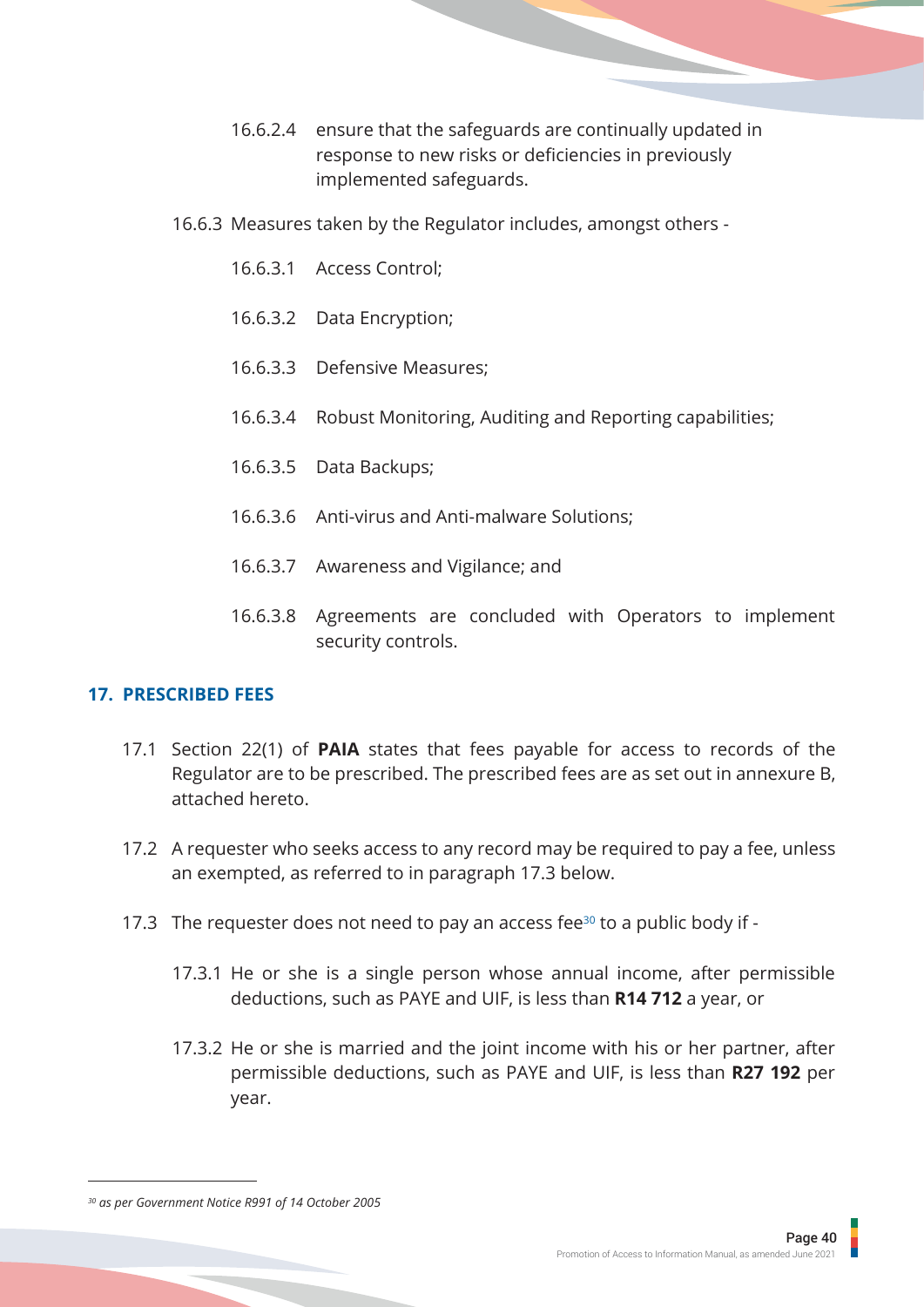- 16.6.2.4 ensure that the safeguards are continually updated in response to new risks or deficiencies in previously implemented safeguards.
- 16.6.3 Measures taken by the Regulator includes, amongst others
	- 16.6.3.1 Access Control;
	- 16.6.3.2 Data Encryption;
	- 16.6.3.3 Defensive Measures;
	- 16.6.3.4 Robust Monitoring, Auditing and Reporting capabilities;
	- 16.6.3.5 Data Backups;
	- 16.6.3.6 Anti-virus and Anti-malware Solutions;
	- 16.6.3.7 Awareness and Vigilance; and
	- 16.6.3.8 Agreements are concluded with Operators to implement security controls.

## **17. PRESCRIBED FEES**

- 17.1 Section 22(1) of **PAIA** states that fees payable for access to records of the Regulator are to be prescribed. The prescribed fees are as set out in annexure B, attached hereto.
- 17.2 A requester who seeks access to any record may be required to pay a fee, unless an exempted, as referred to in paragraph 17.3 below.
- 17.3 The requester does not need to pay an access fee<sup>30</sup> to a public body if -
	- 17.3.1 He or she is a single person whose annual income, after permissible deductions, such as PAYE and UIF, is less than **R14 712** a year, or
	- 17.3.2 He or she is married and the joint income with his or her partner, after permissible deductions, such as PAYE and UIF, is less than **R27 192** per year.

*<sup>30</sup> as per Government Notice R991 of 14 October 2005*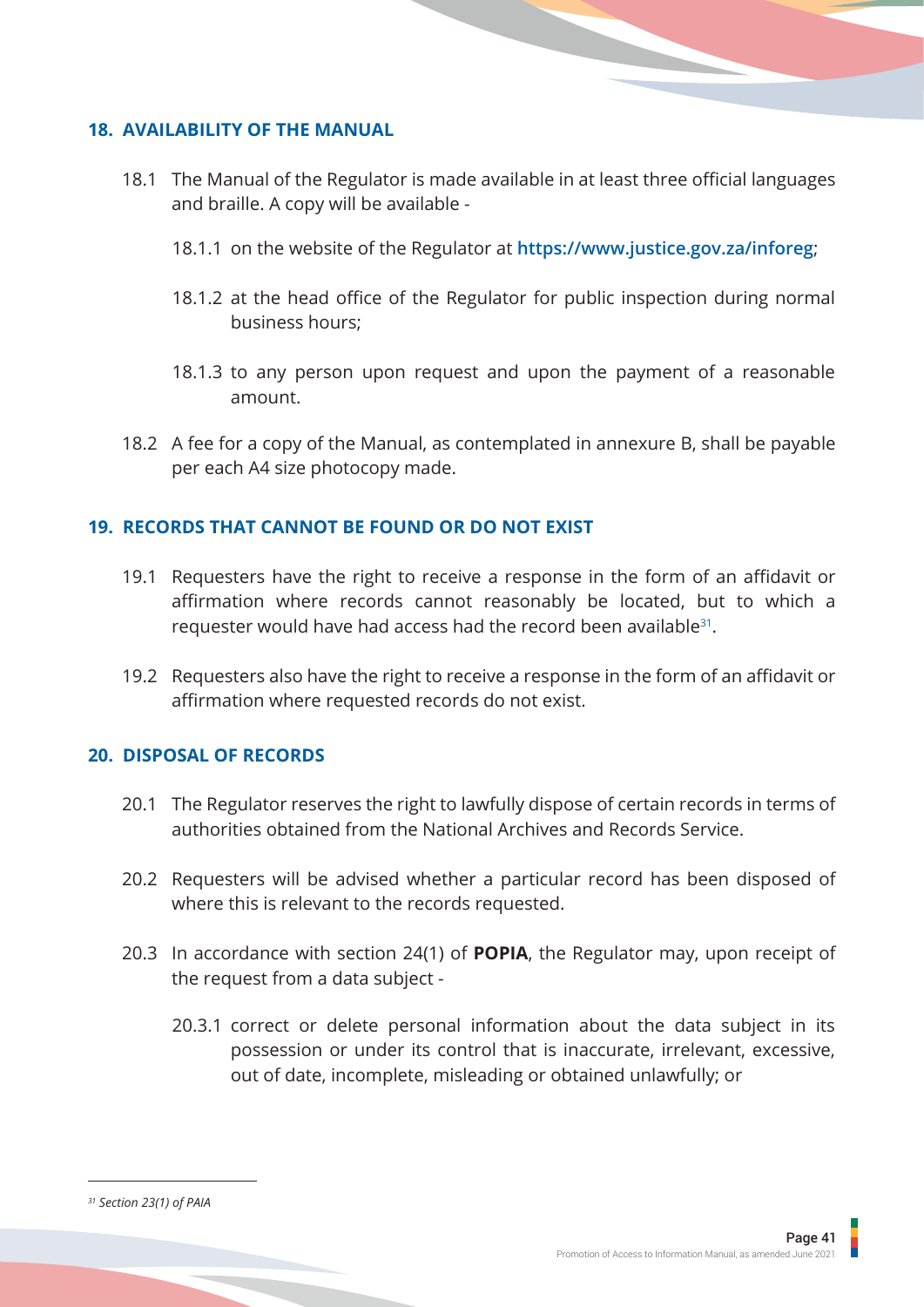## **18. AVAILABILITY OF THE MANUAL**

- 18.1 The Manual of the Regulator is made available in at least three official languages and braille. A copy will be available -
	- 18.1.1 on the website of the Regulator at **https://www.justice.gov.za/inforeg**;
	- 18.1.2 at the head office of the Regulator for public inspection during normal business hours;
	- 18.1.3 to any person upon request and upon the payment of a reasonable amount.
- 18.2 A fee for a copy of the Manual, as contemplated in annexure B, shall be payable per each A4 size photocopy made.

## **19. RECORDS THAT CANNOT BE FOUND OR DO NOT EXIST**

- 19.1 Requesters have the right to receive a response in the form of an affidavit or affirmation where records cannot reasonably be located, but to which a requester would have had access had the record been available<sup>31</sup>.
- 19.2 Requesters also have the right to receive a response in the form of an affidavit or affirmation where requested records do not exist.

## **20. DISPOSAL OF RECORDS**

- 20.1 The Regulator reserves the right to lawfully dispose of certain records in terms of authorities obtained from the National Archives and Records Service.
- 20.2 Requesters will be advised whether a particular record has been disposed of where this is relevant to the records requested.
- 20.3 In accordance with section 24(1) of **POPIA**, the Regulator may, upon receipt of the request from a data subject -
	- 20.3.1 correct or delete personal information about the data subject in its possession or under its control that is inaccurate, irrelevant, excessive, out of date, incomplete, misleading or obtained unlawfully; or

*<sup>31</sup> Section 23(1) of PAIA*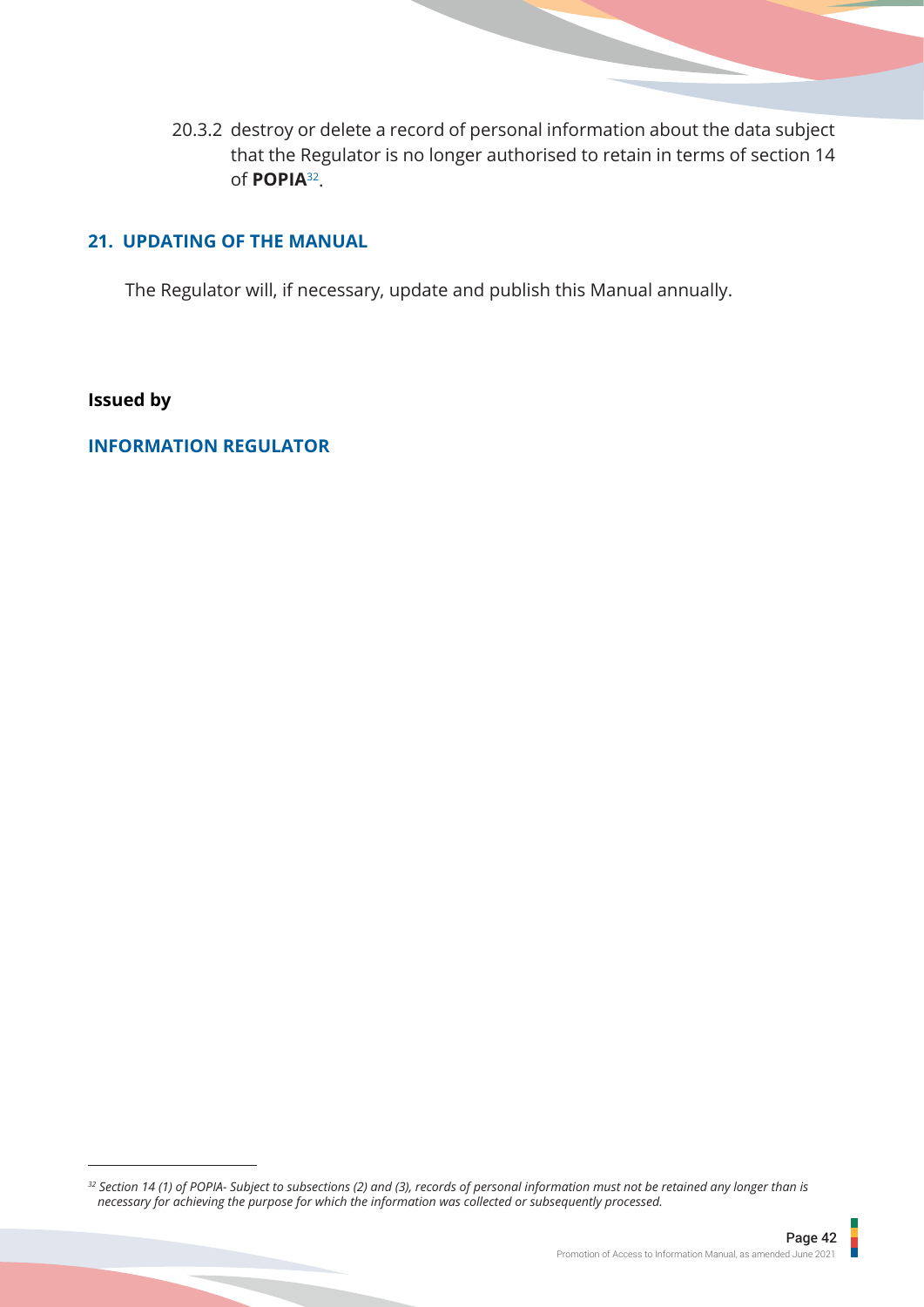20.3.2 destroy or delete a record of personal information about the data subject that the Regulator is no longer authorised to retain in terms of section 14 of **POPIA**32.

## **21. UPDATING OF THE MANUAL**

The Regulator will, if necessary, update and publish this Manual annually.

## **Issued by**

## **INFORMATION REGULATOR**

*<sup>32</sup> Section 14 (1) of POPIA- Subject to subsections (2) and (3), records of personal information must not be retained any longer than is necessary for achieving the purpose for which the information was collected or subsequently processed.*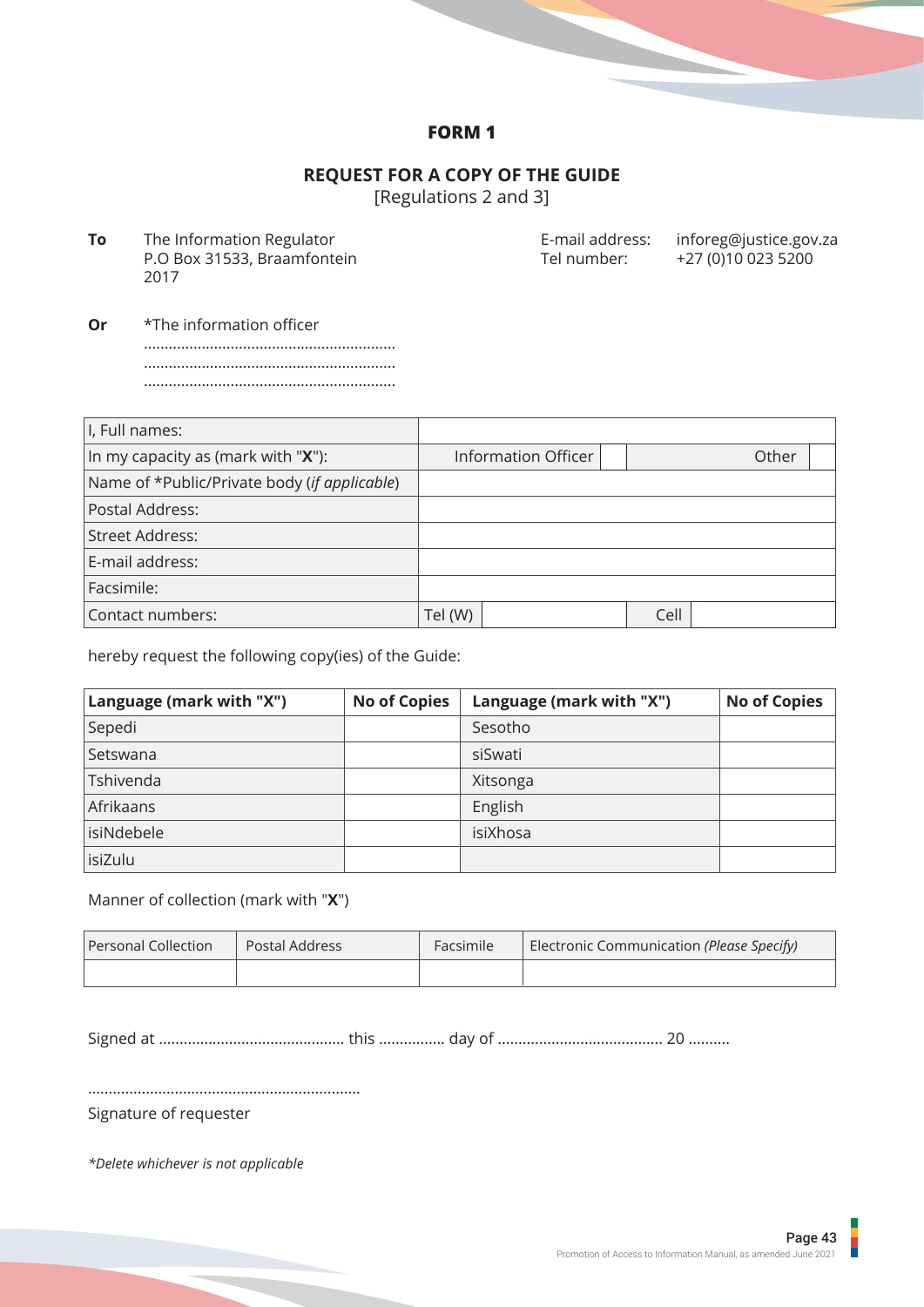## **FORM 1**

## **REQUEST FOR A COPY OF THE GUIDE**

[Regulations 2 and 3]

**To** The Information Regulator P.O Box 31533, Braamfontein 2017

E-mail address: inforeg@justice.gov.za Tel number: +27 (0)10 023 5200

**Or** \*The information officer ............................................................. ............................................................. .............................................................

| I, Full names:                               |                     |      |       |
|----------------------------------------------|---------------------|------|-------|
| In my capacity as (mark with " $X$ "):       | Information Officer |      | Other |
| Name of *Public/Private body (if applicable) |                     |      |       |
| Postal Address:                              |                     |      |       |
| Street Address:                              |                     |      |       |
| E-mail address:                              |                     |      |       |
| Facsimile:                                   |                     |      |       |
| Contact numbers:                             | Tel (W)             | Cell |       |

hereby request the following copy(ies) of the Guide:

| Language (mark with "X") | <b>No of Copies</b> | Language (mark with "X") | <b>No of Copies</b> |
|--------------------------|---------------------|--------------------------|---------------------|
| Sepedi                   |                     | Sesotho                  |                     |
| Setswana                 |                     | siSwati                  |                     |
| Tshivenda                |                     | Xitsonga                 |                     |
| Afrikaans                |                     | English                  |                     |
| isiNdebele               |                     | isiXhosa                 |                     |
| isiZulu                  |                     |                          |                     |

## Manner of collection (mark with "**X**")

| Personal Collection<br>Postal Address |  | Facsimile | Electronic Communication (Please Specify) |  |
|---------------------------------------|--|-----------|-------------------------------------------|--|
|                                       |  |           |                                           |  |

Signed at ............................................. this ................ day of ........................................ 20 ..........

..................................................................

Signature of requester

*\*Delete whichever is not applicable*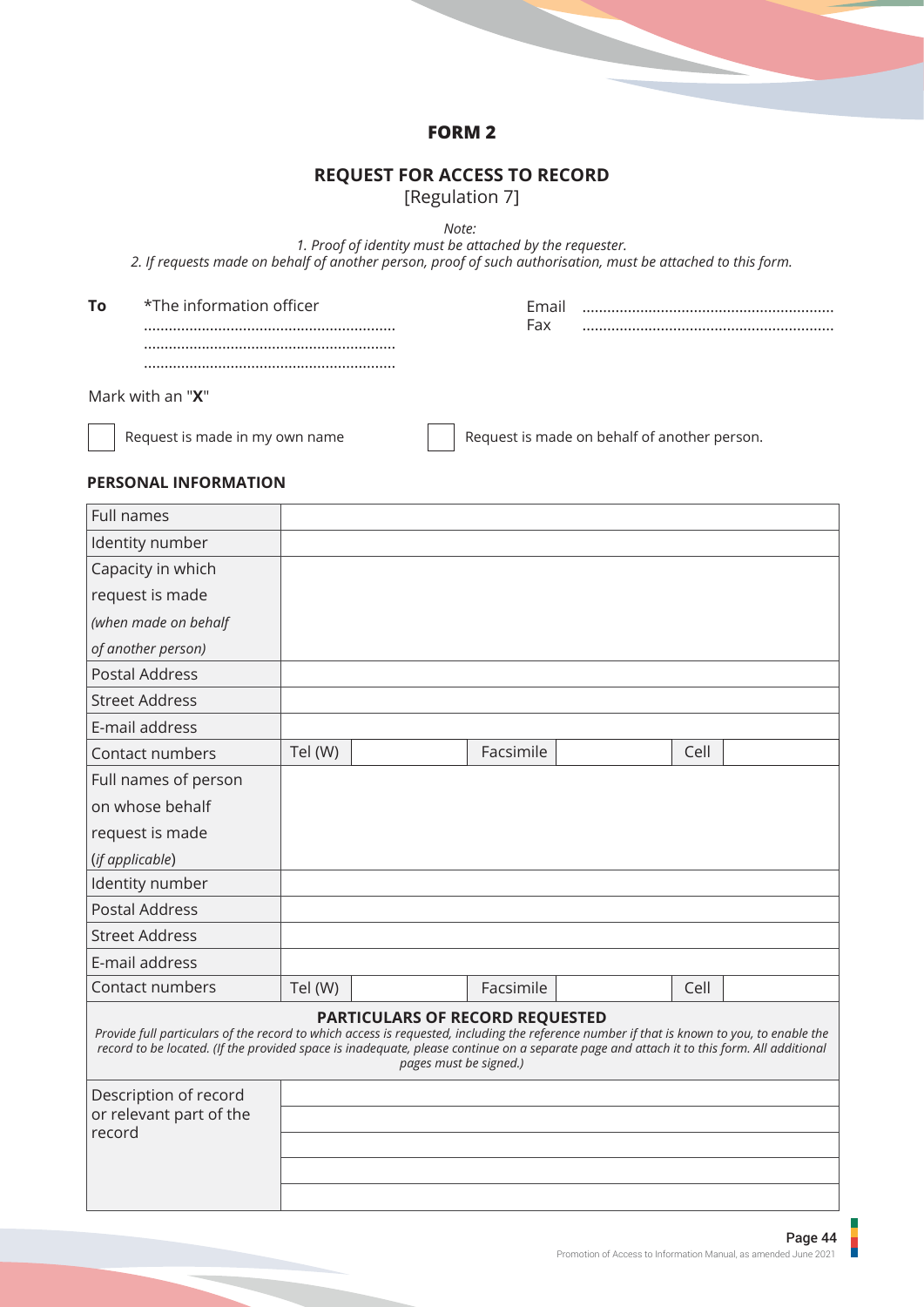## **FORM 2**

## **REQUEST FOR ACCESS TO RECORD**

[Regulation 7]

*Note:* 

*1. Proof of identity must be attached by the requester. 2. If requests made on behalf of another person, proof of such authorisation, must be attached to this form.*

| Tο | *The information officer | Fmail<br>Fax |  |
|----|--------------------------|--------------|--|
|    |                          |              |  |
|    |                          |              |  |
|    | Mark with an " $X$ "     |              |  |

Request is made in my own name

Request is made on behalf of another person.

## **PERSONAL INFORMATION**

| Full names                                                                                                                                                                                                                                                                              |         |                                                                  |           |      |  |
|-----------------------------------------------------------------------------------------------------------------------------------------------------------------------------------------------------------------------------------------------------------------------------------------|---------|------------------------------------------------------------------|-----------|------|--|
| Identity number                                                                                                                                                                                                                                                                         |         |                                                                  |           |      |  |
| Capacity in which                                                                                                                                                                                                                                                                       |         |                                                                  |           |      |  |
| request is made                                                                                                                                                                                                                                                                         |         |                                                                  |           |      |  |
| (when made on behalf                                                                                                                                                                                                                                                                    |         |                                                                  |           |      |  |
| of another person)                                                                                                                                                                                                                                                                      |         |                                                                  |           |      |  |
| <b>Postal Address</b>                                                                                                                                                                                                                                                                   |         |                                                                  |           |      |  |
| <b>Street Address</b>                                                                                                                                                                                                                                                                   |         |                                                                  |           |      |  |
| E-mail address                                                                                                                                                                                                                                                                          |         |                                                                  |           |      |  |
| Contact numbers                                                                                                                                                                                                                                                                         | Tel (W) |                                                                  | Facsimile | Cell |  |
| Full names of person                                                                                                                                                                                                                                                                    |         |                                                                  |           |      |  |
| on whose behalf                                                                                                                                                                                                                                                                         |         |                                                                  |           |      |  |
| request is made                                                                                                                                                                                                                                                                         |         |                                                                  |           |      |  |
| (if applicable)                                                                                                                                                                                                                                                                         |         |                                                                  |           |      |  |
| Identity number                                                                                                                                                                                                                                                                         |         |                                                                  |           |      |  |
| <b>Postal Address</b>                                                                                                                                                                                                                                                                   |         |                                                                  |           |      |  |
| <b>Street Address</b>                                                                                                                                                                                                                                                                   |         |                                                                  |           |      |  |
| E-mail address                                                                                                                                                                                                                                                                          |         |                                                                  |           |      |  |
| Contact numbers                                                                                                                                                                                                                                                                         | Tel (W) |                                                                  | Facsimile | Cell |  |
| Provide full particulars of the record to which access is requested, including the reference number if that is known to you, to enable the<br>record to be located. (If the provided space is inadequate, please continue on a separate page and attach it to this form. All additional |         | <b>PARTICULARS OF RECORD REQUESTED</b><br>pages must be signed.) |           |      |  |
| Description of record                                                                                                                                                                                                                                                                   |         |                                                                  |           |      |  |
| or relevant part of the<br>record                                                                                                                                                                                                                                                       |         |                                                                  |           |      |  |
|                                                                                                                                                                                                                                                                                         |         |                                                                  |           |      |  |
|                                                                                                                                                                                                                                                                                         |         |                                                                  |           |      |  |
|                                                                                                                                                                                                                                                                                         |         |                                                                  |           |      |  |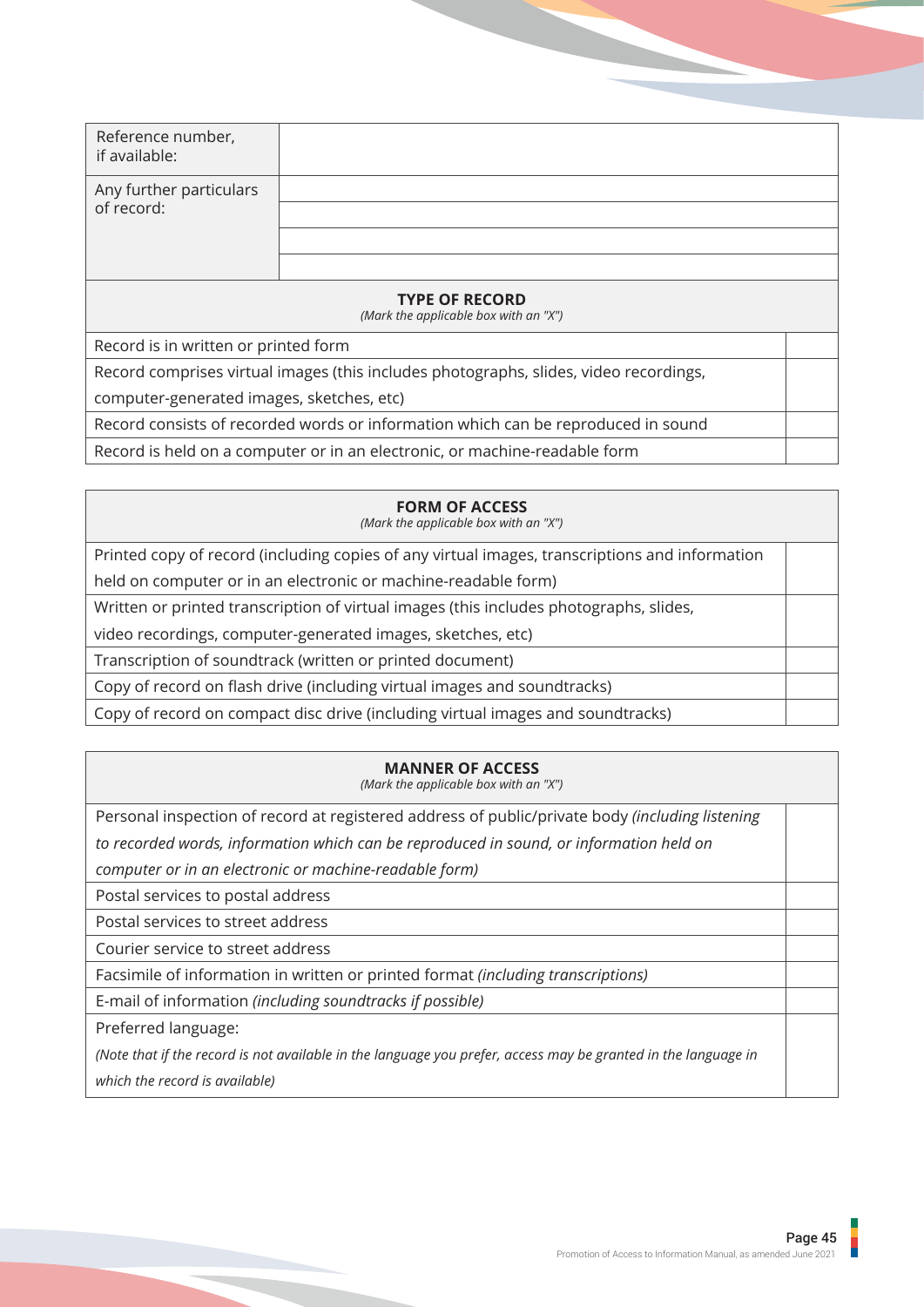| Reference number,<br>if available:                                                    |  |  |  |  |
|---------------------------------------------------------------------------------------|--|--|--|--|
| Any further particulars<br>of record:                                                 |  |  |  |  |
|                                                                                       |  |  |  |  |
|                                                                                       |  |  |  |  |
| <b>TYPE OF RECORD</b><br>(Mark the applicable box with an "X")                        |  |  |  |  |
| Record is in written or printed form                                                  |  |  |  |  |
| Record comprises virtual images (this includes photographs, slides, video recordings, |  |  |  |  |
| computer-generated images, sketches, etc)                                             |  |  |  |  |
| Record consists of recorded words or information which can be reproduced in sound     |  |  |  |  |
| Record is held on a computer or in an electronic, or machine-readable form            |  |  |  |  |

## **FORM OF ACCESS**

*(Mark the applicable box with an "X")*

Printed copy of record (including copies of any virtual images, transcriptions and information

held on computer or in an electronic or machine-readable form)

Written or printed transcription of virtual images (this includes photographs, slides,

video recordings, computer-generated images, sketches, etc)

Transcription of soundtrack (written or printed document)

Copy of record on flash drive (including virtual images and soundtracks)

Copy of record on compact disc drive (including virtual images and soundtracks)

## **MANNER OF ACCESS**

*(Mark the applicable box with an "X")*

Personal inspection of record at registered address of public/private body *(including listening to recorded words, information which can be reproduced in sound, or information held on* 

*computer or in an electronic or machine-readable form)*

Postal services to postal address

Postal services to street address

Courier service to street address

Facsimile of information in written or printed format *(including transcriptions)*

E-mail of information *(including soundtracks if possible)*

Preferred language:

*(Note that if the record is not available in the language you prefer, access may be granted in the language in which the record is available)*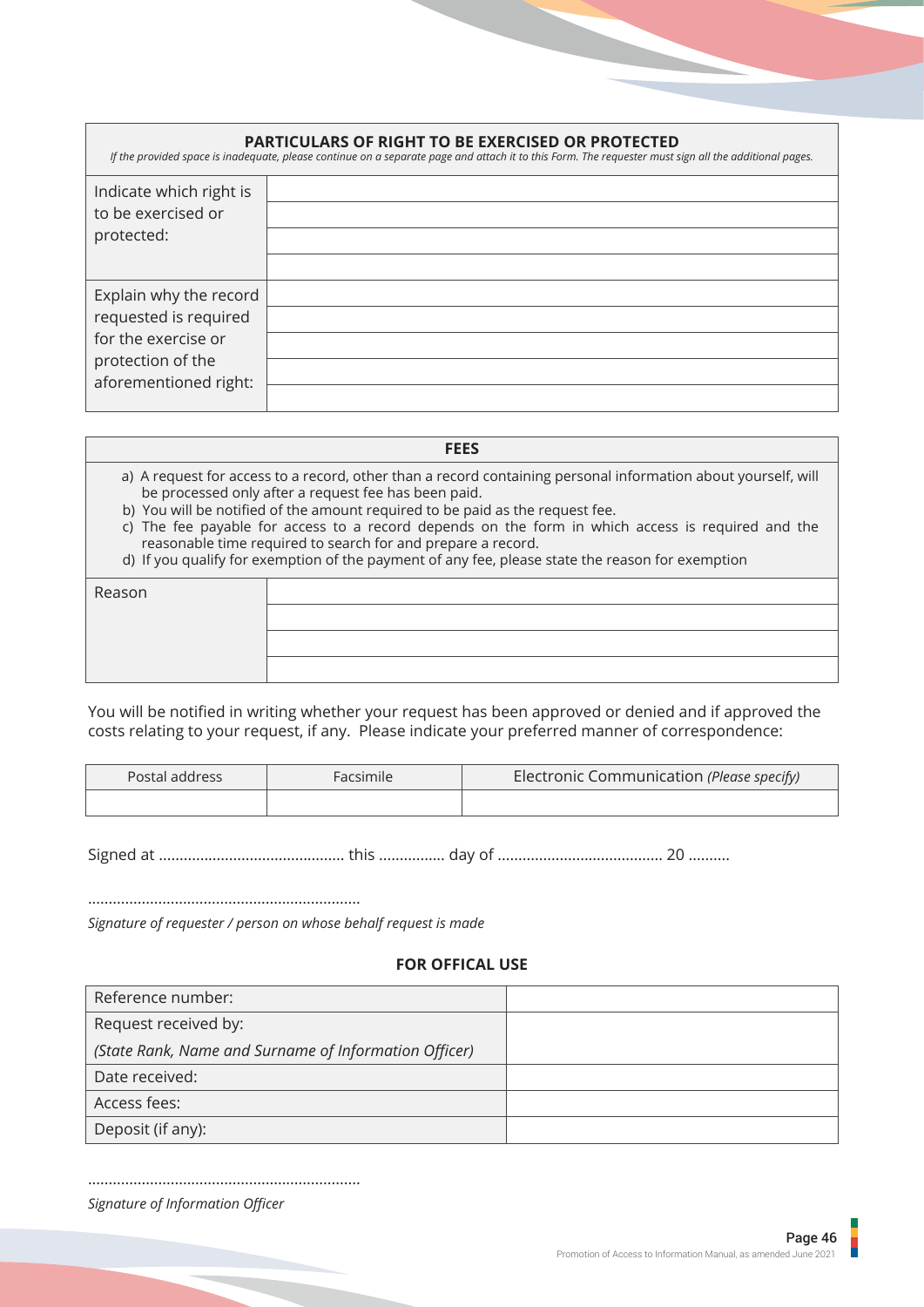| <b>PARTICULARS OF RIGHT TO BE EXERCISED OR PROTECTED</b><br>If the provided space is inadequate, please continue on a separate page and attach it to this Form. The requester must sign all the additional pages. |  |  |  |  |  |
|-------------------------------------------------------------------------------------------------------------------------------------------------------------------------------------------------------------------|--|--|--|--|--|
| Indicate which right is<br>to be exercised or<br>protected:                                                                                                                                                       |  |  |  |  |  |
| Explain why the record<br>requested is required<br>for the exercise or<br>protection of the<br>aforementioned right:                                                                                              |  |  |  |  |  |

| <b>FEES</b>                                                                                                                                                           |
|-----------------------------------------------------------------------------------------------------------------------------------------------------------------------|
| a) A request for access to a record, other than a record containing personal information about yourself, will<br>be processed only after a request fee has been paid. |
| b) You will be notified of the amount required to be paid as the request fee.                                                                                         |

- c) The fee payable for access to a record depends on the form in which access is required and the reasonable time required to search for and prepare a record.
- d) If you qualify for exemption of the payment of any fee, please state the reason for exemption

| Reason |  |
|--------|--|
|        |  |
|        |  |
|        |  |

You will be notified in writing whether your request has been approved or denied and if approved the costs relating to your request, if any. Please indicate your preferred manner of correspondence:

| Postal address | Facsimile | Electronic Communication (Please specify) |
|----------------|-----------|-------------------------------------------|
|                |           |                                           |

Signed at ............................................. this ................ day of ........................................ 20 ..........

..................................................................

*Signature of requester / person on whose behalf request is made*

## **FOR OFFICAL USE**

| Reference number:                                     |  |
|-------------------------------------------------------|--|
| Request received by:                                  |  |
| (State Rank, Name and Surname of Information Officer) |  |
| Date received:                                        |  |
| Access fees:                                          |  |
| Deposit (if any):                                     |  |

.................................................................. *Signature of Information Officer*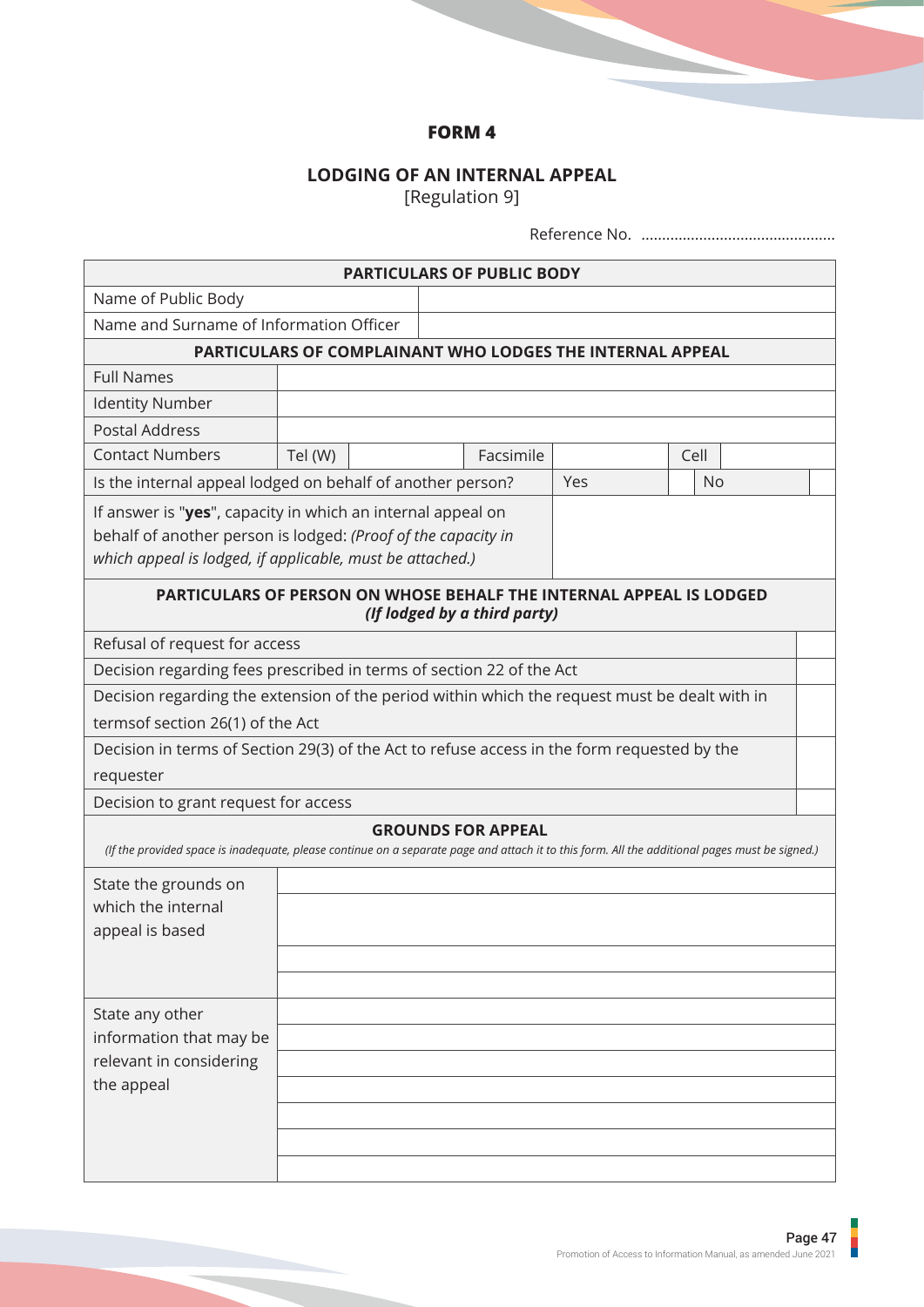# **FORM 4**

## **LODGING OF AN INTERNAL APPEAL**

[Regulation 9]

|                                                                                                                                                                                           |                                                           |  | <b>PARTICULARS OF PUBLIC BODY</b> |     |      |           |  |
|-------------------------------------------------------------------------------------------------------------------------------------------------------------------------------------------|-----------------------------------------------------------|--|-----------------------------------|-----|------|-----------|--|
| Name of Public Body                                                                                                                                                                       |                                                           |  |                                   |     |      |           |  |
| Name and Surname of Information Officer                                                                                                                                                   |                                                           |  |                                   |     |      |           |  |
|                                                                                                                                                                                           | PARTICULARS OF COMPLAINANT WHO LODGES THE INTERNAL APPEAL |  |                                   |     |      |           |  |
| <b>Full Names</b>                                                                                                                                                                         |                                                           |  |                                   |     |      |           |  |
| <b>Identity Number</b>                                                                                                                                                                    |                                                           |  |                                   |     |      |           |  |
| <b>Postal Address</b>                                                                                                                                                                     |                                                           |  |                                   |     |      |           |  |
| <b>Contact Numbers</b>                                                                                                                                                                    | Tel (W)                                                   |  | Facsimile                         |     | Cell |           |  |
| Is the internal appeal lodged on behalf of another person?                                                                                                                                |                                                           |  |                                   | Yes |      | <b>No</b> |  |
| If answer is "yes", capacity in which an internal appeal on<br>behalf of another person is lodged: (Proof of the capacity in<br>which appeal is lodged, if applicable, must be attached.) |                                                           |  |                                   |     |      |           |  |
| PARTICULARS OF PERSON ON WHOSE BEHALF THE INTERNAL APPEAL IS LODGED                                                                                                                       |                                                           |  | (If lodged by a third party)      |     |      |           |  |
| Refusal of request for access                                                                                                                                                             |                                                           |  |                                   |     |      |           |  |
| Decision regarding fees prescribed in terms of section 22 of the Act                                                                                                                      |                                                           |  |                                   |     |      |           |  |
| Decision regarding the extension of the period within which the request must be dealt with in                                                                                             |                                                           |  |                                   |     |      |           |  |
| termsof section 26(1) of the Act                                                                                                                                                          |                                                           |  |                                   |     |      |           |  |
| Decision in terms of Section 29(3) of the Act to refuse access in the form requested by the                                                                                               |                                                           |  |                                   |     |      |           |  |
| requester                                                                                                                                                                                 |                                                           |  |                                   |     |      |           |  |
| Decision to grant request for access                                                                                                                                                      |                                                           |  |                                   |     |      |           |  |
| (If the provided space is inadequate, please continue on a separate page and attach it to this form. All the additional pages must be signed.)                                            |                                                           |  | <b>GROUNDS FOR APPEAL</b>         |     |      |           |  |
| State the grounds on<br>which the internal<br>appeal is based                                                                                                                             |                                                           |  |                                   |     |      |           |  |
| State any other<br>information that may be<br>relevant in considering<br>the appeal                                                                                                       |                                                           |  |                                   |     |      |           |  |

F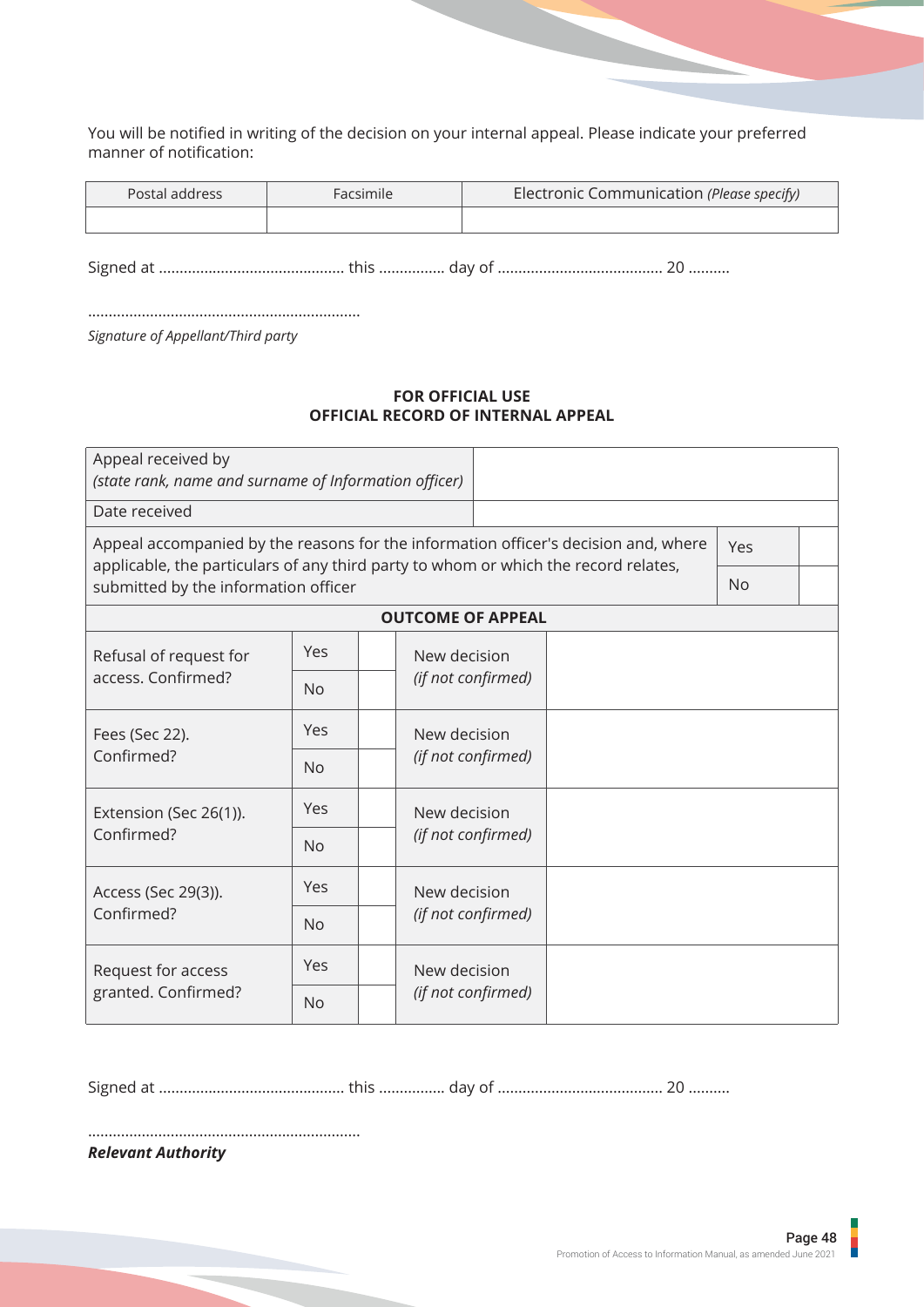You will be notified in writing of the decision on your internal appeal. Please indicate your preferred manner of notification:

| Postal address | Facsimile | Electronic Communication (Please specify) |
|----------------|-----------|-------------------------------------------|
|                |           |                                           |

Signed at ............................................. this ................ day of ........................................ 20 ..........

..................................................................

*Signature of Appellant/Third party*

## **FOR OFFICIAL USE OFFICIAL RECORD OF INTERNAL APPEAL**

| Appeal received by<br>(state rank, name and surname of Information officer)                                                                                                |            |                          |                                    |  |           |  |
|----------------------------------------------------------------------------------------------------------------------------------------------------------------------------|------------|--------------------------|------------------------------------|--|-----------|--|
| Date received                                                                                                                                                              |            |                          |                                    |  |           |  |
| Appeal accompanied by the reasons for the information officer's decision and, where<br>applicable, the particulars of any third party to whom or which the record relates, | Yes        |                          |                                    |  |           |  |
| submitted by the information officer                                                                                                                                       |            |                          |                                    |  | <b>No</b> |  |
|                                                                                                                                                                            |            | <b>OUTCOME OF APPEAL</b> |                                    |  |           |  |
| Refusal of request for                                                                                                                                                     | Yes        | New decision             |                                    |  |           |  |
| access. Confirmed?                                                                                                                                                         | <b>No</b>  | (if not confirmed)       |                                    |  |           |  |
| Fees (Sec 22).                                                                                                                                                             | Yes        |                          | New decision<br>(if not confirmed) |  |           |  |
| Confirmed?                                                                                                                                                                 | <b>No</b>  |                          |                                    |  |           |  |
| Yes<br>Extension (Sec 26(1)).                                                                                                                                              |            | New decision             |                                    |  |           |  |
| Confirmed?                                                                                                                                                                 | <b>No</b>  |                          | (if not confirmed)                 |  |           |  |
| Access (Sec 29(3)).                                                                                                                                                        | Yes        |                          | New decision                       |  |           |  |
| Confirmed?<br><b>No</b>                                                                                                                                                    |            | (if not confirmed)       |                                    |  |           |  |
| Request for access                                                                                                                                                         | <b>Yes</b> | New decision             |                                    |  |           |  |
| granted. Confirmed?                                                                                                                                                        | <b>No</b>  | (if not confirmed)       |                                    |  |           |  |

Signed at ............................................. this ................ day of ........................................ 20 ..........

..................................................................

*Relevant Authority*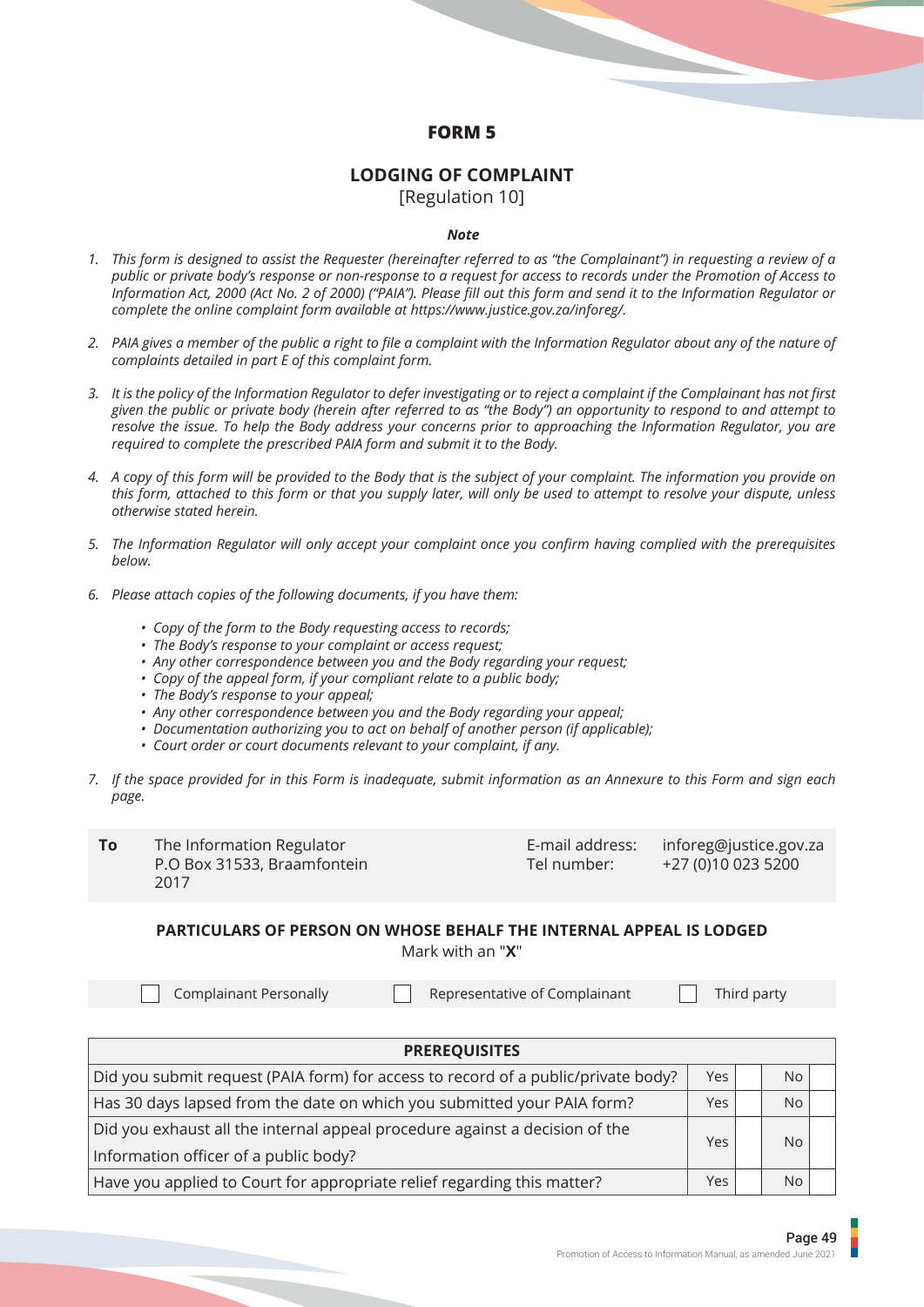## **FORM 5**

## **LODGING OF COMPLAINT**

[Regulation 10]

### *Note*

- *This form is designed to assist the Requester (hereinafter referred to as "the Complainant") in requesting a review of a 1. public or private body's response or non-response to a request for access to records under the Promotion of Access to Information Act, 2000 (Act No. 2 of 2000) ("PAIA"). Please fill out this form and send it to the Information Regulator or complete the online complaint form available at https://www.justice.gov.za/inforeg/.*
- *PAIA gives a member of the public a right to file a complaint with the Information Regulator about any of the nature of 2. complaints detailed in part E of this complaint form.*
- *It is the policy of the Information Regulator to defer investigating or to reject a complaint if the Complainant has not first 3. given the public or private body (herein after referred to as "the Body") an opportunity to respond to and attempt to resolve the issue. To help the Body address your concerns prior to approaching the Information Regulator, you are required to complete the prescribed PAIA form and submit it to the Body.*
- *A copy of this form will be provided to the Body that is the subject of your complaint. The information you provide on 4. this form, attached to this form or that you supply later, will only be used to attempt to resolve your dispute, unless otherwise stated herein.*
- *The Information Regulator will only accept your complaint once you confirm having complied with the prerequisites 5. below.*
- *Please attach copies of the following documents, if you have them: 6.*
	- *Copy of the form to the Body requesting access to records;*
	- *The Body's response to your complaint or access request;*
	- *Any other correspondence between you and the Body regarding your request;*
	- *Copy of the appeal form, if your compliant relate to a public body;*
	- *The Body's response to your appeal;*
	- *Any other correspondence between you and the Body regarding your appeal;*
	- *Documentation authorizing you to act on behalf of another person (if applicable);*
	- *Court order or court documents relevant to your complaint, if any.*
- *If the space provided for in this Form is inadequate, submit information as an Annexure to this Form and sign each 7. page.*

**To** The Information Regulator P.O Box 31533, Braamfontein 2017

E-mail address: inforeg@justice.gov.za<br>Tel number: +27 (0)10 023 5200 +27 (0)10 023 5200

## **PARTICULARS OF PERSON ON WHOSE BEHALF THE INTERNAL APPEAL IS LODGED** Mark with an "**X**"

Complainant Personally **Representative of Complainant** Third party

| <b>PREREQUISITES</b>                                                              |            |  |           |  |  |  |
|-----------------------------------------------------------------------------------|------------|--|-----------|--|--|--|
| Did you submit request (PAIA form) for access to record of a public/private body? | <b>Yes</b> |  | <b>No</b> |  |  |  |
| Has 30 days lapsed from the date on which you submitted your PAIA form?           | <b>Yes</b> |  | <b>No</b> |  |  |  |
| Did you exhaust all the internal appeal procedure against a decision of the       | Yes        |  | <b>No</b> |  |  |  |
| Information officer of a public body?                                             |            |  |           |  |  |  |
| Have you applied to Court for appropriate relief regarding this matter?           | <b>Yes</b> |  | <b>No</b> |  |  |  |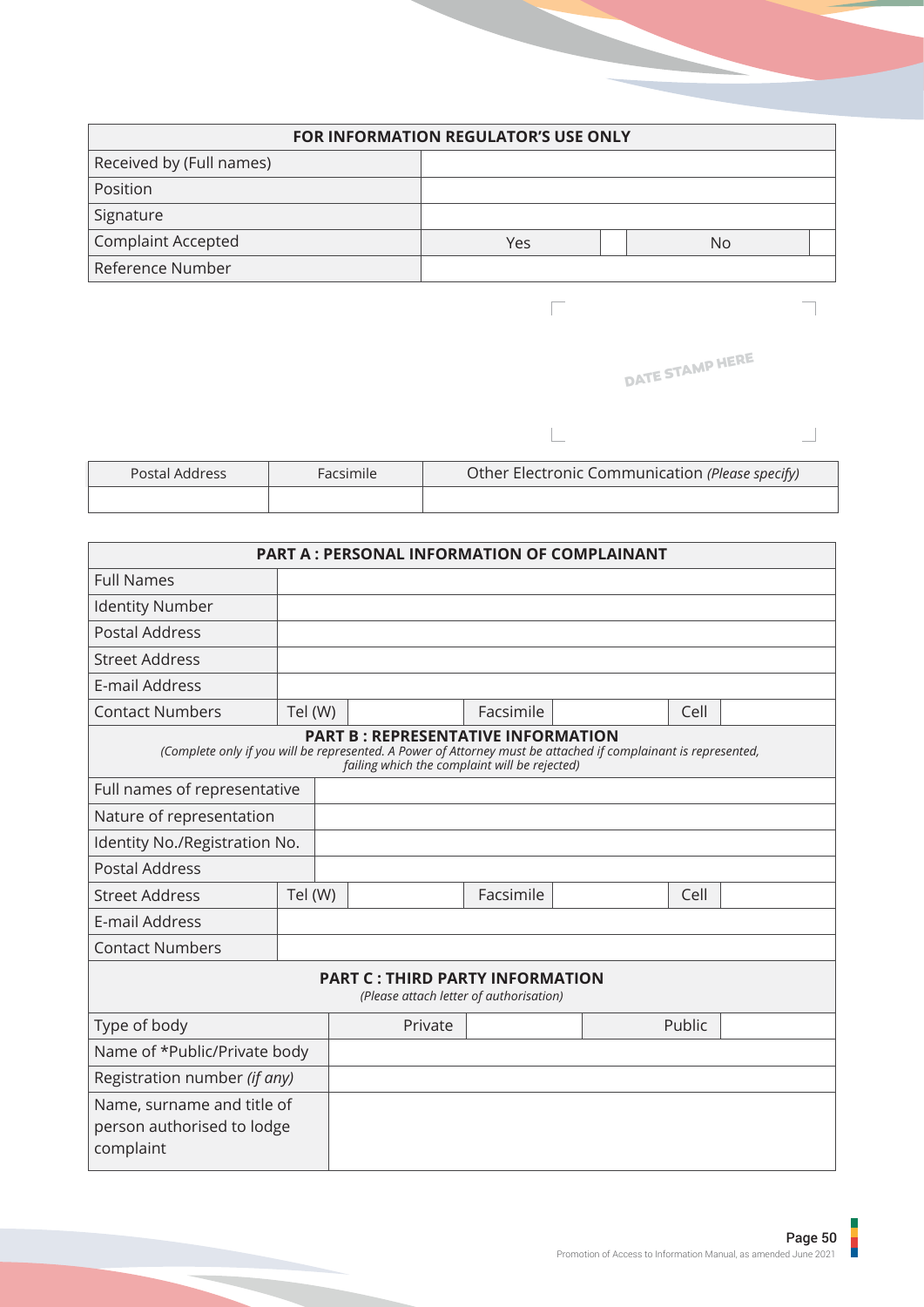| <b>FOR INFORMATION REGULATOR'S USE ONLY</b> |     |  |    |  |  |
|---------------------------------------------|-----|--|----|--|--|
| Received by (Full names)                    |     |  |    |  |  |
| Position                                    |     |  |    |  |  |
| Signature                                   |     |  |    |  |  |
| <b>Complaint Accepted</b>                   | Yes |  | No |  |  |
| Reference Number                            |     |  |    |  |  |

 $\overline{\phantom{a}}$ 

 $\Box$ 

|  | DATE STAMP HERE |  |
|--|-----------------|--|
|--|-----------------|--|

 $\Box$ 

 $\overline{\phantom{0}}$ 

| <b>Postal Address</b> | Facsimile | Other Electronic Communication (Please specify) |
|-----------------------|-----------|-------------------------------------------------|
|                       |           |                                                 |

| <b>PART A: PERSONAL INFORMATION OF COMPLAINANT</b>                    |                                                                                                                                                                                                              |         |           |  |        |  |
|-----------------------------------------------------------------------|--------------------------------------------------------------------------------------------------------------------------------------------------------------------------------------------------------------|---------|-----------|--|--------|--|
| <b>Full Names</b>                                                     |                                                                                                                                                                                                              |         |           |  |        |  |
| <b>Identity Number</b>                                                |                                                                                                                                                                                                              |         |           |  |        |  |
| <b>Postal Address</b>                                                 |                                                                                                                                                                                                              |         |           |  |        |  |
| <b>Street Address</b>                                                 |                                                                                                                                                                                                              |         |           |  |        |  |
| E-mail Address                                                        |                                                                                                                                                                                                              |         |           |  |        |  |
| <b>Contact Numbers</b>                                                | Tel (W)                                                                                                                                                                                                      |         | Facsimile |  | Cell   |  |
|                                                                       | <b>PART B: REPRESENTATIVE INFORMATION</b><br>(Complete only if you will be represented. A Power of Attorney must be attached if complainant is represented,<br>failing which the complaint will be rejected) |         |           |  |        |  |
|                                                                       | Full names of representative                                                                                                                                                                                 |         |           |  |        |  |
| Nature of representation                                              |                                                                                                                                                                                                              |         |           |  |        |  |
| Identity No./Registration No.                                         |                                                                                                                                                                                                              |         |           |  |        |  |
| <b>Postal Address</b>                                                 |                                                                                                                                                                                                              |         |           |  |        |  |
| <b>Street Address</b>                                                 | Tel (W)                                                                                                                                                                                                      |         | Facsimile |  | Cell   |  |
| E-mail Address                                                        |                                                                                                                                                                                                              |         |           |  |        |  |
| <b>Contact Numbers</b>                                                |                                                                                                                                                                                                              |         |           |  |        |  |
|                                                                       | <b>PART C: THIRD PARTY INFORMATION</b><br>(Please attach letter of authorisation)                                                                                                                            |         |           |  |        |  |
| Type of body                                                          |                                                                                                                                                                                                              | Private |           |  | Public |  |
| Name of *Public/Private body                                          |                                                                                                                                                                                                              |         |           |  |        |  |
| Registration number (if any)                                          |                                                                                                                                                                                                              |         |           |  |        |  |
| Name, surname and title of<br>person authorised to lodge<br>complaint |                                                                                                                                                                                                              |         |           |  |        |  |

I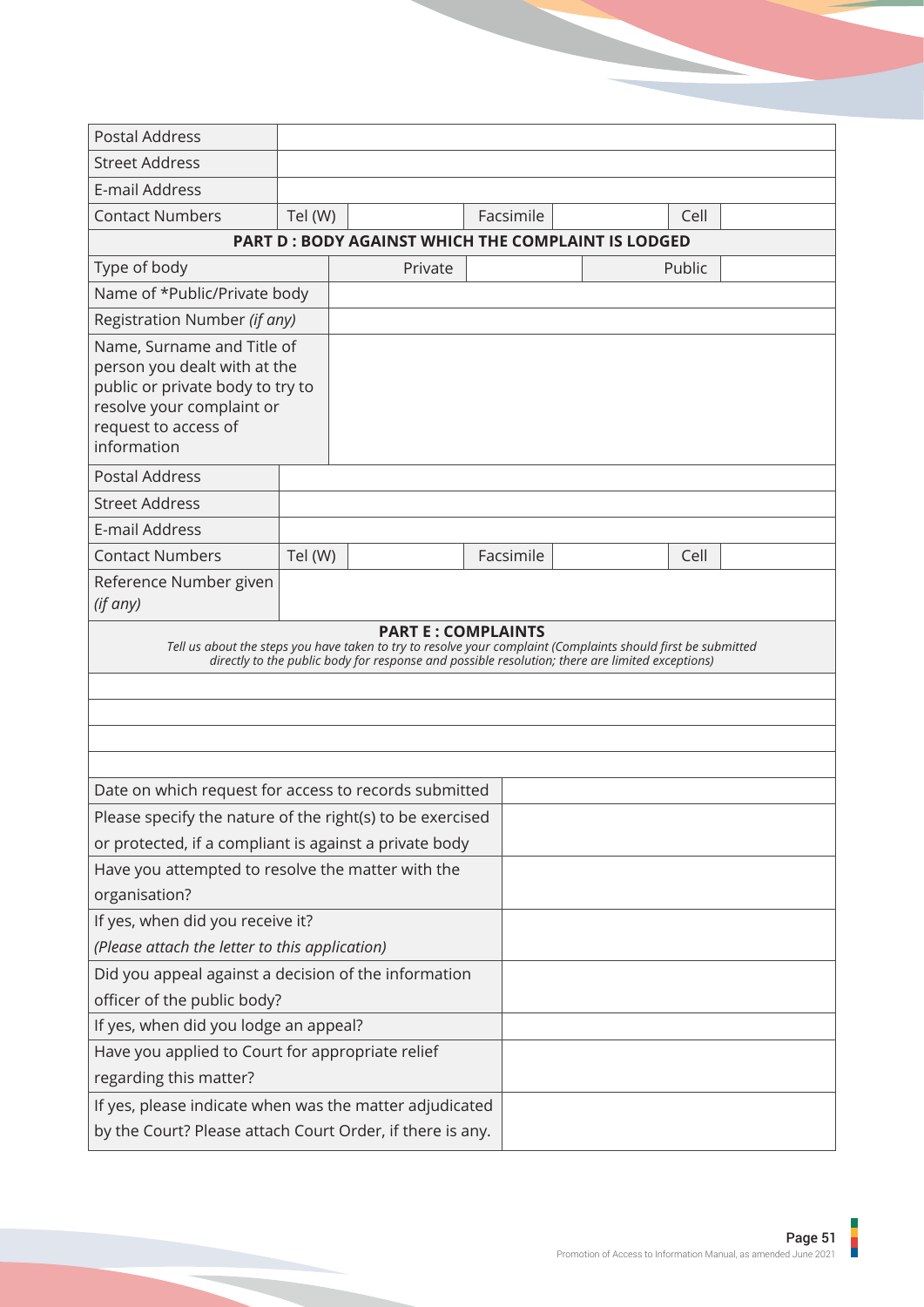| <b>Postal Address</b>                                                                                                                                              |         |                                                                                                                                                                                                                  |           |        |  |
|--------------------------------------------------------------------------------------------------------------------------------------------------------------------|---------|------------------------------------------------------------------------------------------------------------------------------------------------------------------------------------------------------------------|-----------|--------|--|
| <b>Street Address</b>                                                                                                                                              |         |                                                                                                                                                                                                                  |           |        |  |
| E-mail Address                                                                                                                                                     |         |                                                                                                                                                                                                                  |           |        |  |
| <b>Contact Numbers</b>                                                                                                                                             | Tel (W) |                                                                                                                                                                                                                  | Facsimile | Cell   |  |
|                                                                                                                                                                    |         | <b>PART D: BODY AGAINST WHICH THE COMPLAINT IS LODGED</b>                                                                                                                                                        |           |        |  |
| Type of body<br>Private                                                                                                                                            |         |                                                                                                                                                                                                                  |           | Public |  |
| Name of *Public/Private body                                                                                                                                       |         |                                                                                                                                                                                                                  |           |        |  |
| Registration Number (if any)                                                                                                                                       |         |                                                                                                                                                                                                                  |           |        |  |
| Name, Surname and Title of<br>person you dealt with at the<br>public or private body to try to<br>resolve your complaint or<br>request to access of<br>information |         |                                                                                                                                                                                                                  |           |        |  |
| <b>Postal Address</b>                                                                                                                                              |         |                                                                                                                                                                                                                  |           |        |  |
| <b>Street Address</b>                                                                                                                                              |         |                                                                                                                                                                                                                  |           |        |  |
| E-mail Address                                                                                                                                                     |         |                                                                                                                                                                                                                  |           |        |  |
| <b>Contact Numbers</b>                                                                                                                                             | Tel (W) |                                                                                                                                                                                                                  | Facsimile | Cell   |  |
| Reference Number given<br>(if any)                                                                                                                                 |         |                                                                                                                                                                                                                  |           |        |  |
|                                                                                                                                                                    |         | Tell us about the steps you have taken to try to resolve your complaint (Complaints should first be submitted<br>directly to the public body for response and possible resolution; there are limited exceptions) |           |        |  |
| Date on which request for access to records submitted                                                                                                              |         |                                                                                                                                                                                                                  |           |        |  |
| Please specify the nature of the right(s) to be exercised                                                                                                          |         |                                                                                                                                                                                                                  |           |        |  |
| or protected, if a compliant is against a private body                                                                                                             |         |                                                                                                                                                                                                                  |           |        |  |
| Have you attempted to resolve the matter with the                                                                                                                  |         |                                                                                                                                                                                                                  |           |        |  |
| organisation?                                                                                                                                                      |         |                                                                                                                                                                                                                  |           |        |  |
| If yes, when did you receive it?                                                                                                                                   |         |                                                                                                                                                                                                                  |           |        |  |
| (Please attach the letter to this application)                                                                                                                     |         |                                                                                                                                                                                                                  |           |        |  |
| Did you appeal against a decision of the information                                                                                                               |         |                                                                                                                                                                                                                  |           |        |  |
| officer of the public body?                                                                                                                                        |         |                                                                                                                                                                                                                  |           |        |  |
| If yes, when did you lodge an appeal?                                                                                                                              |         |                                                                                                                                                                                                                  |           |        |  |
| Have you applied to Court for appropriate relief                                                                                                                   |         |                                                                                                                                                                                                                  |           |        |  |
| regarding this matter?                                                                                                                                             |         |                                                                                                                                                                                                                  |           |        |  |
| If yes, please indicate when was the matter adjudicated                                                                                                            |         |                                                                                                                                                                                                                  |           |        |  |
|                                                                                                                                                                    |         |                                                                                                                                                                                                                  |           |        |  |

ı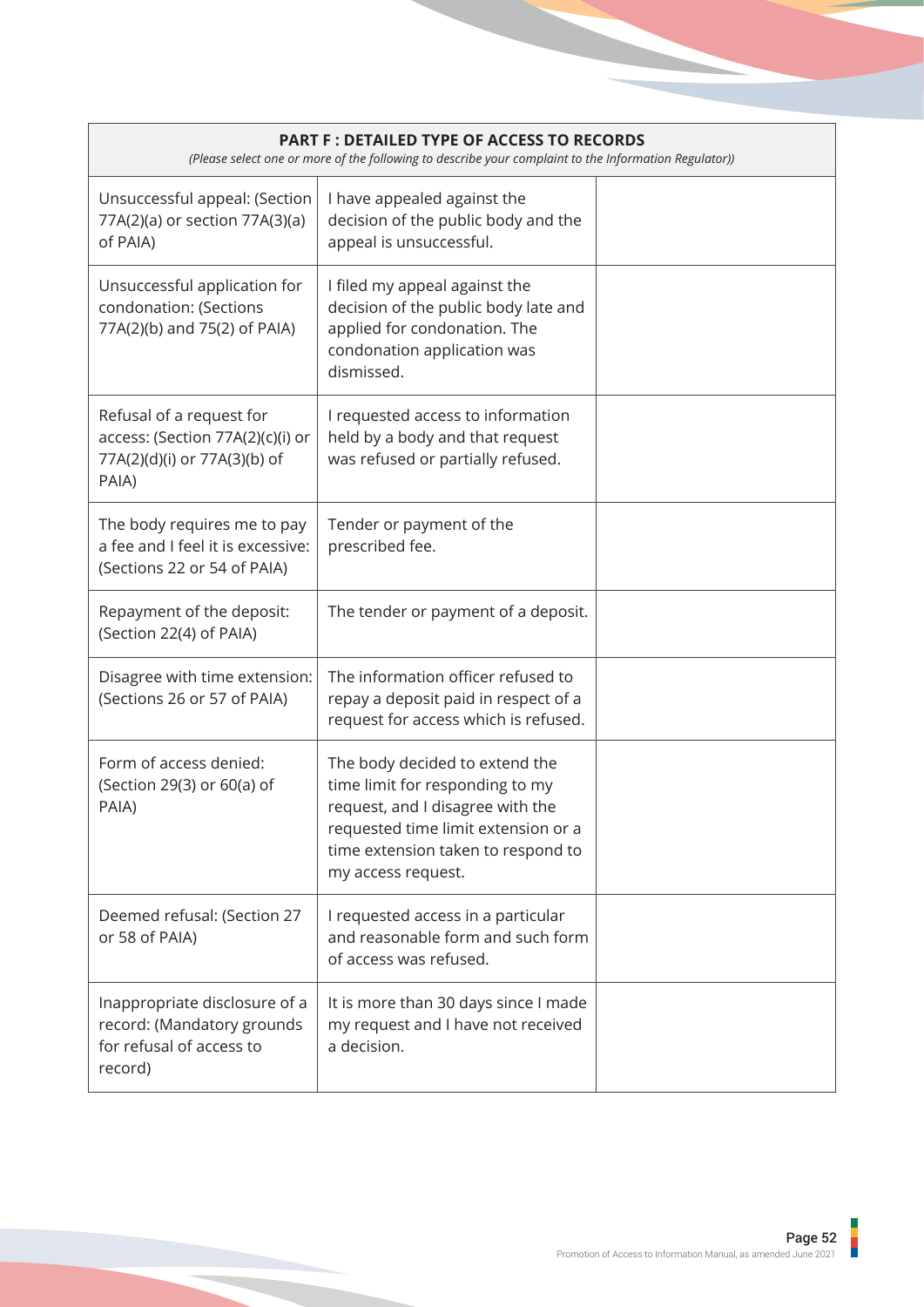|                                                                                                       | <b>PART F: DETAILED TYPE OF ACCESS TO RECORDS</b><br>(Please select one or more of the following to describe your complaint to the Information Regulator))                                               |  |  |  |  |  |  |
|-------------------------------------------------------------------------------------------------------|----------------------------------------------------------------------------------------------------------------------------------------------------------------------------------------------------------|--|--|--|--|--|--|
| Unsuccessful appeal: (Section<br>77A(2)(a) or section 77A(3)(a)<br>of PAIA)                           | I have appealed against the<br>decision of the public body and the<br>appeal is unsuccessful.                                                                                                            |  |  |  |  |  |  |
| Unsuccessful application for<br>condonation: (Sections<br>77A(2)(b) and 75(2) of PAIA)                | I filed my appeal against the<br>decision of the public body late and<br>applied for condonation. The<br>condonation application was<br>dismissed.                                                       |  |  |  |  |  |  |
| Refusal of a request for<br>access: (Section 77A(2)(c)(i) or<br>77A(2)(d)(i) or 77A(3)(b) of<br>PAIA) | I requested access to information<br>held by a body and that request<br>was refused or partially refused.                                                                                                |  |  |  |  |  |  |
| The body requires me to pay<br>a fee and I feel it is excessive:<br>(Sections 22 or 54 of PAIA)       | Tender or payment of the<br>prescribed fee.                                                                                                                                                              |  |  |  |  |  |  |
| Repayment of the deposit:<br>(Section 22(4) of PAIA)                                                  | The tender or payment of a deposit.                                                                                                                                                                      |  |  |  |  |  |  |
| Disagree with time extension:<br>(Sections 26 or 57 of PAIA)                                          | The information officer refused to<br>repay a deposit paid in respect of a<br>request for access which is refused.                                                                                       |  |  |  |  |  |  |
| Form of access denied:<br>(Section 29(3) or 60(a) of<br>PAIA)                                         | The body decided to extend the<br>time limit for responding to my<br>request, and I disagree with the<br>requested time limit extension or a<br>time extension taken to respond to<br>my access request. |  |  |  |  |  |  |
| Deemed refusal: (Section 27<br>or 58 of PAIA)                                                         | I requested access in a particular<br>and reasonable form and such form<br>of access was refused.                                                                                                        |  |  |  |  |  |  |
| Inappropriate disclosure of a<br>record: (Mandatory grounds<br>for refusal of access to<br>record)    | It is more than 30 days since I made<br>my request and I have not received<br>a decision.                                                                                                                |  |  |  |  |  |  |

İ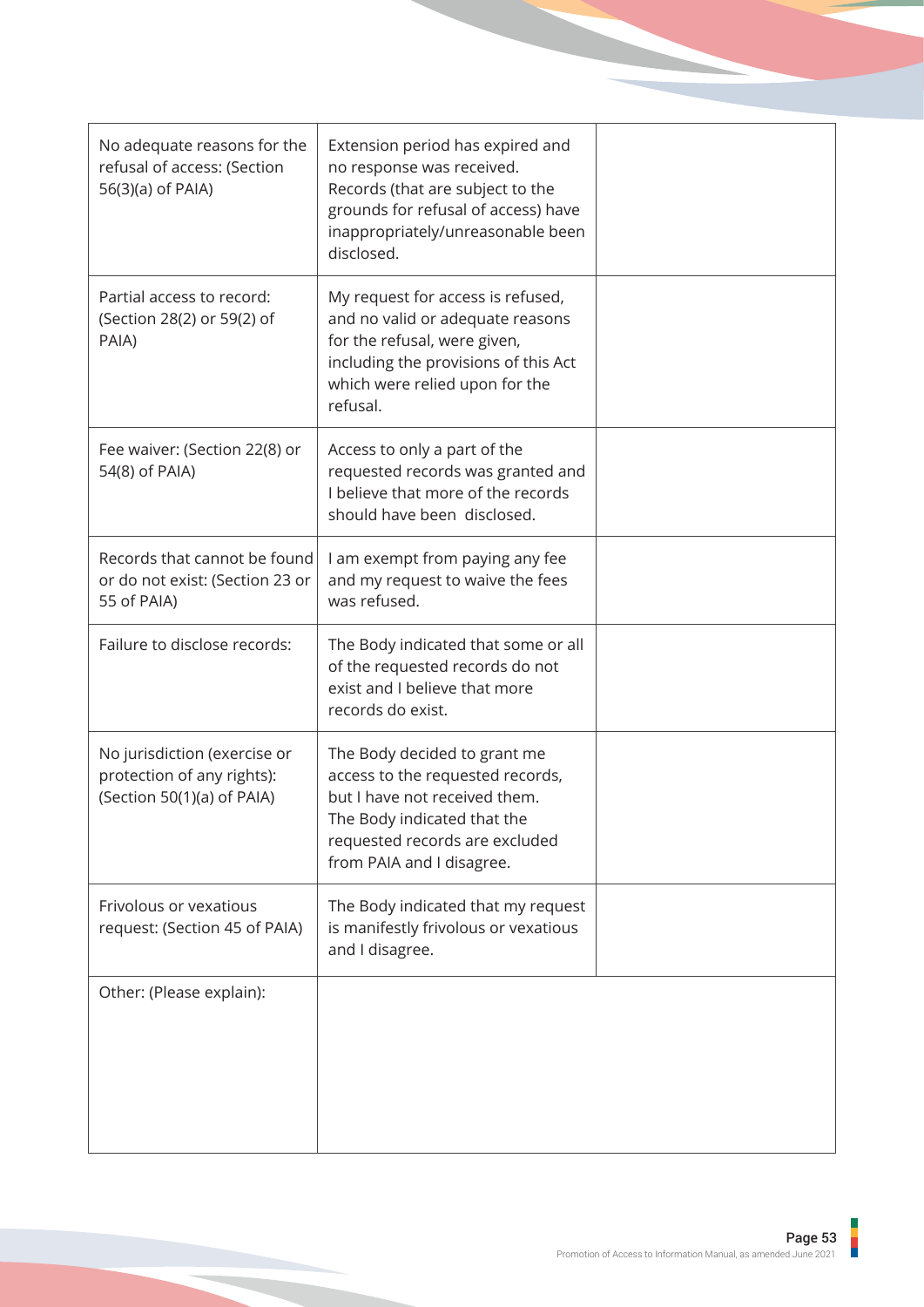| No adequate reasons for the<br>refusal of access: (Section<br>56(3)(a) of PAIA)          | Extension period has expired and<br>no response was received.<br>Records (that are subject to the<br>grounds for refusal of access) have<br>inappropriately/unreasonable been<br>disclosed.     |  |
|------------------------------------------------------------------------------------------|-------------------------------------------------------------------------------------------------------------------------------------------------------------------------------------------------|--|
| Partial access to record:<br>(Section 28(2) or 59(2) of<br>PAIA)                         | My request for access is refused,<br>and no valid or adequate reasons<br>for the refusal, were given,<br>including the provisions of this Act<br>which were relied upon for the<br>refusal.     |  |
| Fee waiver: (Section 22(8) or<br>54(8) of PAIA)                                          | Access to only a part of the<br>requested records was granted and<br>I believe that more of the records<br>should have been disclosed.                                                          |  |
| Records that cannot be found<br>or do not exist: (Section 23 or<br>55 of PAIA)           | I am exempt from paying any fee<br>and my request to waive the fees<br>was refused.                                                                                                             |  |
| Failure to disclose records:                                                             | The Body indicated that some or all<br>of the requested records do not<br>exist and I believe that more<br>records do exist.                                                                    |  |
| No jurisdiction (exercise or<br>protection of any rights):<br>(Section 50(1)(a) of PAIA) | The Body decided to grant me<br>access to the requested records,<br>but I have not received them.<br>The Body indicated that the<br>requested records are excluded<br>from PAIA and I disagree. |  |
| Frivolous or vexatious<br>request: (Section 45 of PAIA)                                  | The Body indicated that my request<br>is manifestly frivolous or vexatious<br>and I disagree.                                                                                                   |  |
| Other: (Please explain):                                                                 |                                                                                                                                                                                                 |  |

j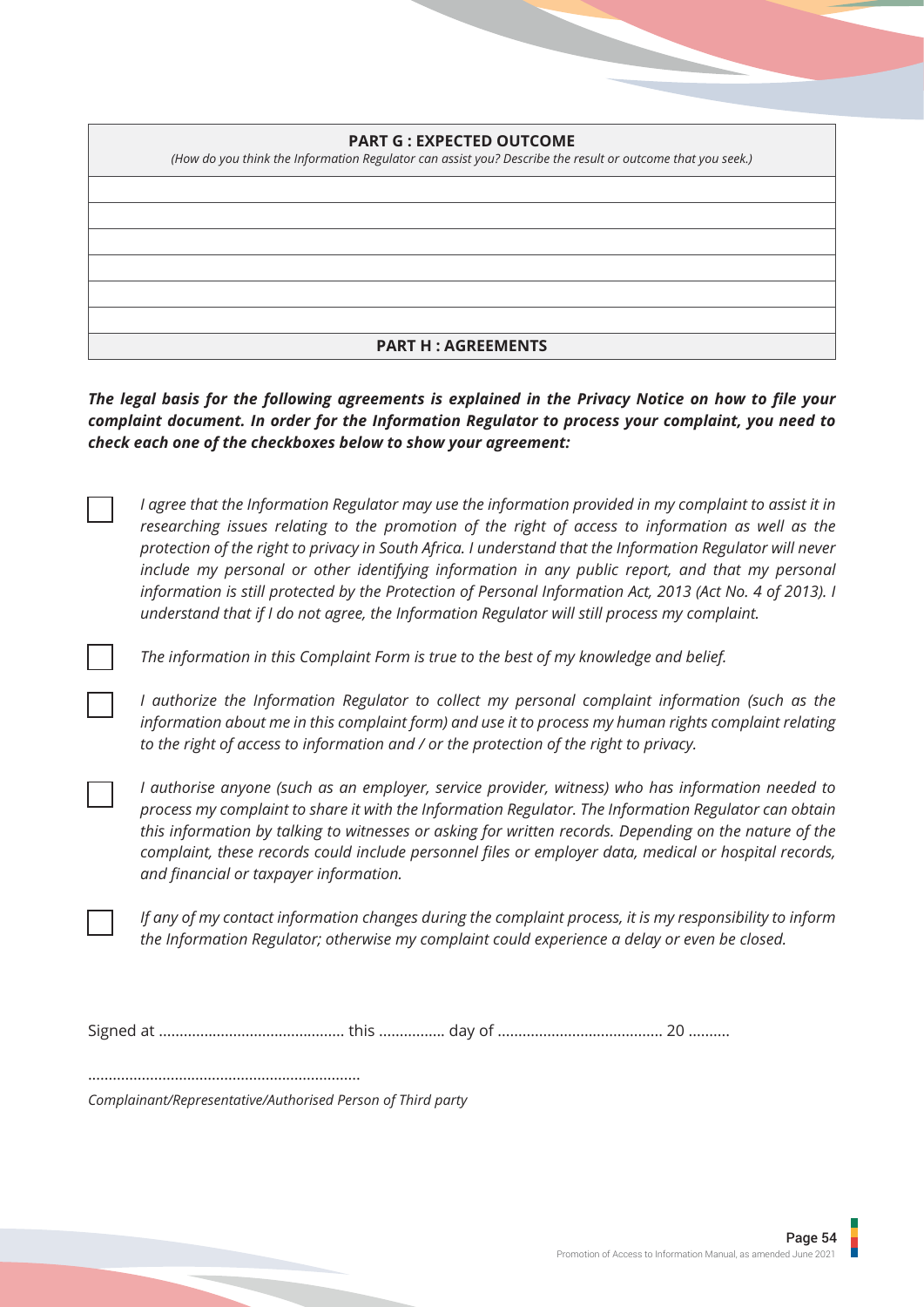## **PART G : EXPECTED OUTCOME**

*(How do you think the Information Regulator can assist you? Describe the result or outcome that you seek.)* **PART H : AGREEMENTS**

*The legal basis for the following agreements is explained in the Privacy Notice on how to file your complaint document. In order for the Information Regulator to process your complaint, you need to check each one of the checkboxes below to show your agreement:*

*I agree that the Information Regulator may use the information provided in my complaint to assist it in researching issues relating to the promotion of the right of access to information as well as the protection of the right to privacy in South Africa. I understand that the Information Regulator will never include my personal or other identifying information in any public report, and that my personal information is still protected by the Protection of Personal Information Act, 2013 (Act No. 4 of 2013). I understand that if I do not agree, the Information Regulator will still process my complaint.*

*The information in this Complaint Form is true to the best of my knowledge and belief.*

*I authorize the Information Regulator to collect my personal complaint information (such as the information about me in this complaint form) and use it to process my human rights complaint relating to the right of access to information and / or the protection of the right to privacy.*

*I authorise anyone (such as an employer, service provider, witness) who has information needed to process my complaint to share it with the Information Regulator. The Information Regulator can obtain this information by talking to witnesses or asking for written records. Depending on the nature of the complaint, these records could include personnel files or employer data, medical or hospital records, and financial or taxpayer information.*

*If any of my contact information changes during the complaint process, it is my responsibility to inform the Information Regulator; otherwise my complaint could experience a delay or even be closed.*

Signed at ............................................. this ................ day of ........................................ 20 ..........

..................................................................

*Complainant/Representative/Authorised Person of Third party*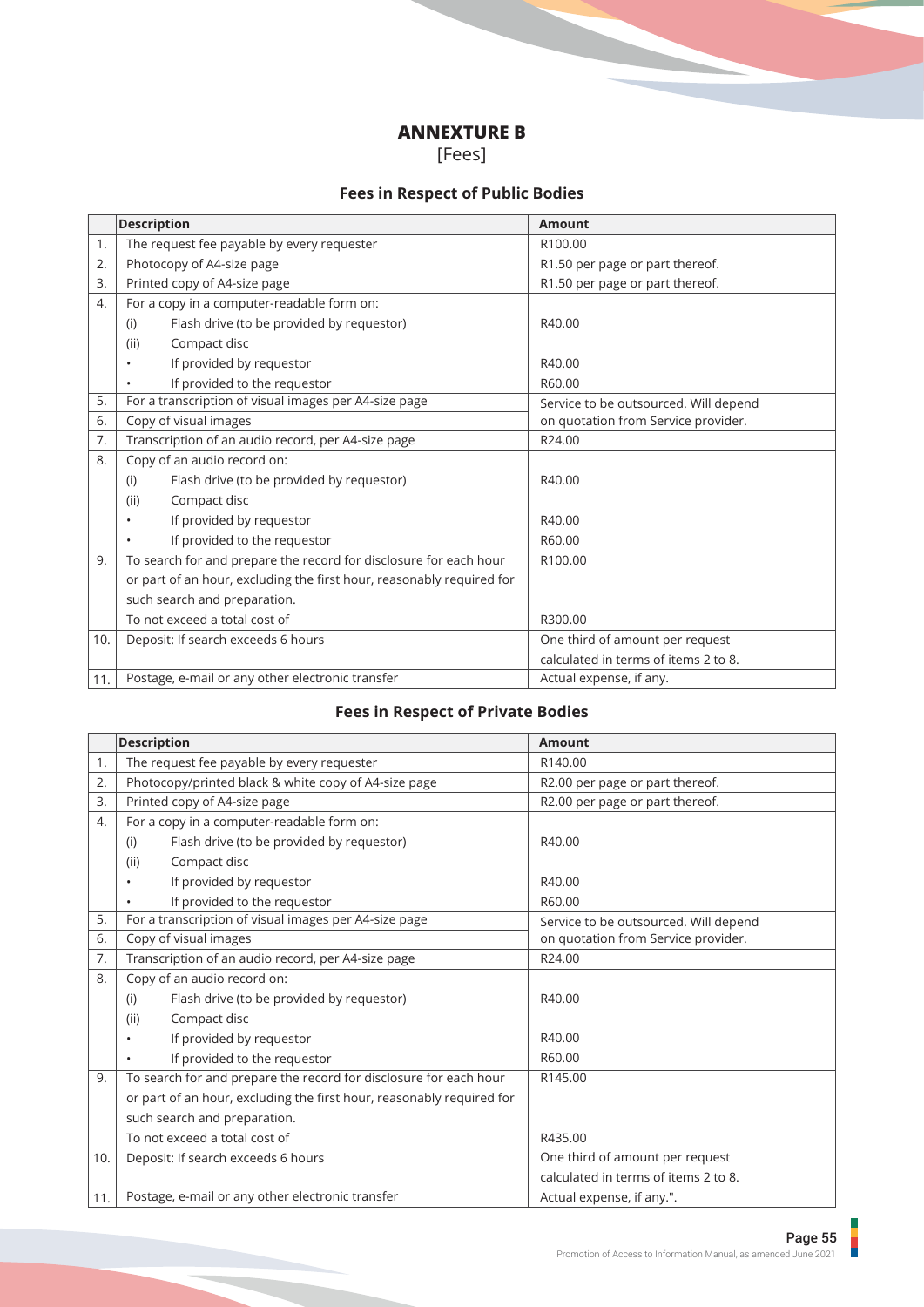## **ANNEXTURE B**

[Fees]

## **Fees in Respect of Public Bodies**

|     | <b>Description</b>                                                    | <b>Amount</b>                         |
|-----|-----------------------------------------------------------------------|---------------------------------------|
| 1.  | The request fee payable by every requester                            | R100.00                               |
| 2.  | Photocopy of A4-size page                                             | R1.50 per page or part thereof.       |
| 3.  | Printed copy of A4-size page                                          | R1.50 per page or part thereof.       |
| 4.  | For a copy in a computer-readable form on:                            |                                       |
|     | Flash drive (to be provided by requestor)<br>(i)                      | R40.00                                |
|     | (ii)<br>Compact disc                                                  |                                       |
|     | If provided by requestor                                              | R40.00                                |
|     | If provided to the requestor                                          | R60.00                                |
| 5.  | For a transcription of visual images per A4-size page                 | Service to be outsourced. Will depend |
| 6.  | Copy of visual images                                                 | on quotation from Service provider.   |
| 7.  | Transcription of an audio record, per A4-size page                    | R24.00                                |
| 8.  | Copy of an audio record on:                                           |                                       |
|     | Flash drive (to be provided by requestor)<br>(i)                      | R40.00                                |
|     | Compact disc<br>(ii)                                                  |                                       |
|     | If provided by requestor                                              | R40.00                                |
|     | If provided to the requestor                                          | R60.00                                |
| 9.  | To search for and prepare the record for disclosure for each hour     | R100.00                               |
|     | or part of an hour, excluding the first hour, reasonably required for |                                       |
|     | such search and preparation.                                          |                                       |
|     | To not exceed a total cost of                                         | R300.00                               |
| 10. | Deposit: If search exceeds 6 hours                                    | One third of amount per request       |
|     |                                                                       | calculated in terms of items 2 to 8.  |
| 11. | Postage, e-mail or any other electronic transfer                      | Actual expense, if any.               |

## **Fees in Respect of Private Bodies**

|     | <b>Description</b>                                                    | <b>Amount</b>                         |
|-----|-----------------------------------------------------------------------|---------------------------------------|
| 1.  | The request fee payable by every requester                            | R140.00                               |
| 2.  | Photocopy/printed black & white copy of A4-size page                  | R2.00 per page or part thereof.       |
| 3.  | Printed copy of A4-size page                                          | R2.00 per page or part thereof.       |
| 4.  | For a copy in a computer-readable form on:                            |                                       |
|     | Flash drive (to be provided by requestor)<br>(i)                      | R40.00                                |
|     | Compact disc<br>(ii)                                                  |                                       |
|     | If provided by requestor                                              | R40.00                                |
|     | If provided to the requestor                                          | R60.00                                |
| 5.  | For a transcription of visual images per A4-size page                 | Service to be outsourced. Will depend |
| 6.  | Copy of visual images                                                 | on quotation from Service provider.   |
| 7.  | Transcription of an audio record, per A4-size page                    | R24.00                                |
| 8.  | Copy of an audio record on:                                           |                                       |
|     | Flash drive (to be provided by requestor)<br>(i)                      | R40.00                                |
|     | Compact disc<br>(ii)                                                  |                                       |
|     | If provided by requestor<br>$\bullet$                                 | R40.00                                |
|     | If provided to the requestor                                          | R60.00                                |
| 9.  | To search for and prepare the record for disclosure for each hour     | R145.00                               |
|     | or part of an hour, excluding the first hour, reasonably required for |                                       |
|     | such search and preparation.                                          |                                       |
|     | To not exceed a total cost of                                         | R435.00                               |
| 10. | Deposit: If search exceeds 6 hours                                    | One third of amount per request       |
|     |                                                                       | calculated in terms of items 2 to 8.  |
| 11. | Postage, e-mail or any other electronic transfer                      | Actual expense, if any.".             |

F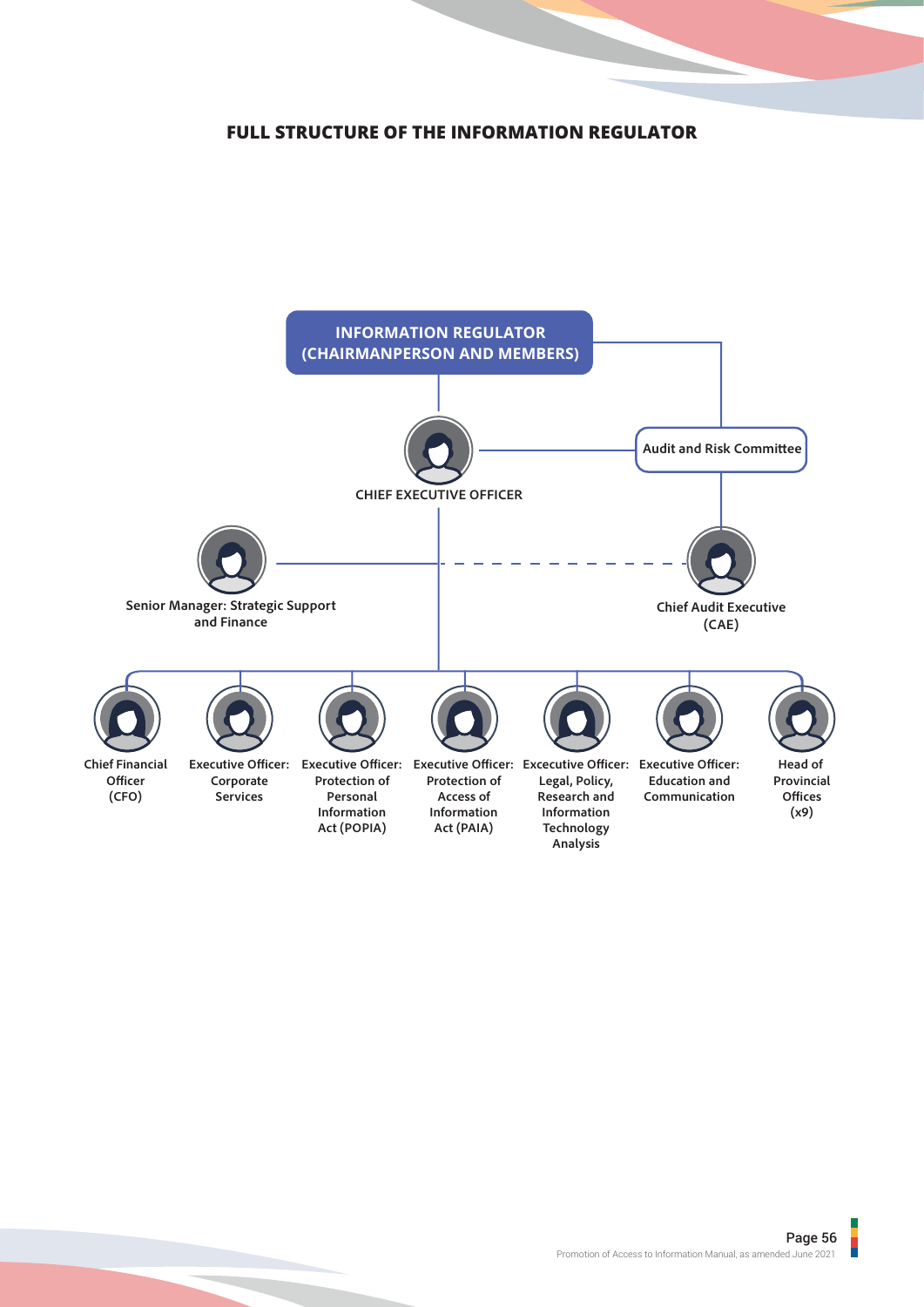## **FULL STRUCTURE OF THE INFORMATION REGULATOR**

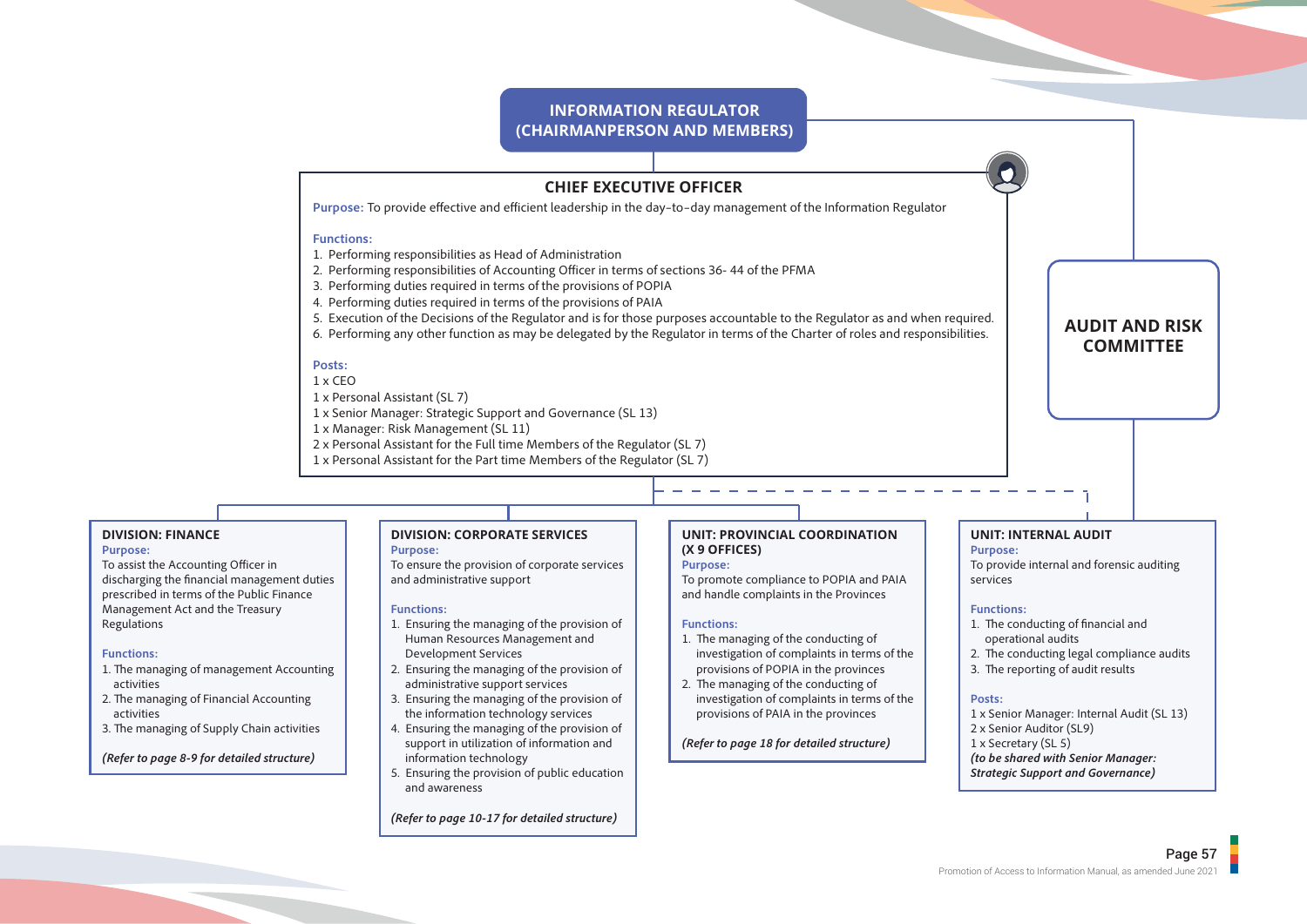### **INFORMATION REGULATOR (CHAIRMANPERSON AND MEMBERS)**

## **CHIEF EXECUTIVE OFFICER**

Purpose: To provide effective and efficient leadership in the day-to-day management of the Information Regulator

### **Functions:**

- 1. Performing responsibilities as Head of Administration
- 2. Performing responsibilities of Accounting Officer in terms of sections 36-44 of the PFMA
- 3. Performing duties required in terms of the provisions of POPIA
- 4. Performing duties required in terms of the provisions of PAIA
- 5. Execution of the Decisions of the Regulator and is for those purposes accountable to the Regulator as and when required.
- 6. Performing any other function as may be delegated by the Regulator in terms of the Charter of roles and responsibilities.

### **Posts:**

### 1 x CEO

- 1 x Personal Assistant (SL 7)
- 1 x Senior Manager: Strategic Support and Governance (SL 13)
- 1 x Manager: Risk Management (SL 11)
- 2 x Personal Assistant for the Full time Members of the Regulator (SL 7)
- 1 x Personal Assistant for the Part time Members of the Regulator (SL 7)

## **DIVISION: FINANCE**

### **Purpose:**

To assist the Accounting Officer in discharging the financial management duties prescribed in terms of the Public Finance Management Act and the Treasury Regulations

#### **Functions:**

- 1. The managing of management Accounting activities
- 2. The managing of Financial Accounting activities
- 3. The managing of Supply Chain activities

*(Refer to page 8-9 for detailed structure)*

#### **DIVISION: CORPORATE SERVICES Purpose:**

To ensure the provision of corporate services and administrative support

#### **Functions:**

- 1. Ensuring the managing of the provision of Human Resources Management and Development Services
- 2. Ensuring the managing of the provision of administrative support services
- 3. Ensuring the managing of the provision of the information technology services
- 4. Ensuring the managing of the provision of support in utilization of information and information technology
- 5. Ensuring the provision of public education and awareness

#### *(Refer to page 10-17 for detailed structure)*

### **UNIT: PROVINCIAL COORDINATION (X 9 OFFICES)**

### **Purpose:**

To promote compliance to POPIA and PAIA and handle complaints in the Provinces

#### **Functions:**

- 1. The managing of the conducting of investigation of complaints in terms of the provisions of POPIA in the provinces
- 2. The managing of the conducting of investigation of complaints in terms of the provisions of PAIA in the provinces

### *(Refer to page 18 for detailed structure)*

### **UNIT: INTERNAL AUDIT**

**Purpose:** To provide internal and forensic auditing services

**AUDIT AND RISK COMMITTEE**

#### **Functions:**

- 1. The conducting of financial and operational audits
- 2. The conducting legal compliance audits
- 3. The reporting of audit results

#### **Posts:**

- 1 x Senior Manager: Internal Audit (SL 13)
- 2 x Senior Auditor (SL9)
- 1 x Secretary (SL 5)
- *(to be shared with Senior Manager:*
- *Strategic Support and Governance)*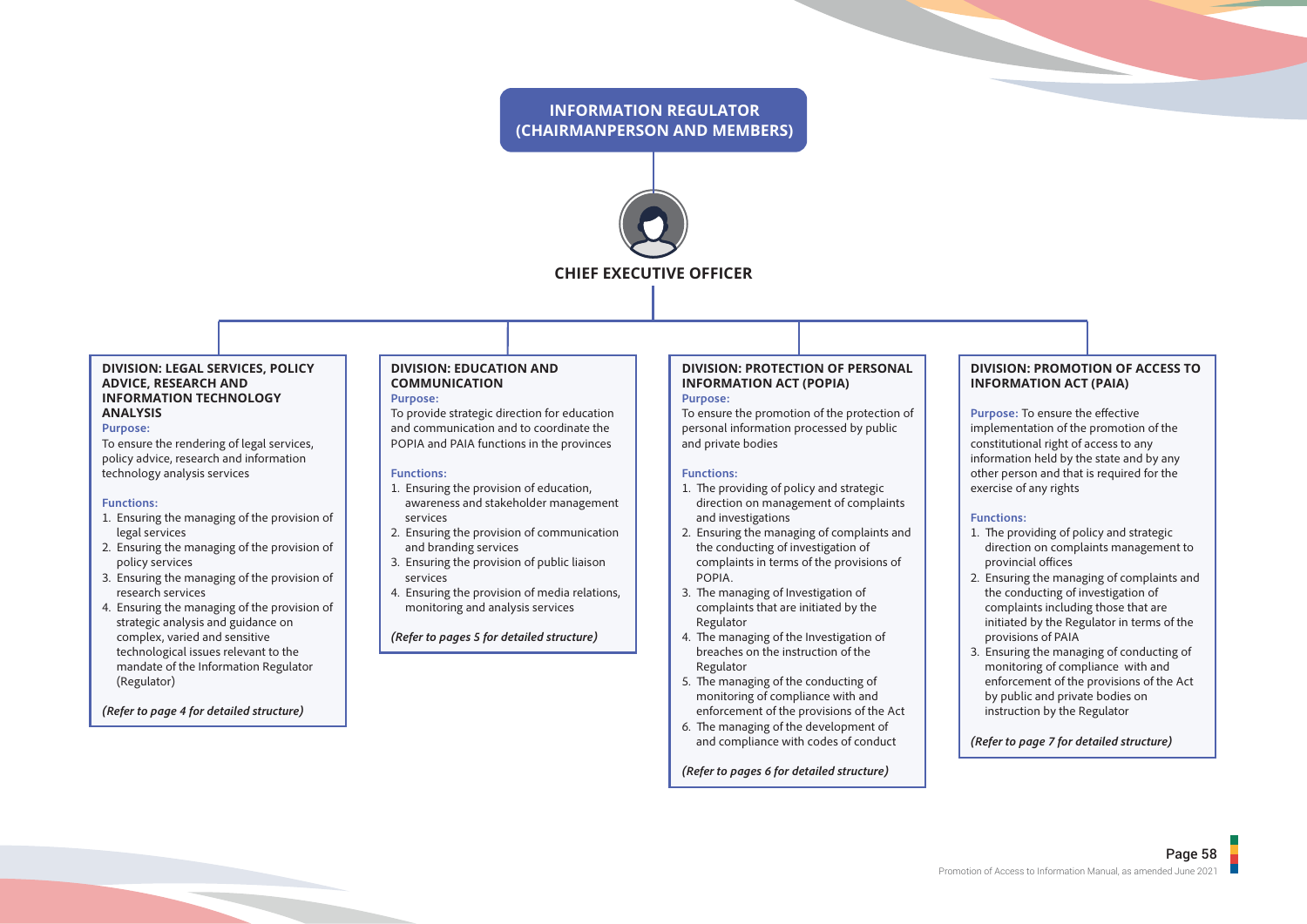## **INFORMATION REGULATOR (CHAIRMANPERSON AND MEMBERS)**



#### **DIVISION: LEGAL SERVICES, POLICY ADVICE, RESEARCH AND INFORMATION TECHNOLOGY ANALYSIS**

#### **Purpose:**

To ensure the rendering of legal services, policy advice, research and information technology analysis services

#### **Functions:**

- 1. Ensuring the managing of the provision of legal services
- 2. Ensuring the managing of the provision of policy services
- 3. Ensuring the managing of the provision of research services
- 4. Ensuring the managing of the provision of strategic analysis and guidance on complex, varied and sensitive technological issues relevant to the mandate of the Information Regulator (Regulator)

*(Refer to page 4 for detailed structure)*

#### **DIVISION: EDUCATION AND COMMUNICATION Purpose:**

To provide strategic direction for education and communication and to coordinate the POPIA and PAIA functions in the provinces

#### **Functions:**

- 1. Ensuring the provision of education, awareness and stakeholder management services
- 2. Ensuring the provision of communication and branding services
- 3. Ensuring the provision of public liaison services
- 4. Ensuring the provision of media relations, monitoring and analysis services

*(Refer to pages 5 for detailed structure)*

#### **DIVISION: PROTECTION OF PERSONAL INFORMATION ACT (POPIA) Purpose:**

To ensure the promotion of the protection of personal information processed by public and private bodies

#### **Functions:**

- 1. The providing of policy and strategic direction on management of complaints and investigations
- 2. Ensuring the managing of complaints and the conducting of investigation of complaints in terms of the provisions of POPIA.
- 3. The managing of Investigation of complaints that are initiated by the Regulator
- 4. The managing of the Investigation of breaches on the instruction of the Regulator
- 5. The managing of the conducting of monitoring of compliance with and enforcement of the provisions of the Act
- 6. The managing of the development of and compliance with codes of conduct

*(Refer to pages 6 for detailed structure)*

### **DIVISION: PROMOTION OF ACCESS TO INFORMATION ACT (PAIA)**

**Purpose:** To ensure the effective implementation of the promotion of the constitutional right of access to any information held by the state and by any other person and that is required for the exercise of any rights

#### **Functions:**

- 1. The providing of policy and strategic direction on complaints management to provincial offices
- 2. Ensuring the managing of complaints and the conducting of investigation of complaints including those that are initiated by the Regulator in terms of the provisions of PAIA
- 3. Ensuring the managing of conducting of monitoring of compliance with and enforcement of the provisions of the Act by public and private bodies on instruction by the Regulator

### *(Refer to page 7 for detailed structure)*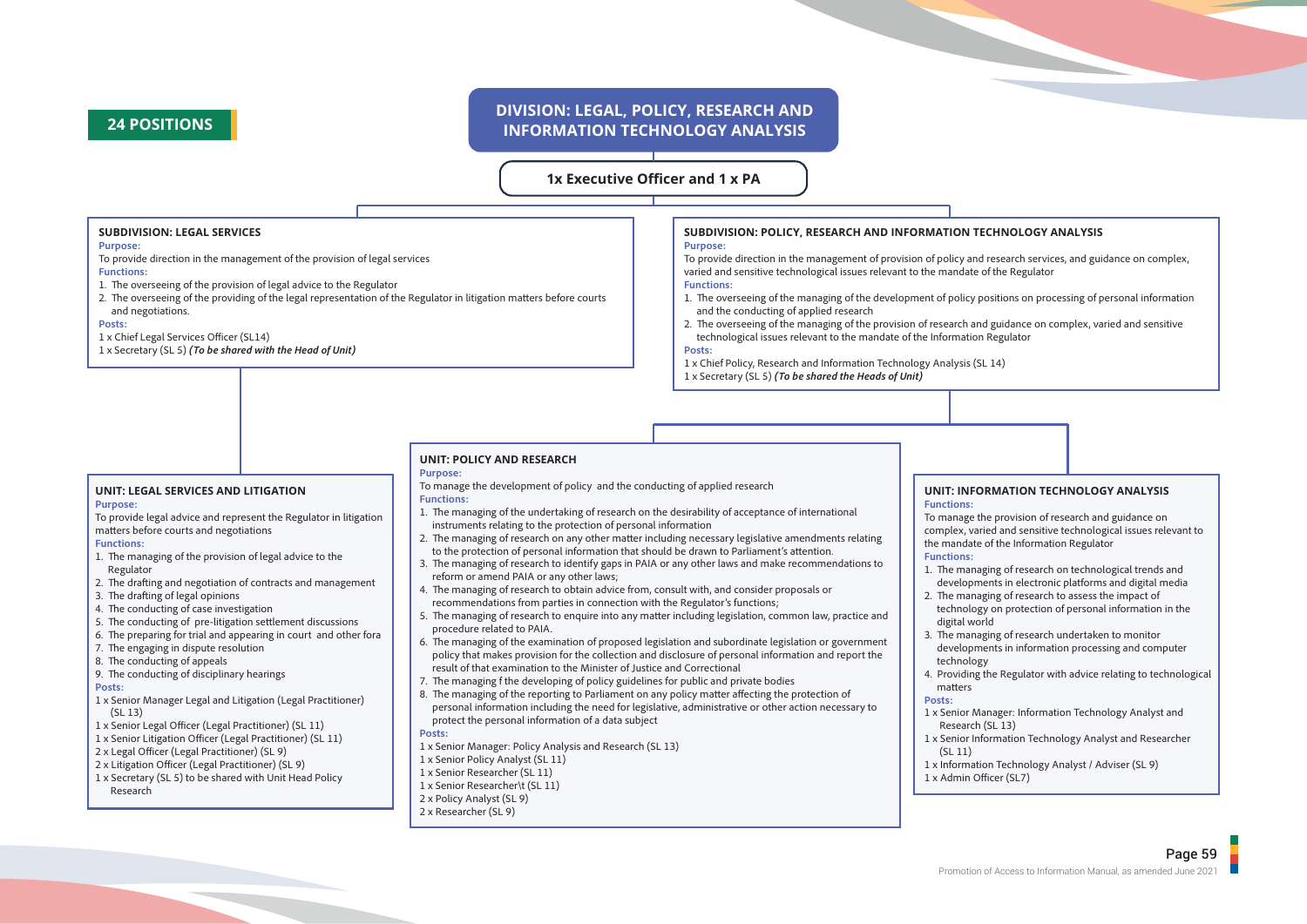## **24 POSITIONS**

## **DIVISION: LEGAL, POLICY, RESEARCH AND INFORMATION TECHNOLOGY ANALYSIS**

**1x Executive Officer and 1 x PA**

#### **SUBDIVISION: LEGAL SERVICES**

#### **Purpose:**

- To provide direction in the management of the provision of legal services **Functions:**
- 1. The overseeing of the provision of legal advice to the Regulator
- 2. The overseeing of the providing of the legal representation of the Regulator in litigation matters before courts and negotiations.

#### **Posts:**

- 1 x Chief Legal Services Officer (SL14)
- 1 x Secretary (SL 5) *(To be shared with the Head of Unit)*

## **SUBDIVISION: POLICY, RESEARCH AND INFORMATION TECHNOLOGY ANALYSIS**

### **Purpose:**

To provide direction in the management of provision of policy and research services, and guidance on complex, varied and sensitive technological issues relevant to the mandate of the Regulator

### **Functions:**

- 1. The overseeing of the managing of the development of policy positions on processing of personal information and the conducting of applied research
- 2. The overseeing of the managing of the provision of research and guidance on complex, varied and sensitive technological issues relevant to the mandate of the Information Regulator

#### **Posts:**

1 x Chief Policy, Research and Information Technology Analysis (SL 14)

#### 1 x Secretary (SL 5) *(To be shared the Heads of Unit)*

#### **UNIT: LEGAL SERVICES AND LITIGATION Purpose:**

To provide legal advice and represent the Regulator in litigation matters before courts and negotiations

#### **Functions:**

- 1. The managing of the provision of legal advice to the Regulator
- 2. The drafting and negotiation of contracts and management
- 3. The drafting of legal opinions
- 4. The conducting of case investigation
- 5. The conducting of pre-litigation settlement discussions
- 6. The preparing for trial and appearing in court and other fora
- 7. The engaging in dispute resolution
- 8. The conducting of appeals
- 9. The conducting of disciplinary hearings

#### **Posts:**

- 1 x Senior Manager Legal and Litigation (Legal Practitioner) (SL 13)
- 1 x Senior Legal Officer (Legal Practitioner) (SL 11)
- 1 x Senior Litigation Officer (Legal Practitioner) (SL 11)
- 2 x Legal Officer (Legal Practitioner) (SL 9)
- 2 x Litigation Officer (Legal Practitioner) (SL 9)
- 1 x Secretary (SL 5) to be shared with Unit Head Policy Research

### **UNIT: POLICY AND RESEARCH**

### **Purpose:**

- To manage the development of policy and the conducting of applied research **Functions:**
- 1. The managing of the undertaking of research on the desirability of acceptance of international instruments relating to the protection of personal information
- 2. The managing of research on any other matter including necessary legislative amendments relating to the protection of personal information that should be drawn to Parliament's attention.
- 3. The managing of research to identify gaps in PAIA or any other laws and make recommendations to reform or amend PAIA or any other laws;
- 4. The managing of research to obtain advice from, consult with, and consider proposals or
- recommendations from parties in connection with the Regulator's functions;
- 5. The managing of research to enquire into any matter including legislation, common law, practice and procedure related to PAIA.
- 6. The managing of the examination of proposed legislation and subordinate legislation or government policy that makes provision for the collection and disclosure of personal information and report the result of that examination to the Minister of Justice and Correctional
- 7. The managing f the developing of policy guidelines for public and private bodies
- 8. The managing of the reporting to Parliament on any policy matter affecting the protection of personal information including the need for legislative, administrative or other action necessary to protect the personal information of a data subject
- **Posts:**
- 1 x Senior Manager: Policy Analysis and Research (SL 13)
- 1 x Senior Policy Analyst (SL 11)
- 1 x Senior Researcher (SL 11)
- 1 x Senior Researcher\t (SL 11)
- 2 x Policy Analyst (SL 9)
- 2 x Researcher (SL 9)

#### **UNIT: INFORMATION TECHNOLOGY ANALYSIS Functions:**

To manage the provision of research and guidance on complex, varied and sensitive technological issues relevant to the mandate of the Information Regulator

#### **Functions:**

- 1. The managing of research on technological trends and
- developments in electronic platforms and digital media
- 2. The managing of research to assess the impact of technology on protection of personal information in the digital world
- 
- 3. The managing of research undertaken to monitor developments in information processing and computer technology
- 4. Providing the Regulator with advice relating to technological matters

#### **Posts:**

- 1 x Senior Manager: Information Technology Analyst and Research (SL 13)
- 1 x Senior Information Technology Analyst and Researcher (SL 11)
- 1 x Information Technology Analyst / Adviser (SL 9)
- 1 x Admin Officer (SL7)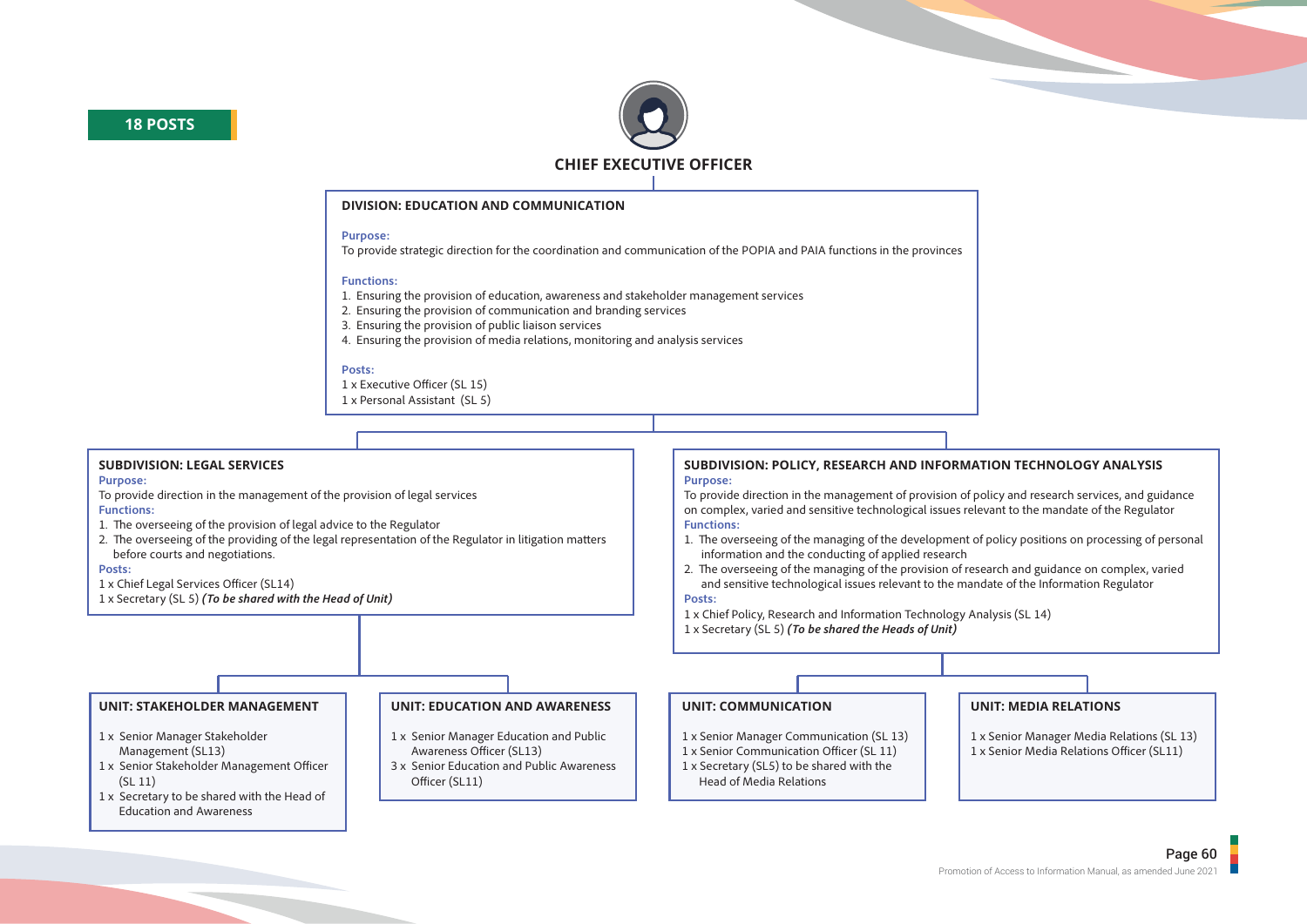



#### **DIVISION: EDUCATION AND COMMUNICATION**

#### **Purpose:**

To provide strategic direction for the coordination and communication of the POPIA and PAIA functions in the provinces

#### **Functions:**

1. Ensuring the provision of education, awareness and stakeholder management services

- 2. Ensuring the provision of communication and branding services
- 3. Ensuring the provision of public liaison services
- 4. Ensuring the provision of media relations, monitoring and analysis services

#### **Posts:**

1 x Executive Officer (SL 15)

1 x Personal Assistant (SL 5)

### **SUBDIVISION: LEGAL SERVICES**

#### **Purpose:**

To provide direction in the management of the provision of legal services

### **Functions:**

- 1. The overseeing of the provision of legal advice to the Regulator
- 2. The overseeing of the providing of the legal representation of the Regulator in litigation matters before courts and negotiations.

#### **Posts:**

- 1 x Chief Legal Services Officer (SL14)
- 1 x Secretary (SL 5) *(To be shared with the Head of Unit)*

#### **SUBDIVISION: POLICY, RESEARCH AND INFORMATION TECHNOLOGY ANALYSIS Purpose:**

To provide direction in the management of provision of policy and research services, and guidance on complex, varied and sensitive technological issues relevant to the mandate of the Regulator **Functions:**

- 1. The overseeing of the managing of the development of policy positions on processing of personal information and the conducting of applied research
- 2. The overseeing of the managing of the provision of research and guidance on complex, varied and sensitive technological issues relevant to the mandate of the Information Regulator

### **Posts:**

- 1 x Chief Policy, Research and Information Technology Analysis (SL 14)
- 1 x Secretary (SL 5) *(To be shared the Heads of Unit)*

### **UNIT: STAKEHOLDER MANAGEMENT**

- 1 x Senior Manager Stakeholder Management (SL13)
- 1 x Senior Stakeholder Management Officer (SL 11)
- 1 x Secretary to be shared with the Head of Education and Awareness

### **UNIT: EDUCATION AND AWARENESS**

- 1 x Senior Manager Education and Public Awareness Officer (SL13)
- 3 x Senior Education and Public Awareness Officer (SL11)

#### **UNIT: COMMUNICATION**

- 1 x Senior Manager Communication (SL 13)
- 1 x Senior Communication Officer (SL 11)
- 1 x Secretary (SL5) to be shared with the Head of Media Relations

### **UNIT: MEDIA RELATIONS**

- 1 x Senior Manager Media Relations (SL 13)
- 1 x Senior Media Relations Officer (SL11)

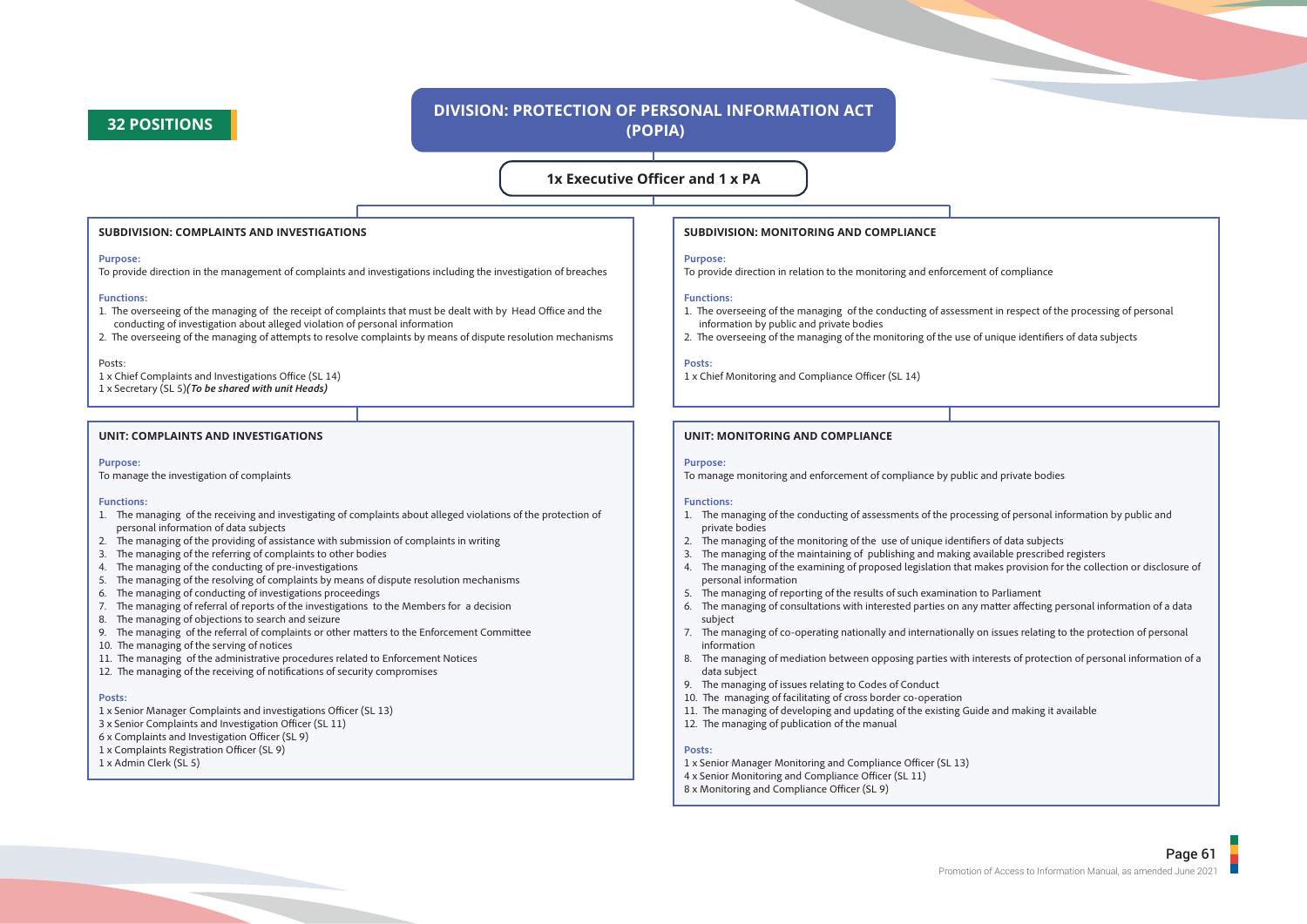## **32 POSITIONS**

## **DIVISION: PROTECTION OF PERSONAL INFORMATION ACT (POPIA)**

### **1x Executive Officer and 1 x PA**

#### **SUBDIVISION: COMPLAINTS AND INVESTIGATIONS**

#### **Purpose:**

To provide direction in the management of complaints and investigations including the investigation of breaches

#### **Functions:**

- 1. The overseeing of the managing of the receipt of complaints that must be dealt with by Head Office and the conducting of investigation about alleged violation of personal information
- 2. The overseeing of the managing of attempts to resolve complaints by means of dispute resolution mechanisms

#### Posts:

1 x Chief Complaints and Investigations Office (SL 14)

1 x Secretary (SL 5)*(To be shared with unit Heads)*

#### **UNIT: COMPLAINTS AND INVESTIGATIONS**

#### **Purpose:**

To manage the investigation of complaints

#### **Functions:**

- 1. The managing of the receiving and investigating of complaints about alleged violations of the protection of personal information of data subjects
- 2. The managing of the providing of assistance with submission of complaints in writing
- 3. The managing of the referring of complaints to other bodies
- 4. The managing of the conducting of pre-investigations
- 5. The managing of the resolving of complaints by means of dispute resolution mechanisms
- 6. The managing of conducting of investigations proceedings
- 7. The managing of referral of reports of the investigations to the Members for a decision
- 8. The managing of objections to search and seizure
- 9. The managing of the referral of complaints or other matters to the Enforcement Committee
- 10. The managing of the serving of notices
- 11. The managing of the administrative procedures related to Enforcement Notices
- $12$ . The managing of the receiving of notifications of security compromises

#### **Posts:**

- 1 x Senior Manager Complaints and investigations Officer (SL 13)
- 3 x Senior Complaints and Investigation Officer (SL 11)
- 6 x Complaints and Investigation Officer (SL 9)
- 1 x Complaints Registration Officer (SL 9)
- 1 x Admin Clerk (SL 5)

#### **SUBDIVISION: MONITORING AND COMPLIANCE**

#### **Purpose:**

To provide direction in relation to the monitoring and enforcement of compliance

#### **Functions:**

- 1. The overseeing of the managing of the conducting of assessment in respect of the processing of personal information by public and private bodies
- 2. The overseeing of the managing of the monitoring of the use of unique identifiers of data subjects

#### **Posts:**

1 x Chief Monitoring and Compliance Officer (SL 14)

#### **UNIT: MONITORING AND COMPLIANCE**

#### **Purpose:**

To manage monitoring and enforcement of compliance by public and private bodies

#### **Functions:**

- 1. The managing of the conducting of assessments of the processing of personal information by public and private bodies
- 2. The managing of the monitoring of the use of unique identifiers of data subjects
- 3. The managing of the maintaining of publishing and making available prescribed registers
- 4. The managing of the examining of proposed legislation that makes provision for the collection or disclosure of personal information
- 5. The managing of reporting of the results of such examination to Parliament
- 6. The managing of consultations with interested parties on any matter affecting personal information of a data subject
- 7. The managing of co-operating nationally and internationally on issues relating to the protection of personal information
- 8. The managing of mediation between opposing parties with interests of protection of personal information of a data subject
- 9. The managing of issues relating to Codes of Conduct
- 10. The managing of facilitating of cross border co-operation
- 11. The managing of developing and updating of the existing Guide and making it available
- 12. The managing of publication of the manual

#### **Posts:**

- 1 x Senior Manager Monitoring and Compliance Officer (SL 13)
- 4 x Senior Monitoring and Compliance Officer (SL 11)
- 8 x Monitoring and Compliance Officer (SL 9)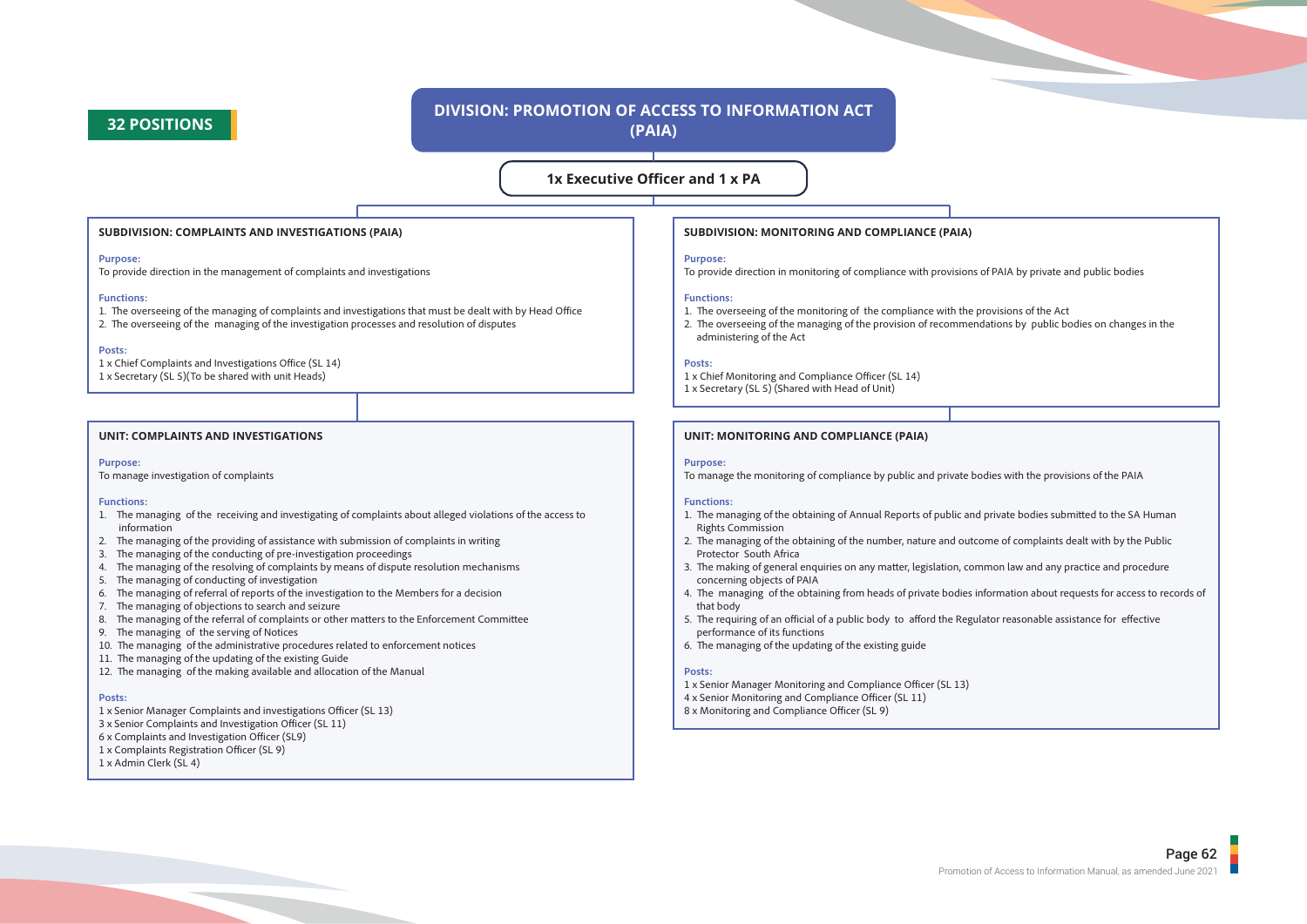## **32 POSITIONS**

## **DIVISION: PROMOTION OF ACCESS TO INFORMATION ACT (PAIA)**

### **1x Executive Officer and 1 x PA**

#### **SUBDIVISION: COMPLAINTS AND INVESTIGATIONS (PAIA)**

#### **Purpose:**

To provide direction in the management of complaints and investigations

#### **Functions:**

- 1. The overseeing of the managing of complaints and investigations that must be dealt with by Head Office
- 2. The overseeing of the managing of the investigation processes and resolution of disputes

#### **Posts:**

- 1 x Chief Complaints and Investigations Office (SL 14)
- 1 x Secretary (SL 5)(To be shared with unit Heads)

#### **UNIT: COMPLAINTS AND INVESTIGATIONS**

#### **Purpose:**

To manage investigation of complaints

#### **Functions:**

- 1. The managing of the receiving and investigating of complaints about alleged violations of the access to information
- 2. The managing of the providing of assistance with submission of complaints in writing
- 3. The managing of the conducting of pre-investigation proceedings
- 4. The managing of the resolving of complaints by means of dispute resolution mechanisms
- 5. The managing of conducting of investigation
- 6. The managing of referral of reports of the investigation to the Members for a decision
- 7. The managing of objections to search and seizure
- 8. The managing of the referral of complaints or other matters to the Enforcement Committee
- 9. The managing of the serving of Notices
- 10. The managing of the administrative procedures related to enforcement notices
- 11. The managing of the updating of the existing Guide
- 12. The managing of the making available and allocation of the Manual

#### **Posts:**

- 1 x Senior Manager Complaints and investigations Officer (SL 13)
- 3 x Senior Complaints and Investigation Officer (SL 11)
- 6 x Complaints and Investigation Officer (SL9)
- 1 x Complaints Registration Officer (SL 9)
- 1 x Admin Clerk (SL 4)

#### **SUBDIVISION: MONITORING AND COMPLIANCE (PAIA)**

#### **Purpose:**

To provide direction in monitoring of compliance with provisions of PAIA by private and public bodies

#### **Functions:**

- 1. The overseeing of the monitoring of the compliance with the provisions of the Act
- 2. The overseeing of the managing of the provision of recommendations by public bodies on changes in the administering of the Act

#### **Posts:**

- 1 x Chief Monitoring and Compliance Officer (SL 14)
- 1 x Secretary (SL 5) (Shared with Head of Unit)

#### **UNIT: MONITORING AND COMPLIANCE (PAIA)**

#### **Purpose:**

To manage the monitoring of compliance by public and private bodies with the provisions of the PAIA

#### **Functions:**

- 1. The managing of the obtaining of Annual Reports of public and private bodies submitted to the SA Human Rights Commission
- 2. The managing of the obtaining of the number, nature and outcome of complaints dealt with by the Public Protector South Africa
- 3. The making of general enquiries on any matter, legislation, common law and any practice and procedure concerning objects of PAIA
- 4. The managing of the obtaining from heads of private bodies information about requests for access to records of that body
- 5. The requiring of an official of a public body to afford the Regulator reasonable assistance for effective performance of its functions
- 6. The managing of the updating of the existing guide

#### **Posts:**

- 1 x Senior Manager Monitoring and Compliance Officer (SL 13)
- 4 x Senior Monitoring and Compliance Officer (SL 11)
- 8 x Monitoring and Compliance Officer (SL 9)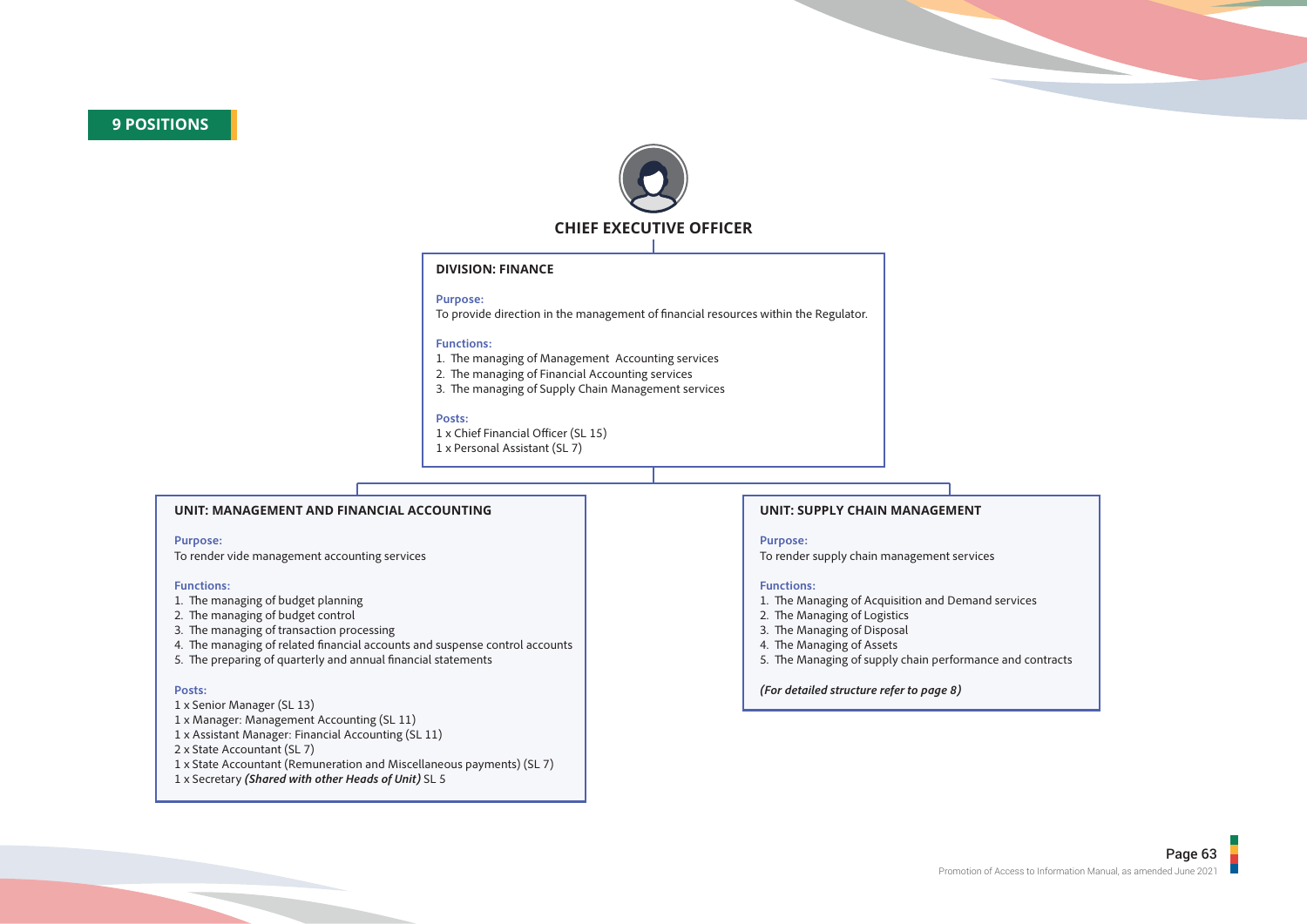

### **DIVISION: FINANCE**

#### **Purpose:**

To provide direction in the management of financial resources within the Regulator.

#### **Functions:**

- 1. The managing of Management Accounting services
- 2. The managing of Financial Accounting services
- 3. The managing of Supply Chain Management services

#### **Posts:**

- 1 x Chief Financial Officer (SL 15)
- 1 x Personal Assistant (SL 7)

#### **UNIT: MANAGEMENT AND FINANCIAL ACCOUNTING**

#### **Purpose:**

To render vide management accounting services

#### **Functions:**

- 1. The managing of budget planning
- 2. The managing of budget control
- 3. The managing of transaction processing
- 4. The managing of related financial accounts and suspense control accounts
- 5. The preparing of quarterly and annual financial statements

#### **Posts:**

- 1 x Senior Manager (SL 13)
- 1 x Manager: Management Accounting (SL 11)
- 1 x Assistant Manager: Financial Accounting (SL 11)
- 2 x State Accountant (SL 7)
- 1 x State Accountant (Remuneration and Miscellaneous payments) (SL 7)
- 1 x Secretary *(Shared with other Heads of Unit)* SL 5

#### **UNIT: SUPPLY CHAIN MANAGEMENT**

#### **Purpose:**

To render supply chain management services

#### **Functions:**

- 1. The Managing of Acquisition and Demand services
- 2. The Managing of Logistics
- 3. The Managing of Disposal
- 4. The Managing of Assets
- 5. The Managing of supply chain performance and contracts

#### *(For detailed structure refer to page 8)*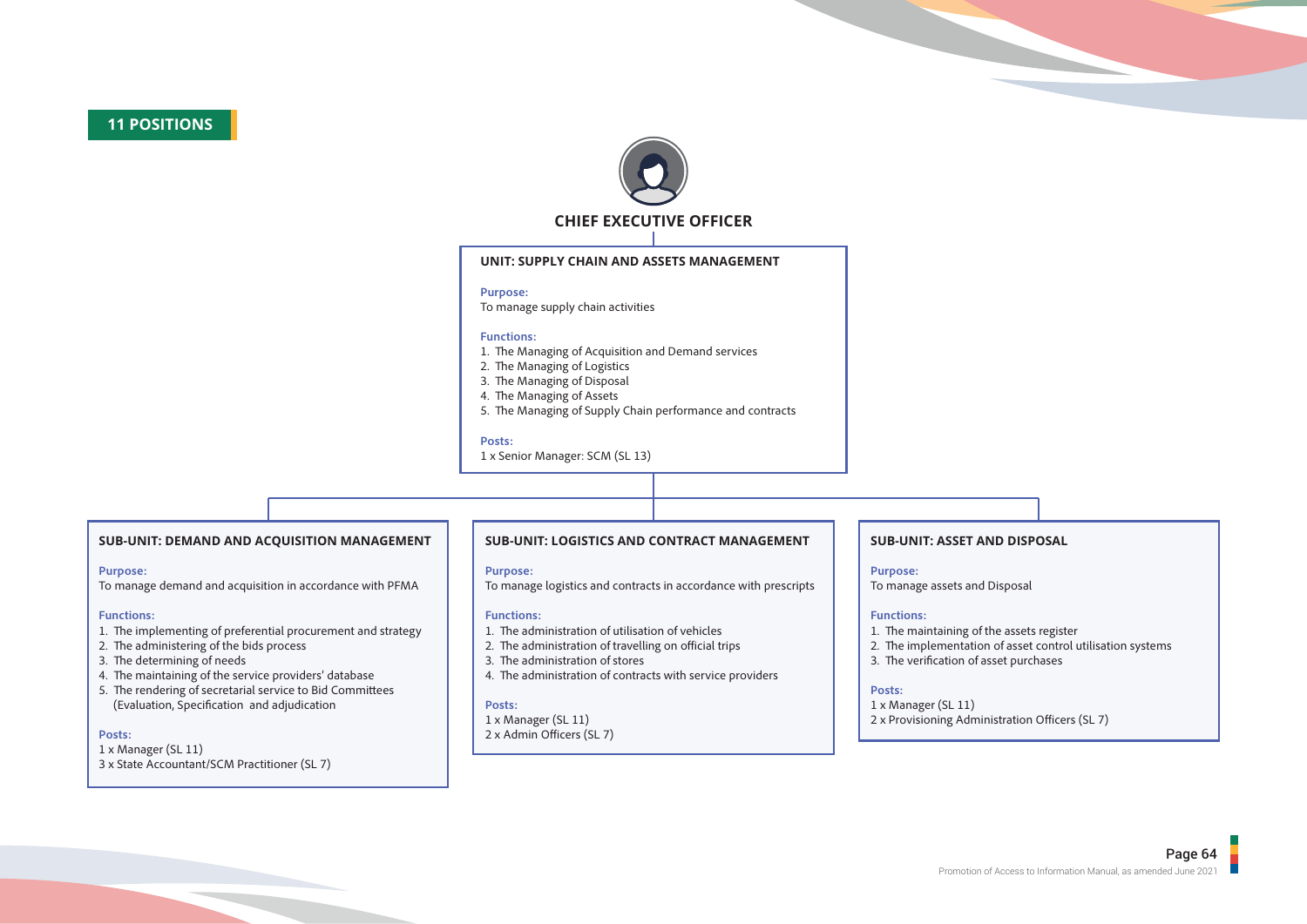## **11 POSITIONS**



### **UNIT: SUPPLY CHAIN AND ASSETS MANAGEMENT**

#### **Purpose:**

To manage supply chain activities

#### **Functions:**

- 1. The Managing of Acquisition and Demand services
- 2. The Managing of Logistics
- 3. The Managing of Disposal
- 4. The Managing of Assets
- 5. The Managing of Supply Chain performance and contracts

#### **Posts:**

1 x Senior Manager: SCM (SL 13)

### **SUB-UNIT: DEMAND AND ACQUISITION MANAGEMENT**

#### **Purpose:**

To manage demand and acquisition in accordance with PFMA

#### **Functions:**

- 1. The implementing of preferential procurement and strategy
- 2. The administering of the bids process
- 3. The determining of needs
- 4. The maintaining of the service providers' database
- 5. The rendering of secretarial service to Bid Committees (Evaluation, Specification and adjudication

#### **Posts:**

- 1 x Manager (SL 11)
- 3 x State Accountant/SCM Practitioner (SL 7)

### **SUB-UNIT: LOGISTICS AND CONTRACT MANAGEMENT**

#### **Purpose:**

To manage logistics and contracts in accordance with prescripts

#### **Functions:**

- 1. The administration of utilisation of vehicles
- 2. The administration of travelling on official trips
- 3. The administration of stores
- 4. The administration of contracts with service providers

#### **Posts:**

- 1 x Manager (SL 11)
- $2 \times$  Admin Officers (SL 7)

### **SUB-UNIT: ASSET AND DISPOSAL**

#### **Purpose:**

To manage assets and Disposal

#### **Functions:**

- 1. The maintaining of the assets register
- 2. The implementation of asset control utilisation systems
- 3. The verification of asset purchases

#### **Posts:**

1 x Manager (SL 11) 2 x Provisioning Administration Officers (SL 7)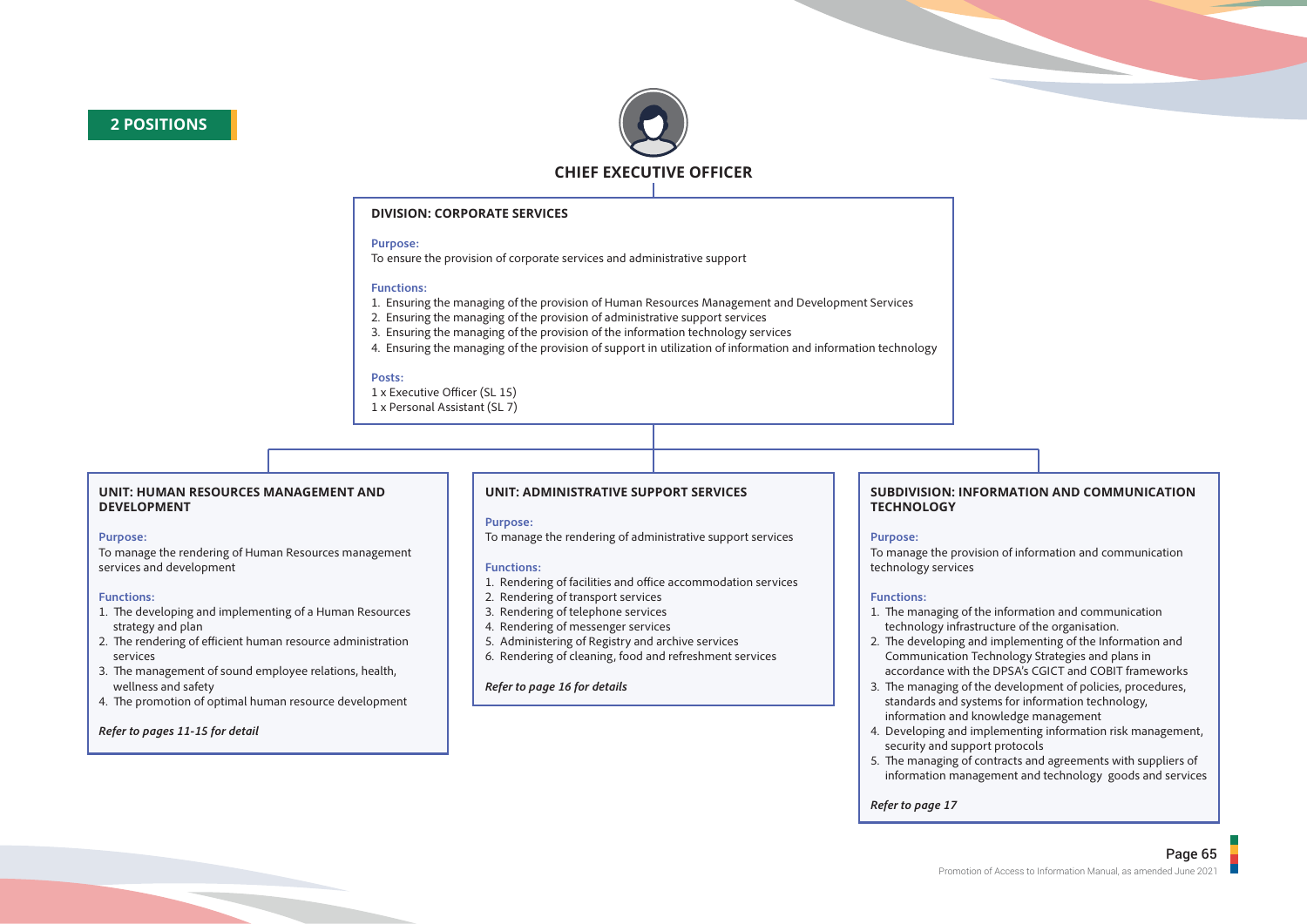

### **DIVISION: CORPORATE SERVICES**

#### **Purpose:**

To ensure the provision of corporate services and administrative support

#### **Functions:**

- 1. Ensuring the managing of the provision of Human Resources Management and Development Services
- 2. Ensuring the managing of the provision of administrative support services
- 3. Ensuring the managing of the provision of the information technology services
- 4. Ensuring the managing of the provision of support in utilization of information and information technology

#### **Posts:**

- 1 x Executive Officer (SL 15)
- 1 x Personal Assistant (SL 7)

#### **UNIT: HUMAN RESOURCES MANAGEMENT AND DEVELOPMENT**

#### **Purpose:**

To manage the rendering of Human Resources management services and development

#### **Functions:**

- 1. The developing and implementing of a Human Resources strategy and plan
- 2. The rendering of efficient human resource administration services
- 3. The management of sound employee relations, health, wellness and safety
- 4. The promotion of optimal human resource development

### *Refer to pages 11-15 for detail*

### **UNIT: ADMINISTRATIVE SUPPORT SERVICES**

#### **Purpose:**

To manage the rendering of administrative support services

#### **Functions:**

- 1. Rendering of facilities and office accommodation services
- 2. Rendering of transport services
- 3. Rendering of telephone services
- 4. Rendering of messenger services
- 5. Administering of Registry and archive services
- 6. Rendering of cleaning, food and refreshment services

#### *Refer to page 16 for details*

#### **SUBDIVISION: INFORMATION AND COMMUNICATION TECHNOLOGY**

### **Purpose:**

To manage the provision of information and communication technology services

### **Functions:**

- 1. The managing of the information and communication technology infrastructure of the organisation.
- 2. The developing and implementing of the Information and Communication Technology Strategies and plans in accordance with the DPSA's CGICT and COBIT frameworks
- 3. The managing of the development of policies, procedures, standards and systems for information technology, information and knowledge management
- 4. Developing and implementing information risk management, security and support protocols
- 5. The managing of contracts and agreements with suppliers of information management and technology goods and services

*Refer to page 17*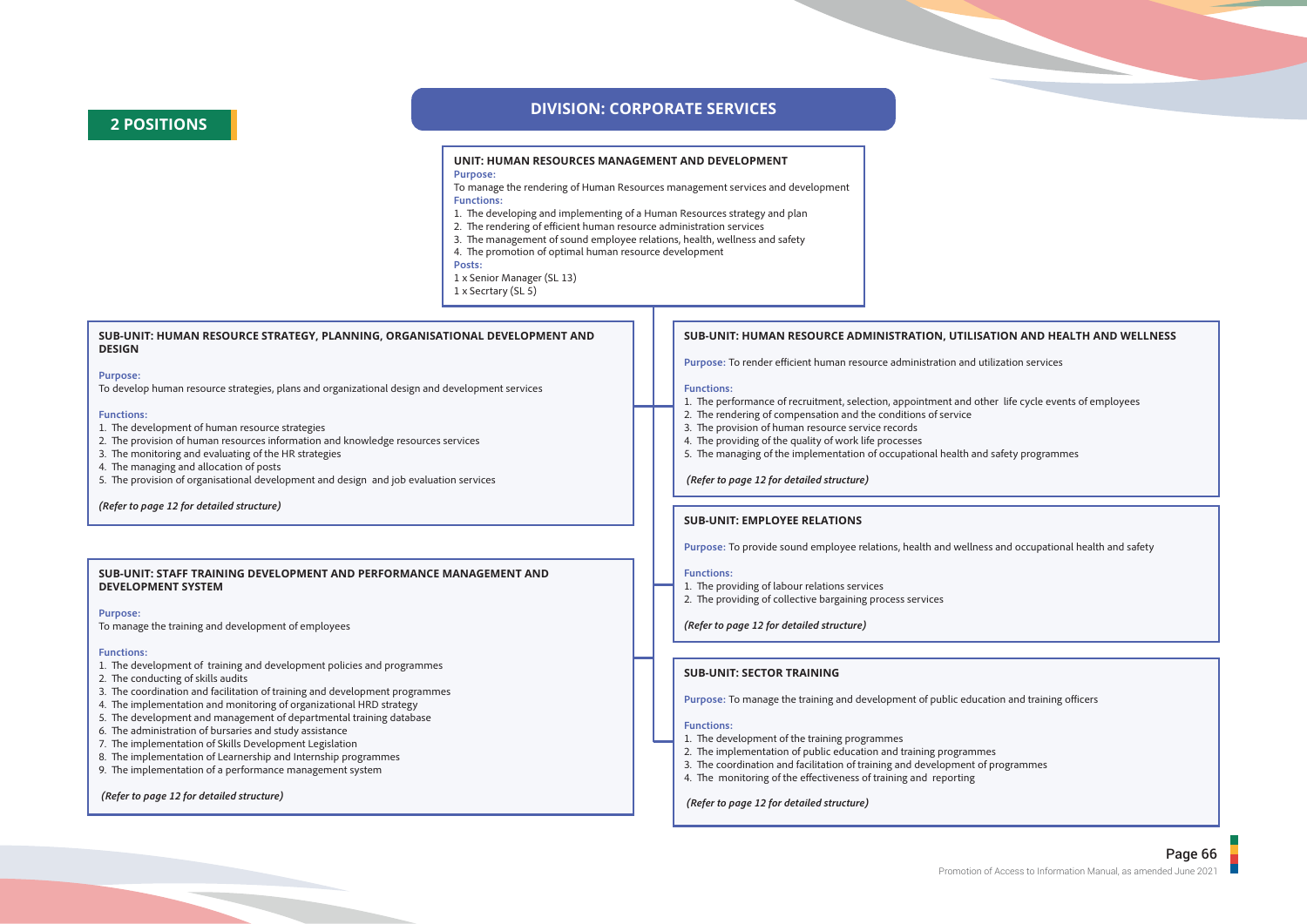## **2 POSITIONS**

### **DIVISION: CORPORATE SERVICES**

#### **UNIT: HUMAN RESOURCES MANAGEMENT AND DEVELOPMENT Purpose:**

To manage the rendering of Human Resources management services and development **Functions:**

- 1. The developing and implementing of a Human Resources strategy and plan
- 2. The rendering of efficient human resource administration services
- 3. The management of sound employee relations, health, wellness and safety
- 4. The promotion of optimal human resource development
- **Posts:**
- 1 x Senior Manager (SL 13)
- 1 x Secrtary (SL 5)

#### **SUB-UNIT: HUMAN RESOURCE STRATEGY, PLANNING, ORGANISATIONAL DEVELOPMENT AND DESIGN**

#### **Purpose:**

To develop human resource strategies, plans and organizational design and development services

#### **Functions:**

1. The development of human resource strategies

- 2. The provision of human resources information and knowledge resources services
- 3. The monitoring and evaluating of the HR strategies
- 4. The managing and allocation of posts
- 5. The provision of organisational development and design and job evaluation services

#### *(Refer to page 12 for detailed structure)*

#### **SUB-UNIT: STAFF TRAINING DEVELOPMENT AND PERFORMANCE MANAGEMENT AND DEVELOPMENT SYSTEM**

#### **Purpose:**

To manage the training and development of employees

#### **Functions:**

- 1. The development of training and development policies and programmes
- 2. The conducting of skills audits
- 3. The coordination and facilitation of training and development programmes
- 4. The implementation and monitoring of organizational HRD strategy
- 5. The development and management of departmental training database
- 6. The administration of bursaries and study assistance
- 7. The implementation of Skills Development Legislation
- 8. The implementation of Learnership and Internship programmes
- 9. The implementation of a performance management system

#### *(Refer to page 12 for detailed structure)*

#### **SUB-UNIT: HUMAN RESOURCE ADMINISTRATION, UTILISATION AND HEALTH AND WELLNESS**

Purpose: To render efficient human resource administration and utilization services

#### **Functions:**

- 1. The performance of recruitment, selection, appointment and other life cycle events of employees
- 2. The rendering of compensation and the conditions of service
- 3. The provision of human resource service records
- 4. The providing of the quality of work life processes
- 5. The managing of the implementation of occupational health and safety programmes

*(Refer to page 12 for detailed structure)*

#### **SUB-UNIT: EMPLOYEE RELATIONS**

**Purpose:** To provide sound employee relations, health and wellness and occupational health and safety

#### **Functions:**

- 1. The providing of labour relations services
- 2. The providing of collective bargaining process services

*(Refer to page 12 for detailed structure)*

#### **SUB-UNIT: SECTOR TRAINING**

Purpose: To manage the training and development of public education and training officers

#### **Functions:**

- 1. The development of the training programmes
- 2. The implementation of public education and training programmes
- 3. The coordination and facilitation of training and development of programmes
- 4. The monitoring of the effectiveness of training and reporting

#### *(Refer to page 12 for detailed structure)*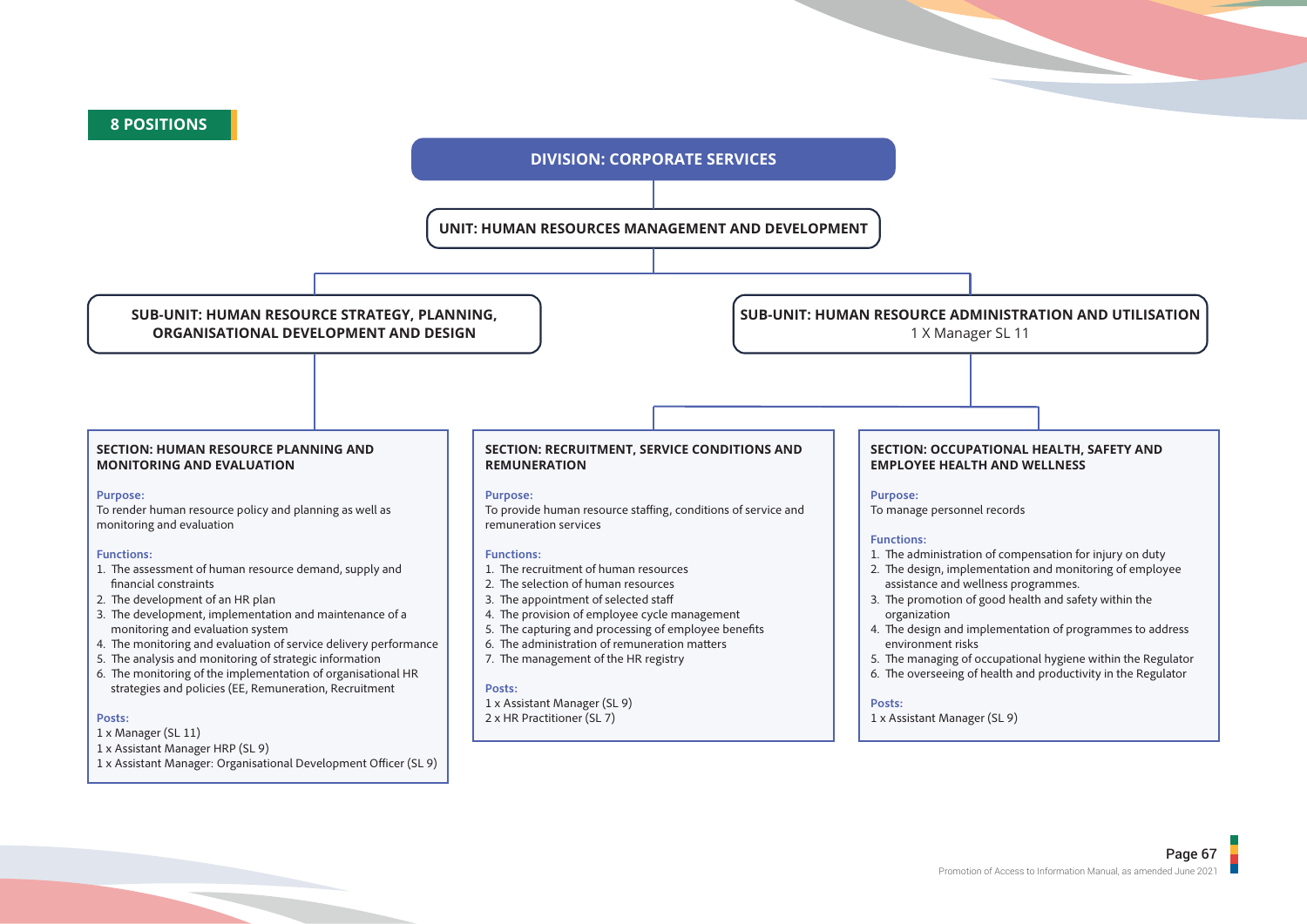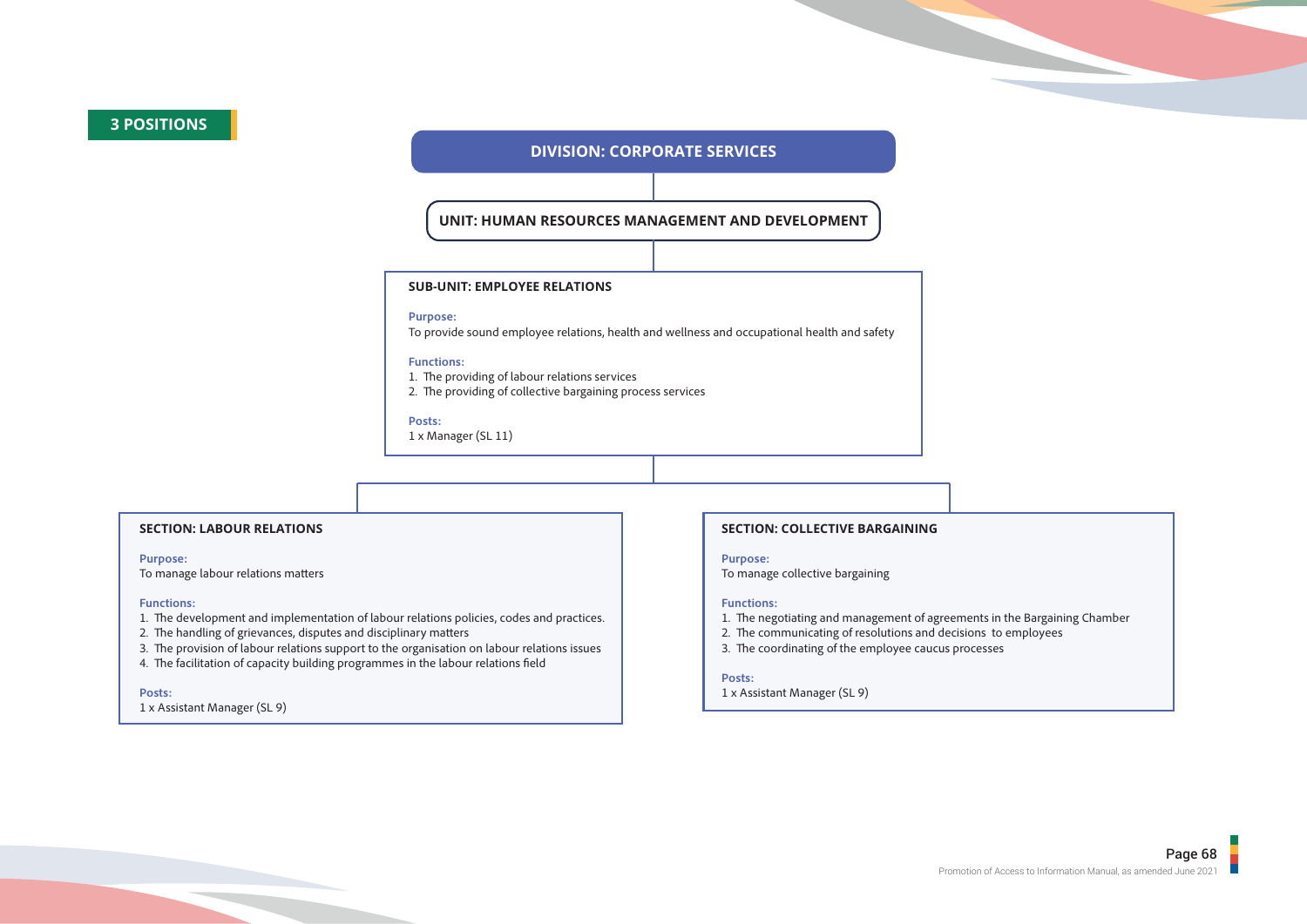## **3 POSITIONS**

### **DIVISION: CORPORATE SERVICES**

### **UNIT: HUMAN RESOURCES MANAGEMENT AND DEVELOPMENT**

#### **SUB-UNIT: EMPLOYEE RELATIONS**

#### **Purpose:**

To provide sound employee relations, health and wellness and occupational health and safety

#### **Functions:**

- 1. The providing of labour relations services
- 2. The providing of collective bargaining process services

#### **Posts:**

1 x Manager (SL 11)

### **SECTION: LABOUR RELATIONS**

#### **Purpose:**

To manage labour relations matters

#### **Functions:**

- 1. The development and implementation of labour relations policies, codes and practices.
- 2. The handling of grievances, disputes and disciplinary matters
- 3. The provision of labour relations support to the organisation on labour relations issues
- 4. The facilitation of capacity building programmes in the labour relations field

#### **Posts:**

1 x Assistant Manager (SL 9)

#### **SECTION: COLLECTIVE BARGAINING**

#### **Purpose:**

To manage collective bargaining

#### **Functions:**

- 1. The negotiating and management of agreements in the Bargaining Chamber
- 2. The communicating of resolutions and decisions to employees
- 3. The coordinating of the employee caucus processes

#### **Posts:**

1 x Assistant Manager (SL 9)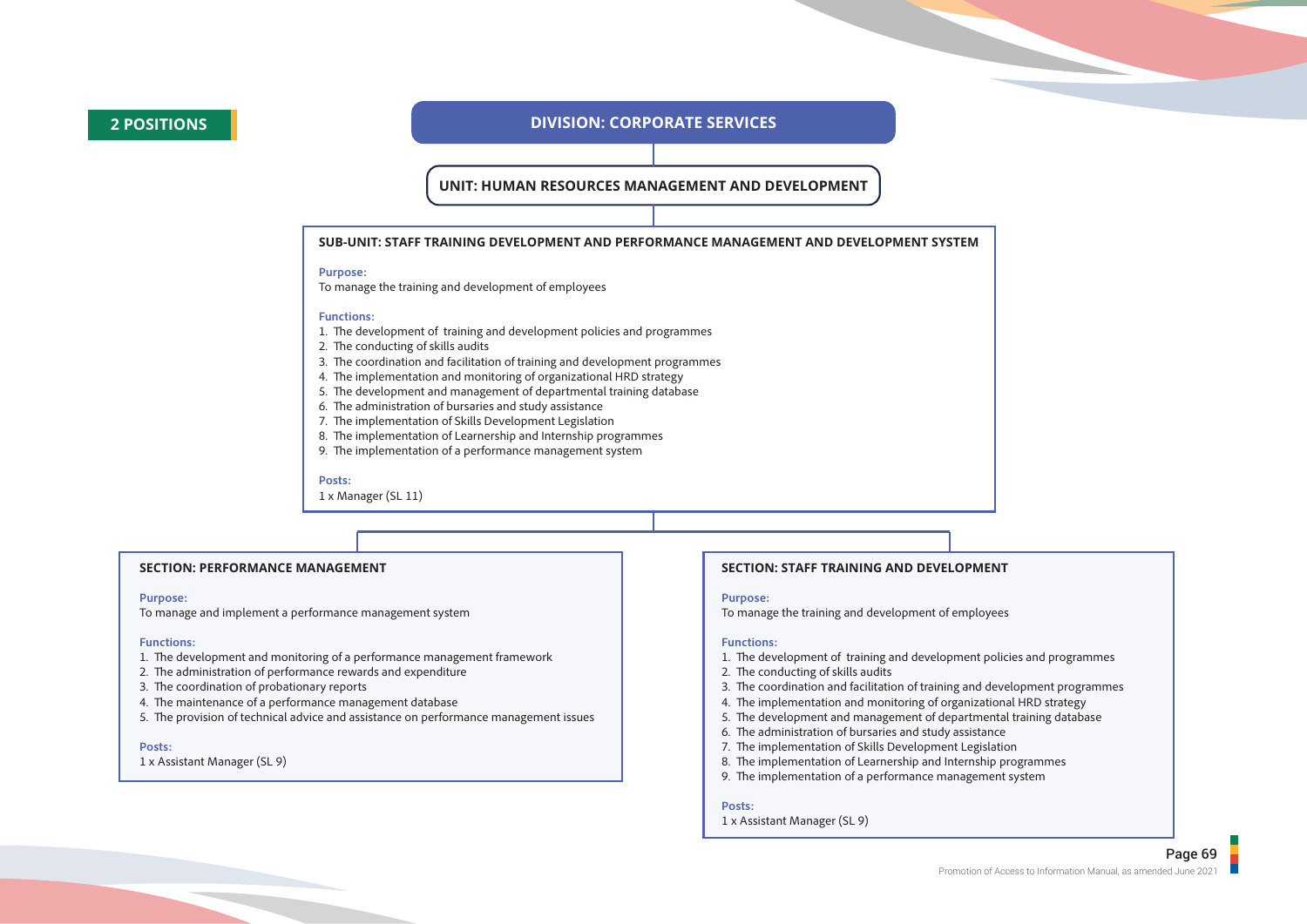### **2 POSITIONS DIVISION: CORPORATE SERVICES**

**UNIT: HUMAN RESOURCES MANAGEMENT AND DEVELOPMENT**

#### **SUB-UNIT: STAFF TRAINING DEVELOPMENT AND PERFORMANCE MANAGEMENT AND DEVELOPMENT SYSTEM**

#### **Purpose:**

To manage the training and development of employees

#### **Functions:**

- 1. The development of training and development policies and programmes
- 2. The conducting of skills audits
- 3. The coordination and facilitation of training and development programmes
- 4. The implementation and monitoring of organizational HRD strategy
- 5. The development and management of departmental training database
- 6. The administration of bursaries and study assistance
- 7. The implementation of Skills Development Legislation
- 8. The implementation of Learnership and Internship programmes
- 9. The implementation of a performance management system

#### **Posts:**

1 x Manager (SL 11)

#### **SECTION: PERFORMANCE MANAGEMENT**

#### **Purpose:**

To manage and implement a performance management system

#### **Functions:**

- 1. The development and monitoring of a performance management framework
- 2. The administration of performance rewards and expenditure
- 3. The coordination of probationary reports
- 4. The maintenance of a performance management database
- 5. The provision of technical advice and assistance on performance management issues

#### **Posts:**

1 x Assistant Manager (SL 9)

#### **SECTION: STAFF TRAINING AND DEVELOPMENT**

#### **Purpose:**

To manage the training and development of employees

#### **Functions:**

- 1. The development of training and development policies and programmes
- 2. The conducting of skills audits
- 3. The coordination and facilitation of training and development programmes
- 4. The implementation and monitoring of organizational HRD strategy
- 5. The development and management of departmental training database
- 6. The administration of bursaries and study assistance
- 7. The implementation of Skills Development Legislation
- 8. The implementation of Learnership and Internship programmes
- 9. The implementation of a performance management system

#### **Posts:**

#### 1 x Assistant Manager (SL 9)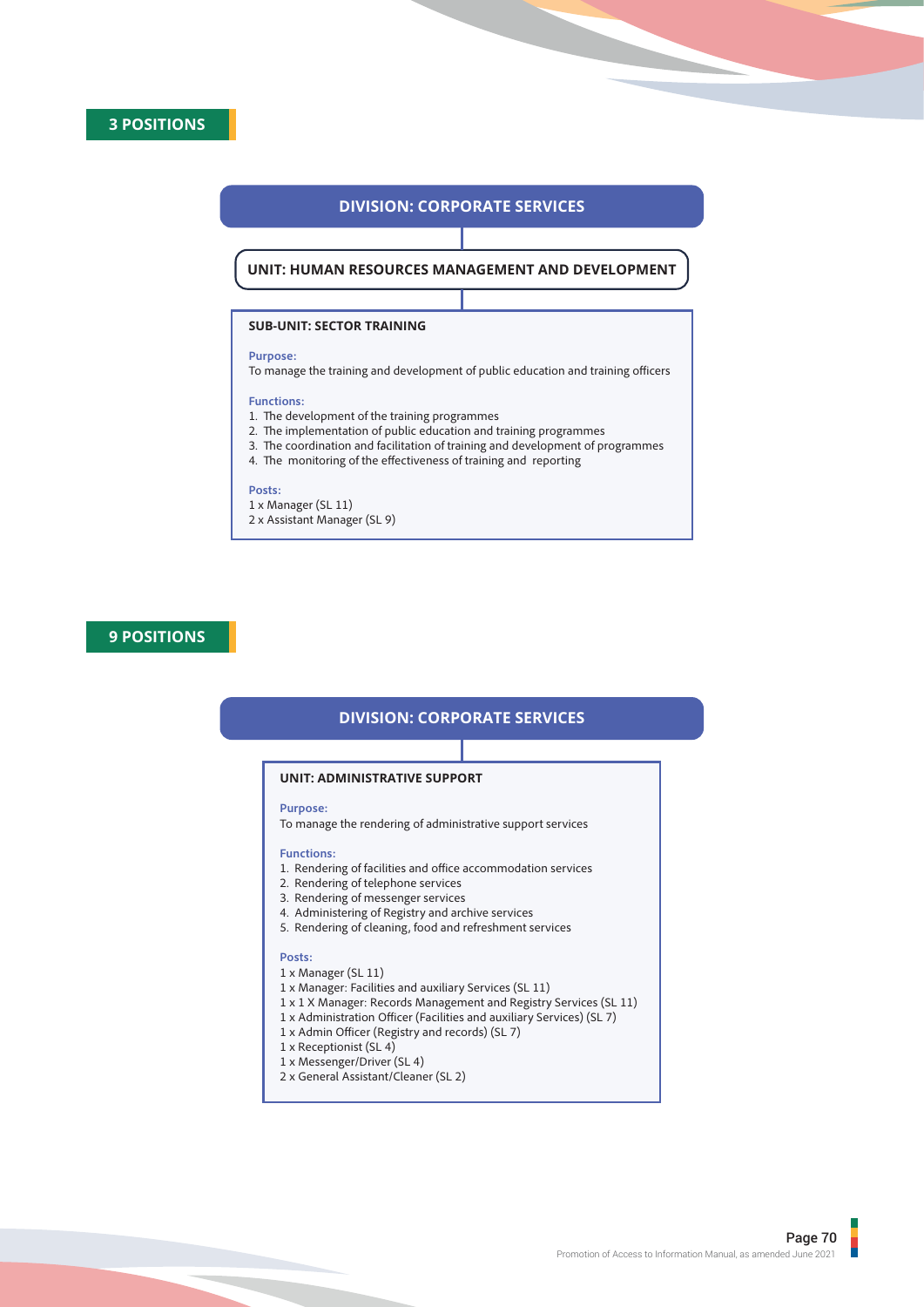# **DIVISION: CORPORATE SERVICES**

**UNIT: HUMAN RESOURCES MANAGEMENT AND DEVELOPMENT**

# **SUB-UNIT: SECTOR TRAINING**

## **Purpose:**

To manage the training and development of public education and training officers

## **Functions:**

- 1. The development of the training programmes
- 2. The implementation of public education and training programmes
- 3. The coordination and facilitation of training and development of programmes
- 4. The monitoring of the effectiveness of training and reporting

# **Posts:**

1 x Manager (SL 11) 2 x Assistant Manager (SL 9)

# **9 POSITIONS**

# **DIVISION: CORPORATE SERVICES**

# **UNIT: ADMINISTRATIVE SUPPORT**

# **Purpose:**

To manage the rendering of administrative support services

# **Functions:**

- 1. Rendering of facilities and office accommodation services
- 2. Rendering of telephone services
- 3. Rendering of messenger services
- 4. Administering of Registry and archive services
- 5. Rendering of cleaning, food and refreshment services

# **Posts:**

- 1 x Manager (SL 11)
- 1 x Manager: Facilities and auxiliary Services (SL 11)
- 1 x 1 X Manager: Records Management and Registry Services (SL 11)
- 1 x Administration Officer (Facilities and auxiliary Services) (SL 7)
- 1 x Admin Officer (Registry and records) (SL 7)
- 1 x Receptionist (SL 4)
- 1 x Messenger/Driver (SL 4)
- 2 x General Assistant/Cleaner (SL 2)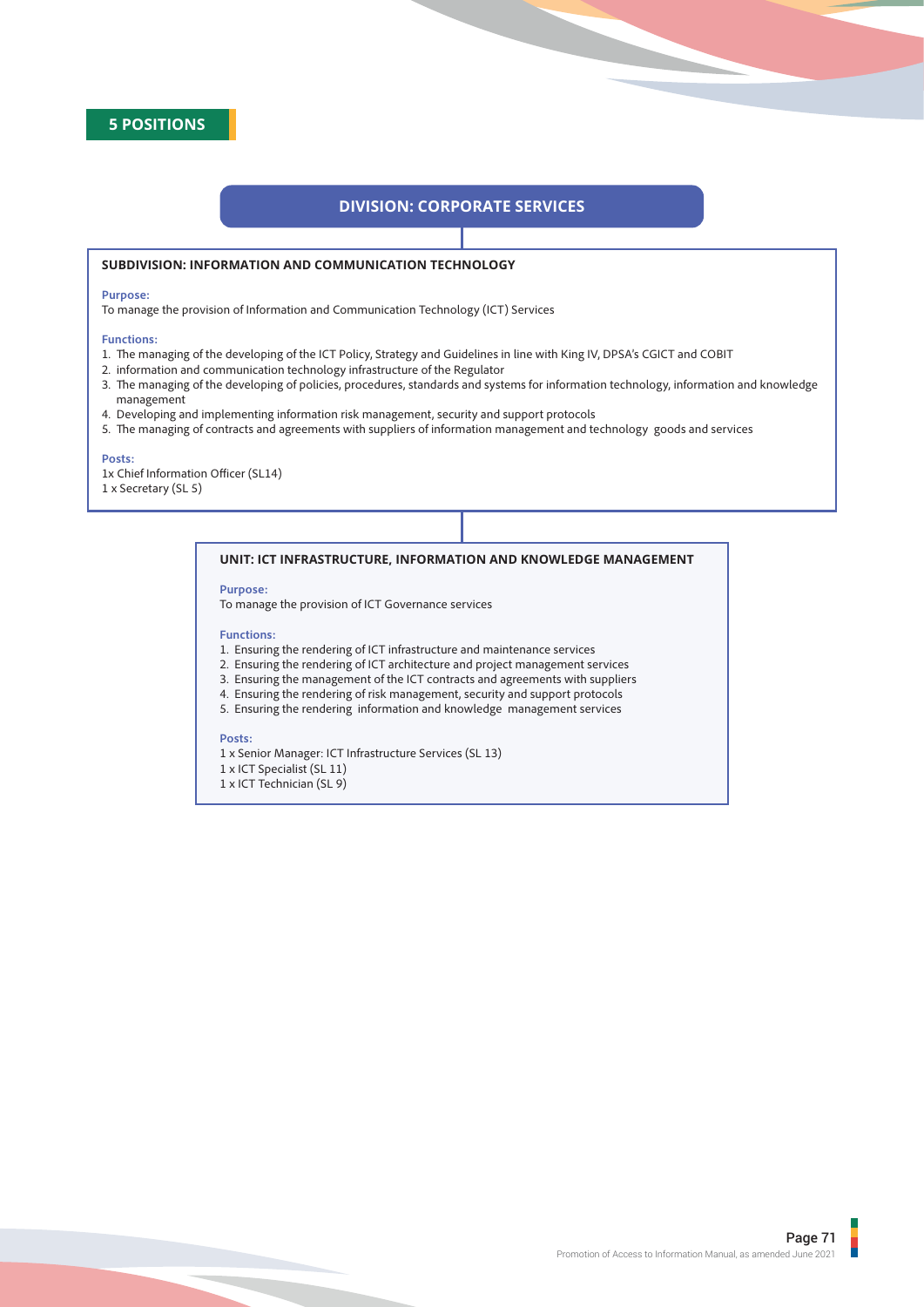

# **DIVISION: CORPORATE SERVICES**

# **SUBDIVISION: INFORMATION AND COMMUNICATION TECHNOLOGY**

## **Purpose:**

To manage the provision of Information and Communication Technology (ICT) Services

## **Functions:**

- 1. The managing of the developing of the ICT Policy, Strategy and Guidelines in line with King IV, DPSA's CGICT and COBIT
- 2. information and communication technology infrastructure of the Regulator
- 3. The managing of the developing of policies, procedures, standards and systems for information technology, information and knowledge management
- 4. Developing and implementing information risk management, security and support protocols
- 5. The managing of contracts and agreements with suppliers of information management and technology goods and services

#### **Posts:**

1x Chief Information Officer (SL14) 1 x Secretary (SL 5)

# **UNIT: ICT INFRASTRUCTURE, INFORMATION AND KNOWLEDGE MANAGEMENT**

# **Purpose:**

To manage the provision of ICT Governance services

## **Functions:**

- 1. Ensuring the rendering of ICT infrastructure and maintenance services
- 2. Ensuring the rendering of ICT architecture and project management services
- 3. Ensuring the management of the ICT contracts and agreements with suppliers
- 4. Ensuring the rendering of risk management, security and support protocols
- 5. Ensuring the rendering information and knowledge management services

# **Posts:**

- 1 x Senior Manager: ICT Infrastructure Services (SL 13)
- 1 x ICT Specialist (SL 11)
- 1 x ICT Technician (SL 9)